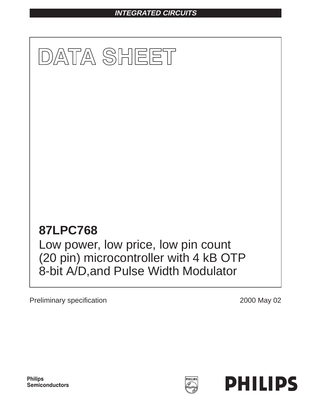## **INTEGRATED CIRCUITS**



Preliminary specification 2000 May 02

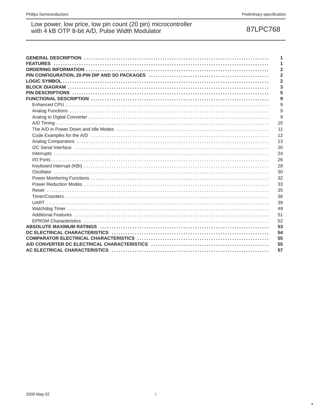87LPC768

|                                                                                                                                                                                                                                | 1              |
|--------------------------------------------------------------------------------------------------------------------------------------------------------------------------------------------------------------------------------|----------------|
|                                                                                                                                                                                                                                | 1              |
|                                                                                                                                                                                                                                | $\overline{2}$ |
|                                                                                                                                                                                                                                | $\overline{2}$ |
|                                                                                                                                                                                                                                | $\overline{2}$ |
|                                                                                                                                                                                                                                | 3              |
|                                                                                                                                                                                                                                | 5              |
|                                                                                                                                                                                                                                | 9              |
|                                                                                                                                                                                                                                | 9              |
|                                                                                                                                                                                                                                | 9              |
|                                                                                                                                                                                                                                | 9              |
|                                                                                                                                                                                                                                | 10             |
|                                                                                                                                                                                                                                | 11             |
|                                                                                                                                                                                                                                | 12             |
| Analog Comparators (a) respectively and the control of the control of the control of the control of the control of the control of the control of the control of the control of the control of the control of the control of th | 13             |
| I2C Serial Interface (and according to the control of the control of the control of the control of the control of the control of the control of the control of the control of the control of the control of the control of the | 20             |
|                                                                                                                                                                                                                                | 24             |
|                                                                                                                                                                                                                                | 26             |
|                                                                                                                                                                                                                                | 28             |
|                                                                                                                                                                                                                                | 30             |
|                                                                                                                                                                                                                                | 32             |
|                                                                                                                                                                                                                                | 33             |
|                                                                                                                                                                                                                                |                |
|                                                                                                                                                                                                                                | 35             |
|                                                                                                                                                                                                                                | 36             |
|                                                                                                                                                                                                                                | 39             |
|                                                                                                                                                                                                                                | 49             |
|                                                                                                                                                                                                                                | 51             |
|                                                                                                                                                                                                                                | 52             |
|                                                                                                                                                                                                                                | 53             |
|                                                                                                                                                                                                                                | 54             |
|                                                                                                                                                                                                                                | 55             |
|                                                                                                                                                                                                                                | 55             |
|                                                                                                                                                                                                                                | 57             |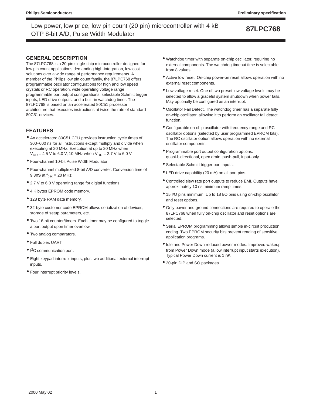### **GENERAL DESCRIPTION**

The 87LPC768 is a 20-pin single-chip microcontroller designed for low pin count applications demanding high-integration, low cost solutions over a wide range of performance requirements. A member of the Philips low pin count family, the 87LPC768 offers programmable oscillator configurations for high and low speed crystals or RC operation, wide operating voltage range, programmable port output configurations, selectable Schmitt trigger inputs, LED drive outputs, and a built-in watchdog timer. The 87LPC768 is based on an accelerated 80C51 processor architecture that executes instructions at twice the rate of standard 80C51 devices.

### **FEATURES**

- An accelerated 80C51 CPU provides instruction cycle times of 300–600 ns for all instructions except multiply and divide when executing at 20 MHz. Execution at up to 20 MHz when  $V_{DD} = 4.5$  V to 6.0 V, 10 MHz when  $V_{DD} = 2.7$  V to 6.0 V.
- Four-channel 10-bit Pulse Width Modulator
- Four-channel multiplexed 8-bit A/D converter. Conversion time of  $9.3\mu$ S at  $f_{\text{osc}} = 20$  MHz.
- 2.7 V to 6.0 V operating range for digital functions.
- 4 K bytes EPROM code memory.
- 128 byte RAM data memory.
- 32-byte customer code EPROM allows serialization of devices, storage of setup parameters, etc.
- Two 16-bit counter/timers. Each timer may be configured to toggle a port output upon timer overflow.
- Two analog comparators.
- Full duplex UART.
- I<sup>2</sup>C communication port.
- Eight keypad interrupt inputs, plus two additional external interrupt inputs.
- Four interrupt priority levels.
- Watchdog timer with separate on-chip oscillator, requiring no external components. The watchdog timeout time is selectable from 8 values.
- Active low reset. On-chip power-on reset allows operation with no external reset components.
- Low voltage reset. One of two preset low voltage levels may be selected to allow a graceful system shutdown when power fails. May optionally be configured as an interrupt.
- Oscillator Fail Detect. The watchdog timer has a separate fully on-chip oscillator, allowing it to perform an oscillator fail detect function.
- Configurable on-chip oscillator with frequency range and RC oscillator options (selected by user programmed EPROM bits). The RC oscillator option allows operation with no external oscillator components.
- Programmable port output configuration options: quasi-bidirectional, open drain, push-pull, input-only.
- Selectable Schmitt trigger port inputs.
- LED drive capability (20 mA) on all port pins.
- Controlled slew rate port outputs to reduce EMI. Outputs have approximately 10 ns minimum ramp times.
- 15 I/O pins minimum. Up to 18 I/O pins using on-chip oscillator and reset options.
- Only power and ground connections are required to operate the 87LPC768 when fully on-chip oscillator and reset options are selected.
- Serial EPROM programming allows simple in-circuit production coding. Two EPROM security bits prevent reading of sensitive application programs.
- Idle and Power Down reduced power modes. Improved wakeup from Power Down mode (a low interrupt input starts execution). Typical Power Down current is 1 µA.
- 20-pin DIP and SO packages.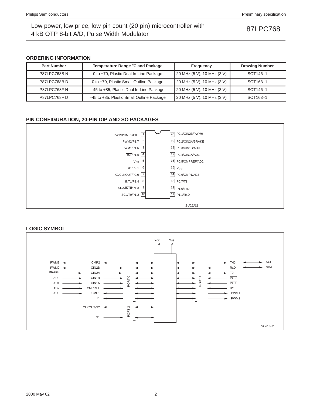### **ORDERING INFORMATION**

| <b>Part Number</b> | Temperature Range °C and Package          | Frequency                  | <b>Drawing Number</b> |
|--------------------|-------------------------------------------|----------------------------|-----------------------|
| <b>P87LPC768BN</b> | 0 to +70, Plastic Dual In-Line Package    | 20 MHz (5 V), 10 MHz (3 V) | SOT <sub>146-1</sub>  |
| <b>P87LPC768BD</b> | 0 to +70, Plastic Small Outline Package   | 20 MHz (5 V), 10 MHz (3 V) | SOT <sub>163-1</sub>  |
| P87LPC768FN        | -45 to +85, Plastic Dual In-Line Package  | 20 MHz (5 V), 10 MHz (3 V) | SOT <sub>146-1</sub>  |
| P87LPC768FD        | -45 to +85, Plastic Small Outline Package | 20 MHz (5 V), 10 MHz (3 V) | SOT <sub>163-1</sub>  |

### **PIN CONFIGURATION, 20-PIN DIP AND SO PACKAGES**



### **LOGIC SYMBOL**

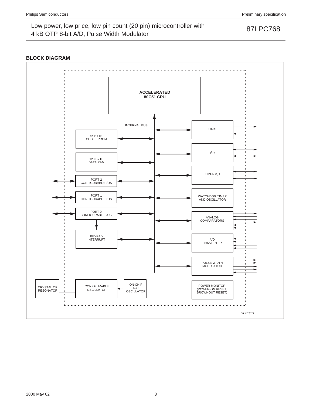### **BLOCK DIAGRAM**

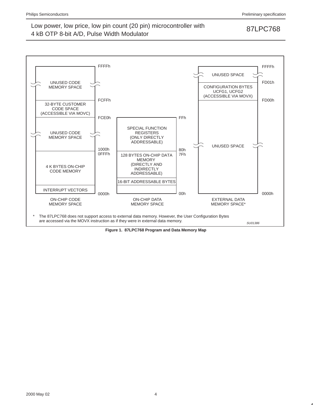

**Figure 1. 87LPC768 Program and Data Memory Map**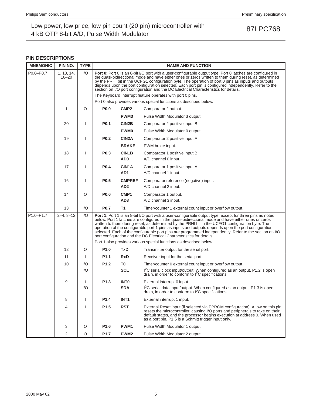### **PIN DESCRIPTIONS**

| <b>MNEMONIC</b> | PIN NO.                 | <b>TYPE</b>            |                  | <b>NAME AND FUNCTION</b>                                  |                                                                                                                                                                                                                                                                                                                                                                                                                                                                                                                                                                                                                     |  |  |  |  |
|-----------------|-------------------------|------------------------|------------------|-----------------------------------------------------------|---------------------------------------------------------------------------------------------------------------------------------------------------------------------------------------------------------------------------------------------------------------------------------------------------------------------------------------------------------------------------------------------------------------------------------------------------------------------------------------------------------------------------------------------------------------------------------------------------------------------|--|--|--|--|
| P0.0-P0.7       | 1, 13, 14,<br>$16 - 20$ | $\mathsf{U}\mathsf{O}$ |                  |                                                           | Port 0: Port 0 is an 8-bit I/O port with a user-configurable output type. Port 0 latches are configured in<br>the quasi-bidirectional mode and have either ones or zeros written to them during reset, as determined<br>by the PRHI bit in the UCFG1 configuration byte. The operation of port 0 pins as inputs and outputs<br>depends upon the port configuration selected. Each port pin is configured independently. Refer to the<br>section on I/O port configuration and the DC Electrical Characteristics for details.                                                                                        |  |  |  |  |
|                 |                         |                        |                  | The Keyboard Interrupt feature operates with port 0 pins. |                                                                                                                                                                                                                                                                                                                                                                                                                                                                                                                                                                                                                     |  |  |  |  |
|                 |                         |                        |                  |                                                           | Port 0 also provides various special functions as described below.                                                                                                                                                                                                                                                                                                                                                                                                                                                                                                                                                  |  |  |  |  |
|                 | 1                       | O                      | P <sub>0.0</sub> | CMP <sub>2</sub>                                          | Comparator 2 output.                                                                                                                                                                                                                                                                                                                                                                                                                                                                                                                                                                                                |  |  |  |  |
|                 |                         |                        |                  | PWM <sub>3</sub>                                          | Pulse Width Modulator 3 output.                                                                                                                                                                                                                                                                                                                                                                                                                                                                                                                                                                                     |  |  |  |  |
|                 | 20                      |                        | <b>P0.1</b>      | CIN2B                                                     | Comparator 2 positive input B.                                                                                                                                                                                                                                                                                                                                                                                                                                                                                                                                                                                      |  |  |  |  |
|                 |                         |                        |                  | <b>PWM0</b>                                               | Pulse Width Modulator 0 output.                                                                                                                                                                                                                                                                                                                                                                                                                                                                                                                                                                                     |  |  |  |  |
|                 | 19                      |                        | <b>P0.2</b>      | CIN <sub>2</sub> A                                        | Comparator 2 positive input A.                                                                                                                                                                                                                                                                                                                                                                                                                                                                                                                                                                                      |  |  |  |  |
|                 |                         |                        |                  | <b>BRAKE</b>                                              | PWM brake input.                                                                                                                                                                                                                                                                                                                                                                                                                                                                                                                                                                                                    |  |  |  |  |
|                 | 18                      |                        | P <sub>0.3</sub> | CIN1B                                                     | Comparator 1 positive input B.                                                                                                                                                                                                                                                                                                                                                                                                                                                                                                                                                                                      |  |  |  |  |
|                 |                         |                        |                  | AD <sub>0</sub>                                           | A/D channel 0 input.                                                                                                                                                                                                                                                                                                                                                                                                                                                                                                                                                                                                |  |  |  |  |
|                 | 17                      |                        | P <sub>0.4</sub> | CIN1A                                                     | Comparator 1 positive input A.                                                                                                                                                                                                                                                                                                                                                                                                                                                                                                                                                                                      |  |  |  |  |
|                 |                         |                        |                  | AD1                                                       | A/D channel 1 input.                                                                                                                                                                                                                                                                                                                                                                                                                                                                                                                                                                                                |  |  |  |  |
|                 | 16                      |                        | P <sub>0.5</sub> | <b>CMPREF</b>                                             | Comparator reference (negative) input.                                                                                                                                                                                                                                                                                                                                                                                                                                                                                                                                                                              |  |  |  |  |
|                 |                         |                        |                  | AD <sub>2</sub>                                           | A/D channel 2 input.                                                                                                                                                                                                                                                                                                                                                                                                                                                                                                                                                                                                |  |  |  |  |
|                 | 14                      | O                      | P <sub>0.6</sub> | CMP <sub>1</sub>                                          | Comparator 1 output.                                                                                                                                                                                                                                                                                                                                                                                                                                                                                                                                                                                                |  |  |  |  |
|                 |                         |                        |                  | AD <sub>3</sub>                                           | A/D channel 3 input.                                                                                                                                                                                                                                                                                                                                                                                                                                                                                                                                                                                                |  |  |  |  |
|                 | 13                      | 1/O                    | <b>P0.7</b>      | <b>T1</b>                                                 | Timer/counter 1 external count input or overflow output.                                                                                                                                                                                                                                                                                                                                                                                                                                                                                                                                                            |  |  |  |  |
| $P1.0 - P1.7$   | $2 - 4, 8 - 12$         | $\mathsf{U}\mathsf{O}$ |                  |                                                           | <b>Port 1:</b> Port 1 is an 8-bit I/O port with a user-configurable output type, except for three pins as noted<br>below. Port 1 latches are configured in the quasi-bidirectional mode and have either ones or zeros<br>written to them during reset, as determined by the PRHI bit in the UCFG1 configuration byte. The<br>operation of the configurable port 1 pins as inputs and outputs depends upon the port configuration<br>selected. Each of the configurable port pins are programmed independently. Refer to the section on I/O<br>port configuration and the DC Electrical Characteristics for details. |  |  |  |  |
|                 |                         |                        |                  |                                                           | Port 1 also provides various special functions as described below.                                                                                                                                                                                                                                                                                                                                                                                                                                                                                                                                                  |  |  |  |  |
|                 | 12                      | O                      | P <sub>1.0</sub> | TxD                                                       | Transmitter output for the serial port.                                                                                                                                                                                                                                                                                                                                                                                                                                                                                                                                                                             |  |  |  |  |
|                 | 11                      |                        | P1.1             | <b>RxD</b>                                                | Receiver input for the serial port.                                                                                                                                                                                                                                                                                                                                                                                                                                                                                                                                                                                 |  |  |  |  |
|                 | 10                      | 1/O                    | P <sub>1.2</sub> | T0                                                        | Timer/counter 0 external count input or overflow output.                                                                                                                                                                                                                                                                                                                                                                                                                                                                                                                                                            |  |  |  |  |
|                 |                         | 1/O                    |                  | <b>SCL</b>                                                | I <sup>2</sup> C serial clock input/output. When configured as an output, P1.2 is open<br>drain, in order to conform to $1^2C$ specifications.                                                                                                                                                                                                                                                                                                                                                                                                                                                                      |  |  |  |  |
|                 | 9                       |                        | P <sub>1.3</sub> | <b>INTO</b>                                               | External interrupt 0 input.                                                                                                                                                                                                                                                                                                                                                                                                                                                                                                                                                                                         |  |  |  |  |
|                 |                         | I/O                    |                  | <b>SDA</b>                                                | I <sup>2</sup> C serial data input/output. When configured as an output, P1.3 is open<br>drain, in order to conform to I <sup>2</sup> C specifications.                                                                                                                                                                                                                                                                                                                                                                                                                                                             |  |  |  |  |
|                 | 8                       | ı                      | P1.4             | INT <sub>1</sub>                                          | External interrupt 1 input.                                                                                                                                                                                                                                                                                                                                                                                                                                                                                                                                                                                         |  |  |  |  |
|                 | 4                       | $\mathsf{l}$           | P1.5             | <b>RST</b>                                                | External Reset input (if selected via EPROM configuration). A low on this pin<br>resets the microcontroller, causing I/O ports and peripherals to take on their<br>default states, and the processor begins execution at address 0. When used<br>as a port pin, P1.5 is a Schmitt trigger input only.                                                                                                                                                                                                                                                                                                               |  |  |  |  |
|                 | 3                       | O                      | P1.6             | PWM1                                                      | Pulse Width Modulator 1 output                                                                                                                                                                                                                                                                                                                                                                                                                                                                                                                                                                                      |  |  |  |  |
|                 | 2                       | O                      | P <sub>1.7</sub> | PWM <sub>2</sub>                                          | Pulse Width Modulator 2 output                                                                                                                                                                                                                                                                                                                                                                                                                                                                                                                                                                                      |  |  |  |  |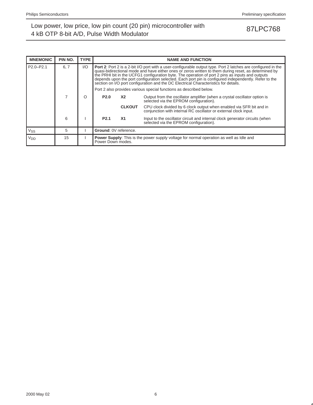| <b>MNEMONIC</b> | PIN NO. | <b>TYPE</b> |                       | <b>NAME AND FUNCTION</b>                                                                                            |                                                                                                                                                                                                                                                                                                                                                                                                                                                                                                                                                                                                          |  |  |  |  |
|-----------------|---------|-------------|-----------------------|---------------------------------------------------------------------------------------------------------------------|----------------------------------------------------------------------------------------------------------------------------------------------------------------------------------------------------------------------------------------------------------------------------------------------------------------------------------------------------------------------------------------------------------------------------------------------------------------------------------------------------------------------------------------------------------------------------------------------------------|--|--|--|--|
| $P2.0 - P2.1$   | 6, 7    | I/O         |                       |                                                                                                                     | <b>Port 2:</b> Port 2 is a 2-bit I/O port with a user-configurable output type. Port 2 latches are configured in the<br>quasi-bidirectional mode and have either ones or zeros written to them during reset, as determined by<br>the PRHI bit in the UCFG1 configuration byte. The operation of port 2 pins as inputs and outputs<br>depends upon the port configuration selected. Each port pin is configured independently. Refer to the<br>section on I/O port configuration and the DC Electrical Characteristics for details.<br>Port 2 also provides various special functions as described below. |  |  |  |  |
|                 |         | O           | <b>P2.0</b>           | X2                                                                                                                  | Output from the oscillator amplifier (when a crystal oscillator option is<br>selected via the EPROM configuration).                                                                                                                                                                                                                                                                                                                                                                                                                                                                                      |  |  |  |  |
|                 |         |             |                       | <b>CLKOUT</b>                                                                                                       | CPU clock divided by 6 clock output when enabled via SFR bit and in<br>conjunction with internal RC oscillator or external clock input.                                                                                                                                                                                                                                                                                                                                                                                                                                                                  |  |  |  |  |
|                 | 6       |             | P <sub>2.1</sub>      | <b>X1</b>                                                                                                           | Input to the oscillator circuit and internal clock generator circuits (when<br>selected via the EPROM configuration).                                                                                                                                                                                                                                                                                                                                                                                                                                                                                    |  |  |  |  |
| $V_{SS}$        | 5       |             | Ground: 0V reference. |                                                                                                                     |                                                                                                                                                                                                                                                                                                                                                                                                                                                                                                                                                                                                          |  |  |  |  |
| V <sub>DD</sub> | 15      |             |                       | <b>Power Supply:</b> This is the power supply voltage for normal operation as well as Idle and<br>Power Down modes. |                                                                                                                                                                                                                                                                                                                                                                                                                                                                                                                                                                                                          |  |  |  |  |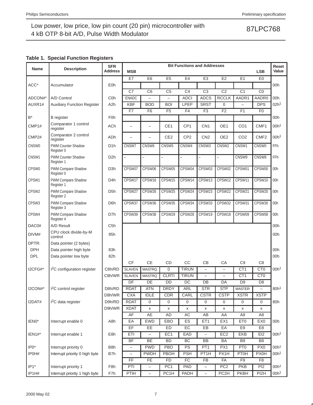## **Table 1. Special Function Registers**

| Name              | <b>Description</b>                    | <b>SFR</b><br><b>Address</b> | <b>Bit Functions and Addresses</b><br><b>MSB</b><br><b>LSB</b> |                          |                          |                 |                          |                          |                                 | Reset<br>Value                             |                  |
|-------------------|---------------------------------------|------------------------------|----------------------------------------------------------------|--------------------------|--------------------------|-----------------|--------------------------|--------------------------|---------------------------------|--------------------------------------------|------------------|
|                   |                                       |                              | E7                                                             | E <sub>6</sub>           | E <sub>5</sub>           | E4              | E <sub>3</sub>           | E <sub>2</sub>           | E1                              | E <sub>0</sub>                             |                  |
| ACC*              | Accumulator                           | E <sub>0</sub> h             |                                                                |                          |                          |                 |                          |                          |                                 |                                            | 00h              |
|                   |                                       |                              | C7                                                             | C <sub>6</sub>           | C <sub>5</sub>           | C <sub>4</sub>  | C <sub>3</sub>           | C <sub>2</sub>           | C <sub>1</sub>                  | CO                                         |                  |
| ADCON#*           | A/D Control                           | C <sub>0</sub> h             | <b>ENADC</b>                                                   |                          | $\overline{\phantom{0}}$ | <b>ADCI</b>     | <b>ADCS</b>              | <b>RCCLK</b>             | AADR1                           | AADR0                                      | 00h              |
| AUXR1#            | <b>Auxiliary Function Register</b>    | A <sub>2</sub> h             | <b>KBF</b>                                                     | <b>BOD</b>               | <b>BOI</b>               | <b>LPEP</b>     | <b>SRST</b>              | 0                        | $\overline{\phantom{0}}$        | <b>DPS</b>                                 | 02h <sup>1</sup> |
|                   |                                       |                              | F7                                                             | F <sub>6</sub>           | F <sub>5</sub>           | F <sub>4</sub>  | F <sub>3</sub>           | F <sub>2</sub>           | F <sub>1</sub>                  | F <sub>0</sub>                             |                  |
| $\mathsf{B}^*$    | <b>B</b> register                     | F <sub>0</sub> h             |                                                                |                          |                          |                 |                          |                          |                                 |                                            | 00h              |
| CMP1#             | Comparator 1 control<br>register      | ACh                          | L,                                                             | $\overline{\phantom{0}}$ | CE1                      | CP <sub>1</sub> | CN <sub>1</sub>          | OE1                      | CO <sub>1</sub>                 | CMF1                                       | 00h <sup>1</sup> |
| CMP <sub>2#</sub> | Comparator 2 control<br>register      | ADh                          | L,                                                             | L,                       | CE <sub>2</sub>          | CP <sub>2</sub> | CN <sub>2</sub>          | OE <sub>2</sub>          | CO <sub>2</sub>                 | CMF <sub>2</sub>                           | 00h <sup>1</sup> |
| CNSW0             | PWM Counter Shadow<br>Register 0      | D <sub>1</sub> h             | CNSW7                                                          | CNSW6                    | CNSW <sub>5</sub>        | CNSW4           | CNSW3                    | CNSW <sub>2</sub>        | CNSW1                           | CNSW0                                      | <b>FFh</b>       |
| CNSW1             | PWM Counter Shadow<br>Register 1      | D <sub>2</sub> h             | $\equiv$                                                       | $\overline{\phantom{0}}$ | $\overline{\phantom{0}}$ | $\overline{a}$  | $\overline{\phantom{0}}$ | $\overline{\phantom{0}}$ | CNSW9                           | CNSW8                                      | <b>FFh</b>       |
| CPSW <sub>0</sub> | PWM Compare Shadow<br>Register 0      | D <sub>3</sub> h             | CPSW07                                                         | CPSW06                   | CPSW05                   | CPSW04          | CPSW03                   | CPSW02                   | CPSW01                          | CPSW00                                     | 00h              |
| CPSW1             | PWM Compare Shadow<br>Register 1      | D <sub>4</sub> h             | CPSW17                                                         | CPSW16                   | CPSW15                   | CPSW14          | CPSW13                   | CPSW12                   | CPSW11                          | CPSW10                                     | 00h              |
| CPSW2             | PWM Compare Shadow<br>Register 2      | D <sub>5</sub> h             | CPSW27                                                         | CPSW26                   | CPSW25                   | CPSW24          | CPSW23                   | CPSW22                   | CPSW21                          | CPSW20                                     | 00h              |
| CPSW3             | PWM Compare Shadow<br>Register 3      | D <sub>6</sub> h             | CPSW37                                                         | CPSW36                   | CPSW35                   | CPSW34          | CPSW33                   | CPSW32                   | CPSW31                          | CPSW30                                     | 00h              |
| CPSW4             | PWM Compare Shadow<br>Register 4      | D7h                          | CPSW39                                                         | CPSW38                   | CPSW29                   | CPSW28          | CPSW19                   | CPSW18                   | CPSW09                          | CPSW08                                     | 00h              |
| DAC0#             | A/D Result                            | C <sub>5</sub> h             |                                                                |                          |                          |                 |                          |                          |                                 |                                            | 00h              |
| DIVM#             | CPU clock divide-by-M<br>control      | 95h                          |                                                                |                          |                          |                 |                          |                          |                                 |                                            | 00h              |
| DPTR:             | Data pointer (2 bytes)                |                              |                                                                |                          |                          |                 |                          |                          |                                 |                                            |                  |
| <b>DPH</b>        | Data pointer high byte                | 83h                          |                                                                |                          |                          |                 |                          |                          |                                 |                                            | 00h              |
| <b>DPL</b>        | Data pointer low byte                 | 82h                          |                                                                |                          |                          |                 |                          |                          |                                 |                                            | 00h              |
|                   |                                       |                              | <b>CF</b>                                                      | <b>CE</b>                | CD                       | CC              | CB                       | CA                       | C <sub>9</sub>                  | C <sub>8</sub>                             |                  |
| I2CFG#*           | <sup>2</sup> C configuration register | C8h/RD                       | <b>SLAVEN</b>                                                  | <b>MASTRQ</b>            | 0                        | <b>TIRUN</b>    | $\overline{\phantom{0}}$ | $\overline{\phantom{m}}$ | CT <sub>1</sub>                 | C <sub>T0</sub>                            | 00h <sup>1</sup> |
|                   |                                       | C8h/WR                       | <b>SLAVEN</b>                                                  | <b>MASTRQ</b>            | <b>CLRTI</b>             | <b>TIRUN</b>    |                          | $\overline{\phantom{0}}$ | CT <sub>1</sub>                 | C <sub>T0</sub>                            |                  |
| $I2CON#*$         | <sup>2</sup> C control register       | D8h/RD                       | DF<br><b>RDAT</b>                                              | DE<br><b>ATN</b>         | <b>DD</b><br><b>DRDY</b> | DC<br>ARL       | DB<br><b>STR</b>         | DA<br><b>STP</b>         | D <sub>9</sub><br><b>MASTER</b> | D <sub>8</sub><br>$\overline{\phantom{0}}$ | 80h <sup>1</sup> |
|                   |                                       | D8h/WR                       | <b>CXA</b>                                                     | <b>IDLE</b>              | CDR                      | CARL            | <b>CSTR</b>              | <b>CSTP</b>              | <b>XSTR</b>                     | <b>XSTP</b>                                |                  |
| I2DAT#            | I <sup>2</sup> C data register        | D9h/RD                       | <b>RDAT</b>                                                    | $\mathbf 0$              | 0                        | 0               | 0                        | 0                        | 0                               | 0                                          | 80h              |
|                   |                                       | D9h/WR                       | <b>XDAT</b>                                                    | $\pmb{\mathsf{X}}$       | X                        | X               | X                        | X                        | x                               | X                                          |                  |
|                   |                                       |                              | AF                                                             | AE                       | AD                       | AC              | AB                       | AA                       | A <sub>9</sub>                  | A <sub>8</sub>                             |                  |
| IEN0*             | Interrupt enable 0                    | A8h                          | EA                                                             | <b>EWD</b>               | EBO                      | ES              | ET <sub>1</sub>          | EX1                      | ET <sub>0</sub>                 | EX0                                        | 00h              |
|                   |                                       |                              | EF                                                             | EE                       | ED                       | EC              | EB                       | EA                       | E <sub>9</sub>                  | E <sub>8</sub>                             |                  |
| IEN1#*            | Interrupt enable 1                    | E8h                          | ETI                                                            | $\qquad \qquad -$        | EC <sub>1</sub>          | EAD             | $\qquad \qquad -$        | EC <sub>2</sub>          | <b>EKB</b>                      | EI <sub>2</sub>                            | 00h <sup>1</sup> |
|                   |                                       |                              | <b>BF</b>                                                      | BE                       | <b>BD</b>                | BC              | BB                       | BA                       | B <sub>9</sub>                  | B <sub>8</sub>                             |                  |
| $IPO*$            | Interrupt priority 0                  | B <sub>8</sub> h             | -                                                              | <b>PWD</b>               | PBO                      | PS              | PT <sub>1</sub>          | PX1                      | PT <sub>0</sub>                 | PX <sub>0</sub>                            | 00h <sup>1</sup> |
| IP0H#             | Interrupt priority 0 high byte        | B7h                          | -                                                              | <b>PWDH</b>              | PBOH                     | <b>PSH</b>      | PT <sub>1</sub> H        | PX1H                     | <b>PT0H</b>                     | <b>PX0H</b>                                | 00h <sup>1</sup> |
|                   |                                       |                              | FF                                                             | <b>FE</b>                | <b>FD</b>                | FC              | FB                       | FA                       | F9                              | F <sub>8</sub>                             |                  |
| $IP1*$            | Interrupt priority 1                  | F <sub>8</sub> h             | PTI                                                            | $\overline{\phantom{m}}$ | PC <sub>1</sub>          | PAD             | $\qquad \qquad -$        | PC <sub>2</sub>          | <b>PKB</b>                      | PI <sub>2</sub>                            | 00h <sup>1</sup> |
| IP1H#             | Interrupt priority 1 high byte        | F7h                          | PTIH                                                           | $\equiv$                 | PC1H                     | PADH            | $\equiv$                 | PC <sub>2H</sub>         | <b>PKBH</b>                     | PI2H                                       | 00h <sup>1</sup> |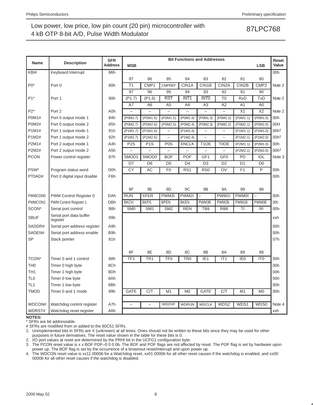| 2000 May 02 |  |
|-------------|--|

\* SFRs are bit addressable.

# SFRs are modified from or added to the 80C51 SFRs.

| <b>Name</b>     | <b>Description</b>                  | <b>SFR</b><br><b>Address</b> | <b>MSB</b>       |                   |                          | <b>Bit Functions and Addresses</b> |                          |                          |                 | <b>LSB</b>       | Reset<br>Value   |
|-----------------|-------------------------------------|------------------------------|------------------|-------------------|--------------------------|------------------------------------|--------------------------|--------------------------|-----------------|------------------|------------------|
| KBI#            | Keyboard Interrupt                  | 86h                          |                  |                   |                          |                                    |                          |                          |                 |                  | 00h              |
|                 |                                     |                              | 87               | 86                | 85                       | 84                                 | 83                       | 82                       | 81              | 80               |                  |
| $P0*$           | Port 0                              | 80h                          | T <sub>1</sub>   | CMP1              | <b>CMPREF</b>            | CIN1A                              | CIN1B                    | CIN <sub>2</sub> A       | CIN2B           | CMP <sub>2</sub> | Note 2           |
|                 |                                     |                              | 97               | 96                | 95                       | 94                                 | 93                       | 92                       | 91              | 90               |                  |
| $P1*$           | Port 1                              | 90h                          | (P1.7)           | (P1.6)            | <b>RST</b>               | INT <sub>1</sub>                   | <b>INTO</b>              | T <sub>0</sub>           | <b>RxD</b>      | TxD              | Note 2           |
|                 |                                     |                              | A7               | A <sub>6</sub>    | A <sub>5</sub>           | A4                                 | A <sub>3</sub>           | A2                       | A <sub>1</sub>  | A <sub>0</sub>   |                  |
| $P2*$           | Port 2                              | A0h                          |                  |                   |                          |                                    | $\overline{\phantom{0}}$ |                          | X1              | X <sub>2</sub>   | Note 2           |
| <b>P0M1#</b>    | Port 0 output mode 1                | 84h                          | (P0M1.7)         | (P0M1.6)          | (P0M1.5)                 | (P0M1.4)                           | (P0M1.3)                 | (P0M1.2)                 | (P0M1.1)        | (P0M1.0)         | 00h              |
| <b>P0M2#</b>    | Port 0 output mode 2                | 85h                          | (P0M2.7)         | (P0M2.6)          | (P0M2.5)                 | (P0M2.4)                           | (P0M2.3)                 | (P0M2.2)                 | (P0M2.1)        | (P0M2.0)         | 00H              |
| P1M1#           | Port 1 output mode 1                | 91h                          | (P1M1.7)         | $($ P1M1.6)       | $\overline{\phantom{0}}$ | $($ P1M1.4 $)$                     | $\equiv$                 | $\overline{\phantom{0}}$ | $($ P1M1.1)     | $($ P1M1.0)      | 00h <sup>1</sup> |
| P1M2#           | Port 1 output mode 2                | 92h                          | (P1M2.7)         | (P1M2.6)          | $\overline{\phantom{0}}$ | $($ P1M2.4)                        |                          |                          | (P1M2.1)        | $($ P1M2.0)      | 00h <sup>1</sup> |
| P2M1#           | Port 2 output mode 1                | A4h                          | P <sub>2</sub> S | P <sub>1</sub> S  | P <sub>0</sub> S         | <b>ENCLK</b>                       | T <sub>1</sub> OE        | T0OE                     | (P2M1.1)        | (P2M1.0)         | 00h              |
| P2M2#           | Port 2 output mode 2                | A <sub>5</sub> h             |                  |                   |                          |                                    |                          |                          | (P2M2.1)        | (P2M2.0)         | 00h <sup>1</sup> |
| <b>PCON</b>     | Power control register              | 87h                          | SMOD1            | SMOD <sub>0</sub> | <b>BOF</b>               | <b>POF</b>                         | GF <sub>1</sub>          | GF <sub>0</sub>          | PD              | IDL              | Note 3           |
|                 |                                     |                              | D7               | D <sub>6</sub>    | D <sub>5</sub>           | D <sub>4</sub>                     | D <sub>3</sub>           | D <sub>2</sub>           | D <sub>1</sub>  | D <sub>0</sub>   |                  |
| PSW*            | Program status word                 | D <sub>0</sub> h             | CY               | <b>AC</b>         | F <sub>0</sub>           | RS <sub>1</sub>                    | R <sub>S0</sub>          | OV                       | F <sub>1</sub>  | P                | 00h              |
| PT0AD#          | Port 0 digital input disable        | F6h                          |                  |                   |                          |                                    |                          |                          |                 |                  | 00h              |
|                 |                                     |                              |                  |                   |                          |                                    |                          |                          |                 |                  |                  |
|                 |                                     |                              | 9F               | 9E                | 9 <sub>D</sub>           | 9C                                 | 9B                       | <b>9A</b>                | 99              | 98               |                  |
| <b>PWMCON0</b>  | PWM Control Register 0              | DAh                          | <b>RUN</b>       | <b>XFER</b>       | PWM3I                    | PWM2I                              | $\overline{\phantom{0}}$ | PWM1I                    | <b>PWM0I</b>    |                  | 00h              |
| PWMCON1         | PWM Control Register 1              | <b>DBh</b>                   | <b>BKCH</b>      | <b>BKPS</b>       | <b>BPEN</b>              | <b>BKEN</b>                        | PWM3B                    | PWM2B                    | PWM1B           | PWM0B            | 00h              |
| SCON*           | Serial port control                 | 98h                          | SM <sub>0</sub>  | SM <sub>1</sub>   | SM <sub>2</sub>          | <b>REN</b>                         | TB8                      | RB <sub>8</sub>          | TI              | R <sub>1</sub>   | 00h              |
| <b>SBUF</b>     | Serial port data buffer<br>register | 99h                          |                  |                   |                          |                                    |                          |                          |                 |                  | xxh              |
| SADDR#          | Serial port address register        | A9h                          |                  |                   |                          |                                    |                          |                          |                 |                  | 00h              |
| SADEN#          | Serial port address enable          | B9h                          |                  |                   |                          |                                    |                          |                          |                 |                  | 00h              |
| <b>SP</b>       | Stack pointer                       | 81h                          |                  |                   |                          |                                    |                          |                          |                 |                  | 07h              |
|                 |                                     |                              | 8F               | 8E                | 8D                       | 8C                                 | 8B                       | 8A                       | 89              | 88               |                  |
| TCON*           | Timer 0 and 1 control               | 88h                          | TF1              | TR <sub>1</sub>   | TF <sub>0</sub>          | TR <sub>0</sub>                    | IE <sub>1</sub>          | IT <sub>1</sub>          | IE <sub>0</sub> | IT <sub>0</sub>  | 00h              |
| TH <sub>0</sub> | Timer 0 high byte                   | 8Ch                          |                  |                   |                          |                                    |                          |                          |                 |                  | 00h              |
| TH <sub>1</sub> | Timer 1 high byte                   | 8Dh                          |                  |                   |                          |                                    |                          |                          |                 |                  | 00h              |
| TL <sub>0</sub> | Timer 0 low byte                    | 8Ah                          |                  |                   |                          |                                    |                          |                          |                 |                  | 00h              |
| TL <sub>1</sub> | Timer 1 low byte                    | 8Bh                          |                  |                   |                          |                                    |                          |                          |                 |                  | 00h              |
| <b>TMOD</b>     | Timer 0 and 1 mode                  | 89h                          | <b>GATE</b>      | C/T               | M1                       | M <sub>0</sub>                     | <b>GATE</b>              | C/T                      | M1              | M <sub>0</sub>   | 00h              |
|                 |                                     |                              |                  |                   |                          |                                    |                          |                          |                 |                  |                  |
| WDCON#          | Watchdog control register           | A7h                          |                  |                   | <b>WDOVF</b>             | <b>WDRUN</b>                       | <b>WDCLK</b>             | WDS2                     | WDS1            | WDS0             | Note 4           |
| WDRST#          | Watchdog reset register             | A6h                          |                  |                   |                          |                                    |                          |                          |                 |                  | xxh              |
| <b>NOTES:</b>   |                                     |                              |                  |                   |                          |                                    |                          |                          |                 |                  |                  |

1. Unimplemented bits in SFRs are X (unknown) at all times. Ones should not be written to these bits since they may be used for other purposes in future derivatives. The reset value shown in the table for these bits is 0. 2. I/O port values at reset are determined by the PRHI bit in the UCFG1 configuration byte.

3. The PCON reset value is x x BOF POF–0 0 0 0b. The BOF and POF flags are not affected by reset. The POF flag is set by hardware upon power up. The BOF flag is set by the occurrence of a brownout reset/interrupt and upon power up.

4. The WDCON reset value is xx11 0000b for a Watchdog reset, xx01 0000b for all other reset causes if the watchdog is enabled, and xx00 0000b for all other reset causes if the watchdog is disabled.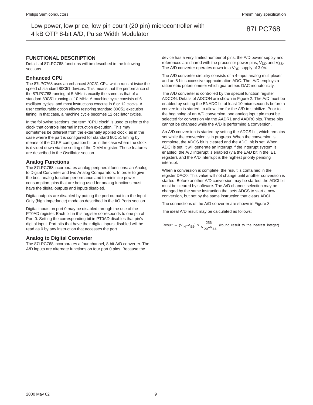**FUNCTIONAL DESCRIPTION**

Details of 87LPC768 functions will be described in the following sections.

### **Enhanced CPU**

The 87LPC768 uses an enhanced 80C51 CPU which runs at twice the speed of standard 80C51 devices. This means that the performance of the 87LPC768 running at 5 MHz is exactly the same as that of a standard 80C51 running at 10 MHz. A machine cycle consists of 6 oscillator cycles, and most instructions execute in 6 or 12 clocks. A user configurable option allows restoring standard 80C51 execution timing. In that case, a machine cycle becomes 12 oscillator cycles.

In the following sections, the term "CPU clock" is used to refer to the clock that controls internal instruction execution. This may sometimes be different from the externally applied clock, as in the case where the part is configured for standard 80C51 timing by means of the CLKR configuration bit or in the case where the clock is divided down via the setting of the DIVM register. These features are described in the Oscillator section.

### **Analog Functions**

The 87LPC768 incorporates analog peripheral functions: an Analog to Digital Converter and two Analog Comparators. In order to give the best analog function performance and to minimize power consumption, pins that are being used for analog functions must have the digital outputs and inputs disabled.

Digital outputs are disabled by putting the port output into the Input Only (high impedance) mode as described in the I/O Ports section.

Digital inputs on port 0 may be disabled through the use of the PT0AD register. Each bit in this register corresponds to one pin of Port 0. Setting the corresponding bit in PT0AD disables that pin's digital input. Port bits that have their digital inputs disabled will be read as 0 by any instruction that accesses the port.

### **Analog to Digital Converter**

The 87LPC768 incorporates a four channel, 8-bit A/D converter. The A/D inputs are alternate functions on four port 0 pins. Because the

device has a very limited number of pins, the A/D power supply and references are shared with the processor power pins,  $V_{DD}$  and  $V_{SS}$ . The A/D converter operates down to a  $V_{DD}$  supply of 3.0V.

The A/D converter circuitry consists of a 4-input analog multiplexer and an 8-bit successive approximation ADC. The A/D employs a ratiometric potentiometer which guarantees DAC monotonicity.

The A/D converter is controlled by the special function register ADCON. Details of ADCON are shown in Figure 2. The A/D must be enabled by setting the ENADC bit at least 10 microseconds before a conversion is started, to allow time for the A/D to stabilize. Prior to the beginning of an A/D conversion, one analog input pin must be selected for conversion via the AADR1 and AADR0 bits. These bits cannot be changed while the A/D is performing a conversion.

An A/D conversion is started by setting the ADCS bit, which remains set while the conversion is in progress. When the conversion is complete, the ADCS bit is cleared and the ADCI bit is set. When ADCI is set, it will generate an interrupt if the interrupt system is enabled, the A/D interrupt is enabled (via the EAD bit in the IE1 register), and the A/D interrupt is the highest priority pending interrupt.

When a conversion is complete, the result is contained in the register DAC0. This value will not change until another conversion is started. Before another A/D conversion may be started, the ADCI bit must be cleared by software. The A/D channel selection may be changed by the same instruction that sets ADCS to start a new conversion, but not by the same instruction that clears ADCI.

The connections of the A/D converter are shown in Figure 3.

The ideal A/D result may be calculated as follows:

Result = 
$$
(V_{IN} - V_{SS}) \times \frac{256}{V_{DD} - V_{SS}}
$$
 (round result to the nearest integer)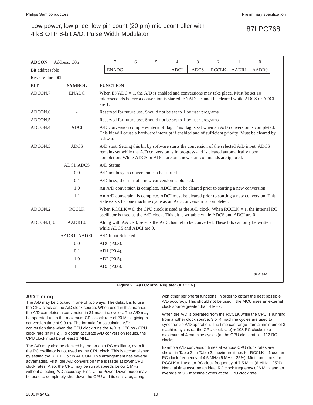| <b>ADCON</b>     | Address: C0h   | 7                                                                                                                                                                                                                                                                 | 6                                                                                                                                                                                                   | 5 | 4           | 3           | 2            |       | $\boldsymbol{0}$                                                                        |
|------------------|----------------|-------------------------------------------------------------------------------------------------------------------------------------------------------------------------------------------------------------------------------------------------------------------|-----------------------------------------------------------------------------------------------------------------------------------------------------------------------------------------------------|---|-------------|-------------|--------------|-------|-----------------------------------------------------------------------------------------|
| Bit addressable  |                | <b>ENADC</b>                                                                                                                                                                                                                                                      |                                                                                                                                                                                                     |   | <b>ADCI</b> | <b>ADCS</b> | <b>RCCLK</b> | AADR1 | AADR0                                                                                   |
| Reset Value: 00h |                |                                                                                                                                                                                                                                                                   |                                                                                                                                                                                                     |   |             |             |              |       |                                                                                         |
| <b>BIT</b>       | <b>SYMBOL</b>  | <b>FUNCTION</b>                                                                                                                                                                                                                                                   |                                                                                                                                                                                                     |   |             |             |              |       |                                                                                         |
| ADCON.7          | <b>ENADC</b>   | When ENADC = 1, the A/D is enabled and conversions may take place. Must be set 10<br>microseconds before a conversion is started. ENADC cannot be cleared while ADCS or ADCI<br>are 1.                                                                            |                                                                                                                                                                                                     |   |             |             |              |       |                                                                                         |
| ADCON.6          |                | Reserved for future use. Should not be set to 1 by user programs.                                                                                                                                                                                                 |                                                                                                                                                                                                     |   |             |             |              |       |                                                                                         |
| ADCON.5          |                | Reserved for future use. Should not be set to 1 by user programs.                                                                                                                                                                                                 |                                                                                                                                                                                                     |   |             |             |              |       |                                                                                         |
| ADCON.4          | <b>ADCI</b>    | software.                                                                                                                                                                                                                                                         | A/D conversion complete/interrupt flag. This flag is set when an A/D conversion is completed.<br>This bit will cause a hardware interrupt if enabled and of sufficient priority. Must be cleared by |   |             |             |              |       |                                                                                         |
| ADCON.3          | <b>ADCS</b>    | A/D start. Setting this bit by software starts the conversion of the selected A/D input. ADCS<br>remains set while the A/D conversion is in progress and is cleared automatically upon<br>completion. While ADCS or ADCI are one, new start commands are ignored. |                                                                                                                                                                                                     |   |             |             |              |       |                                                                                         |
|                  | ADCI, ADCS     | A/D Status                                                                                                                                                                                                                                                        |                                                                                                                                                                                                     |   |             |             |              |       |                                                                                         |
|                  | 0 <sub>0</sub> | A/D not busy, a conversion can be started.                                                                                                                                                                                                                        |                                                                                                                                                                                                     |   |             |             |              |       |                                                                                         |
|                  | 0 <sub>1</sub> | A/D busy, the start of a new conversion is blocked.                                                                                                                                                                                                               |                                                                                                                                                                                                     |   |             |             |              |       |                                                                                         |
|                  | 1 <sub>0</sub> | An A/D conversion is complete. ADCI must be cleared prior to starting a new conversion.                                                                                                                                                                           |                                                                                                                                                                                                     |   |             |             |              |       |                                                                                         |
|                  | 11             | An A/D conversion is complete. ADCI must be cleared prior to starting a new conversion. This<br>state exists for one machine cycle as an A/D conversion is completed.                                                                                             |                                                                                                                                                                                                     |   |             |             |              |       |                                                                                         |
| ADCON.2          | <b>RCCLK</b>   | oscillator is used as the A/D clock. This bit is writable while ADCS and ADCI are 0.                                                                                                                                                                              |                                                                                                                                                                                                     |   |             |             |              |       | When RCCLK = 0, the CPU clock is used as the A/D clock. When RCCLK = 1, the internal RC |
| ADCON.1, 0       | AADR1,0        | Along with AADR0, selects the A/D channel to be converted. These bits can only be written<br>while ADCS and ADCI are 0.                                                                                                                                           |                                                                                                                                                                                                     |   |             |             |              |       |                                                                                         |
|                  | AADR1, AADR0   | A/D Input Selected                                                                                                                                                                                                                                                |                                                                                                                                                                                                     |   |             |             |              |       |                                                                                         |
|                  | 0 <sub>0</sub> | AD0 (P0.3).                                                                                                                                                                                                                                                       |                                                                                                                                                                                                     |   |             |             |              |       |                                                                                         |
|                  | 0 <sub>1</sub> | AD1 (P0.4).                                                                                                                                                                                                                                                       |                                                                                                                                                                                                     |   |             |             |              |       |                                                                                         |
|                  | 10             | AD2 (P0.5).                                                                                                                                                                                                                                                       |                                                                                                                                                                                                     |   |             |             |              |       |                                                                                         |
|                  | 11             | AD3 (P0.6).                                                                                                                                                                                                                                                       |                                                                                                                                                                                                     |   |             |             |              |       |                                                                                         |
|                  |                |                                                                                                                                                                                                                                                                   |                                                                                                                                                                                                     |   |             |             |              |       | SU01354                                                                                 |

**Figure 2. A/D Control Register (ADCON)**

### **A/D Timing**

The A/D may be clocked in one of two ways. The default is to use the CPU clock as the A/D clock source. When used in this manner, the A/D completes a conversion in 31 machine cycles. The A/D may be operated up to the maximum CPU clock rate of 20 MHz, giving a conversion time of 9.3 µs. The formula for calculating A/D conversion time when the CPU clock runs the A/D is: 186 µs / CPU clock rate (in MHZ). To obtain accurate A/D conversion results, the CPU clock must be at least 1 MHz.

The A/D may also be clocked by the on-chip RC oscillator, even if the RC oscillator is not used as the CPU clock. This is accomplished by setting the RCCLK bit in ADCON. This arrangement has several advantages. First, the A/D conversion time is faster at lower CPU clock rates. Also, the CPU may be run at speeds below 1 MHz without affecting A/D accuracy. Finally, the Power Down mode may be used to completely shut down the CPU and its oscillator, along

with other peripheral functions, in order to obtain the best possible A/D accuracy. This should not be used if the MCU uses an external clock source greater than 4 MHz.

When the A/D is operated from the RCCLK while the CPU is running from another clock source, 3 or 4 machine cycles are used to synchronize A/D operation. The time can range from a minimum of 3 machine cycles (at the CPU clock rate) + 108 RC clocks to a maximum of 4 machine cycles (at the CPU clock rate) + 112 RC clocks.

Example A/D conversion times at various CPU clock rates are shown in Table 2. In Table 2, maximum times for  $RCCLK = 1$  use an RC clock frequency of 4.5 MHz (6 MHz - 25%). Minimum times for RCCLK = 1 use an RC clock frequency of 7.5 MHz (6 MHz + 25%). Nominal time assume an ideal RC clock frequency of 6 MHz and an average of 3.5 machine cycles at the CPU clock rate.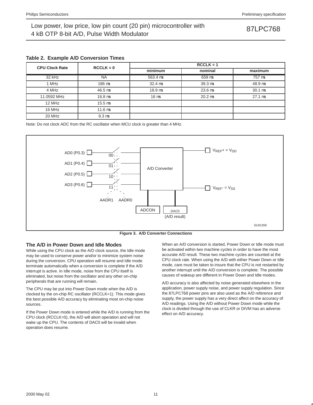|  |  |  | Table 2. Example A/D Conversion Times |  |
|--|--|--|---------------------------------------|--|
|--|--|--|---------------------------------------|--|

| <b>CPU Clock Rate</b> | $RCCLK = 0$              | $RCCLK = 1$                |                            |                      |  |  |  |  |  |
|-----------------------|--------------------------|----------------------------|----------------------------|----------------------|--|--|--|--|--|
|                       |                          | minimum                    | nominal                    | maximum              |  |  |  |  |  |
| 32 kHz                | <b>NA</b>                | 563.4 us                   | $659 \,\mathrm{\upmu s}$   | 757 µs               |  |  |  |  |  |
| 1 MHz                 | $186 \,\mathrm{\upmu s}$ | $32.4 \text{ }\mu\text{s}$ | $39.3 \text{ }\mu\text{s}$ | $48.9 \,\mu s$       |  |  |  |  |  |
| 4 MHz                 | $46.5 \,\mu s$           | $18.9 \,\mu s$             | $23.6 \,\mu s$             | $30.1 \,\mu s$       |  |  |  |  |  |
| 11.0592 MHz           | $16.8 \,\mathrm{us}$     | 16 <sub>us</sub>           | $20.2 \text{ }\mu\text{s}$ | $27.1 \,\mathrm{us}$ |  |  |  |  |  |
| 12 MHz                | $15.5 \,\mathrm{us}$     |                            |                            |                      |  |  |  |  |  |
| 16 MHz                | $11.6 \,\mu s$           |                            |                            |                      |  |  |  |  |  |
| 20 MHz                | $9.3 \mu s$              |                            |                            |                      |  |  |  |  |  |

Note: Do not clock ADC from the RC oscillator when MCU clock is greater than 4 MHz.





### **The A/D in Power Down and Idle Modes**

While using the CPU clock as the A/D clock source, the Idle mode may be used to conserve power and/or to minimize system noise during the conversion. CPU operation will resume and Idle mode terminate automatically when a conversion is complete if the A/D interrupt is active. In Idle mode, noise from the CPU itself is eliminated, but noise from the oscillator and any other on-chip peripherals that are running will remain.

The CPU may be put into Power Down mode when the A/D is clocked by the on-chip RC oscillator (RCCLK=1). This mode gives the best possible A/D accuracy by eliminating most on-chip noise sources.

If the Power Down mode is entered while the A/D is running from the CPU clock (RCCLK=0), the A/D will abort operation and will not wake up the CPU. The contents of DAC0 will be invalid when operation does resume.

When an A/D conversion is started, Power Down or Idle mode must be activated within two machine cycles in order to have the most accurate A/D result. These two machine cycles are counted at the CPU clock rate. When using the A/D with either Power Down or Idle mode, care must be taken to insure that the CPU is not restarted by another interrupt until the A/D conversion is complete. The possible causes of wakeup are different in Power Down and Idle modes.

A/D accuracy is also affected by noise generated elsewhere in the application, power supply noise, and power supply regulation. Since the 87LPC768 power pins are also used as the A/D reference and supply, the power supply has a very direct affect on the accuracy of A/D readings. Using the A/D without Power Down mode while the clock is divided through the use of CLKR or DIVM has an adverse effect on A/D accuracy.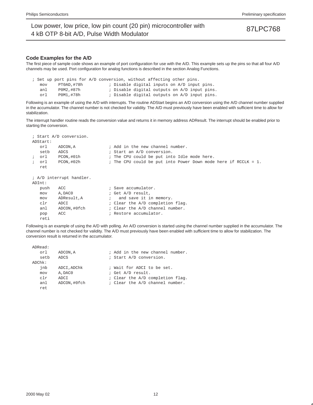### **Code Examples for the A/D**

The first piece of sample code shows an example of port configuration for use with the A/D. This example sets up the pins so that all four A/D channels may be used. Port configuration for analog functions is described in the section Analog Functions.

; Set up port pins for A/D conversion, without affecting other pins. mov PT0AD,#78h ; Disable digital inputs on A/D input pins. anl POM2,#87h ; Disable digital outputs on A/D input pins. orl POM1,#78h ; Disable digital outputs on A/D input pins.

Following is an example of using the A/D with interrupts. The routine ADStart begins an A/D conversion using the A/D channel number supplied in the accumulator. The channel number is not checked for validity. The A/D must previously have been enabled with sufficient time to allow for stabilization.

The interrupt handler routine reads the conversion value and returns it in memory address ADResult. The interrupt should be enabled prior to starting the conversion.

|            |      | ; Start A/D conversion.  |                                                                   |
|------------|------|--------------------------|-------------------------------------------------------------------|
| ADStart:   |      |                          |                                                                   |
|            | orl  | ADCON, A                 | ; Add in the new channel number.                                  |
|            | setb | ADCS                     | ; Start an A/D conversion.                                        |
| $\ddot{i}$ | orl  | PCON,#01h                | ; The CPU could be put into Idle mode here.                       |
| $\ddot{i}$ | orl  | PCON, #02h               | ; The CPU could be put into Power Down mode here if RCCLK = $1$ . |
|            | ret  |                          |                                                                   |
|            |      |                          |                                                                   |
|            |      | ; A/D interrupt handler. |                                                                   |
| ADInt:     |      |                          |                                                                   |
|            | push | ACC                      | ; Save accumulator.                                               |
|            | mov  | A, DAC0                  | ; Get A/D result,                                                 |
|            | mov  | ADResult, A              | ; and save it in memory.                                          |
|            | clr  | ADCI                     | ; Clear the A/D completion flag.                                  |
|            | anl  | ADCON,#0fch              | ; Clear the A/D channel number.                                   |
|            | pop  | ACC                      | ; Restore accumulator.                                            |
|            | reti |                          |                                                                   |

Following is an example of using the A/D with polling. An A/D conversion is started using the channel number supplied in the accumulator. The channel number is not checked for validity. The A/D must previously have been enabled with sufficient time to allow for stabilization. The conversion result is returned in the accumulator.

| ADRead:   |              |                                  |
|-----------|--------------|----------------------------------|
| orl.      | ADCON, A     | ; Add in the new channel number. |
| setb      | ADCS         | ; Start A/D conversion.          |
| $ADChk$ : |              |                                  |
| jnb       | ADCI, ADChk  | ; Wait for ADCI to be set.       |
| mov       | A, DACO      | ; Get A/D result.                |
| c1r       | ADCI         | ; Clear the A/D completion flag. |
| anl       | ADCON, #0fch | ; Clear the A/D channel number.  |
| ret.      |              |                                  |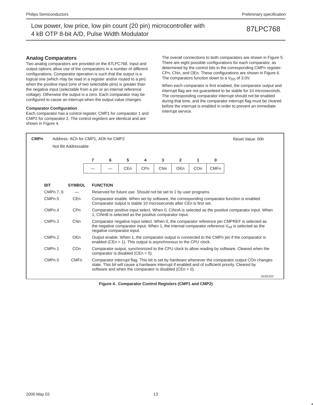### **Analog Comparators**

Two analog comparators are provided on the 87LPC768. Input and output options allow use of the comparators in a number of different configurations. Comparator operation is such that the output is a logical one (which may be read in a register and/or routed to a pin) when the positive input (one of two selectable pins) is greater than the negative input (selectable from a pin or an internal reference voltage). Otherwise the output is a zero. Each comparator may be configured to cause an interrupt when the output value changes.

### **Comparator Configuration**

Each comparator has a control register, CMP1 for comparator 1 and CMP2 for comparator 2. The control registers are identical and are shown in Figure 4.

The overall connections to both comparators are shown in Figure 5. There are eight possible configurations for each comparator, as determined by the control bits in the corresponding CMPn register: CPn, CNn, and OEn. These configurations are shown in Figure 6. The comparators function down to a  $V_{DD}$  of 3.0V.

When each comparator is first enabled, the comparator output and interrupt flag are not guaranteed to be stable for 10 microseconds. The corresponding comparator interrupt should not be enabled during that time, and the comparator interrupt flag must be cleared before the interrupt is enabled in order to prevent an immediate interrupt service.



**Figure 4. Comparator Control Registers (CMP1 and CMP2)**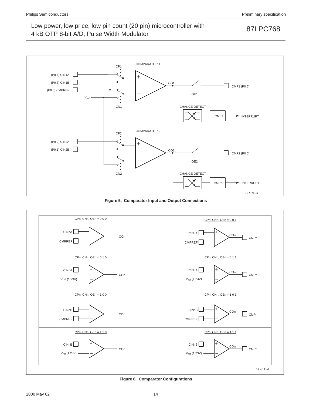

**Figure 5. Comparator Input and Output Connections**



**Figure 6. Comparator Configurations**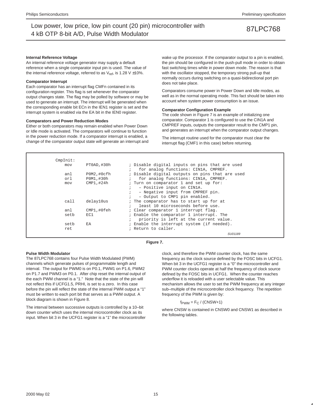### **Internal Reference Voltage**

An internal reference voltage generator may supply a default reference when a single comparator input pin is used. The value of the internal reference voltage, referred to as  $V_{ref}$ , is 1.28 V  $\pm$ 10%.

### **Comparator Interrupt**

Each comparator has an interrupt flag CMFn contained in its configuration register. This flag is set whenever the comparator output changes state. The flag may be polled by software or may be used to generate an interrupt. The interrupt will be generated when the corresponding enable bit ECn in the IEN1 register is set and the interrupt system is enabled via the EA bit in the IEN0 register.

### **Comparators and Power Reduction Modes**

Either or both comparators may remain enabled when Power Down or Idle mode is activated. The comparators will continue to function in the power reduction mode. If a comparator interrupt is enabled, a change of the comparator output state will generate an interrupt and wake up the processor. If the comparator output to a pin is enabled, the pin should be configured in the push-pull mode in order to obtain fast switching times while in power down mode. The reason is that with the oscillator stopped, the temporary strong pull-up that normally occurs during switching on a quasi-bidirectional port pin does not take place.

Comparators consume power in Power Down and Idle modes, as well as in the normal operating mode. This fact should be taken into account when system power consumption is an issue.

### **Comparator Configuration Example**

The code shown in Figure 7 is an example of initializing one comparator. Comparator 1 is configured to use the CIN1A and CMPREF inputs, outputs the comparator result to the CMP1 pin, and generates an interrupt when the comparator output changes.

The interrupt routine used for the comparator must clear the interrupt flag (CMF1 in this case) before returning.

| CmpInit: |             |                                                 |
|----------|-------------|-------------------------------------------------|
| mov      | PT0AD, #30h | ; Disable digital inputs on pins that are used  |
|          |             | for analog functions: CIN1A, CMPREF.            |
| anl      | POM2,#Ocfh  | ; Disable digital outputs on pins that are used |
| orl      | P0M1,#30h   | for analog functions: CIN1A, CMPREF.            |
| mov      | CMP1,#24h   | ; Turn on comparator 1 and set up for:          |
|          |             | - Positive input on CIN1A.                      |
|          |             | - Negative input from CMPREF pin.               |
|          |             | - Output to CMP1 pin enabled.                   |
| call     | delay10us   | ; The comparator has to start up for at         |
|          |             | least 10 microseconds before use.               |
| anl      | CMP1,#0feh  | : Clear comparator 1 interrupt flag.            |
| setb     | EC1         | ; Enable the comparator 1 interrupt. The        |
|          |             | priority is left at the current value.          |
| setb     | EA          | ; Enable the interrupt system (if needed).      |
| ret      |             | ; Return to caller.                             |
|          |             | SU01189                                         |

### **Figure 7.**

### **Pulse Width Modulator**

The 87LPC768 contains four Pulse Width Modulated (PWM) channels which generate pulses of programmable length and interval. The output for PWM0 is on P0.1, PWM1 on P1.6, PWM2 on P1.7 and PWM3 on P0.1. After chip reset the internal output of the each PWM channel is a "1." Note that the state of the pin will not reflect this if UCFG1.5, PRHI, is set to a zero. In this case before the pin will reflect the state of the internal PWM output a "1" must be written to each port bit that serves as a PWM output. A block diagram is shown in Figure 8.

The interval between successive outputs is controlled by a 10–bit down counter which uses the internal microcontroller clock as its input. When bit 3 in the UCFG1 register is a "1" the microcontroller

clock, and therefore the PWM counter clock, has the same frequency as the clock source defined by the FOSC bits in UCFG1. When bit 3 in the UCFG1 register is a "0" the microcontroller and PWM counter clocks operate at half the frequency of clock source defined by the FOSC bits in UCFG1. When the counter reaches underflow it is reloaded with a user selectable value. This mechanism allows the user to set the PWM frequency at any integer sub–multiple of the microcontroller clock frequency. The repetition frequency of the PWM is given by:

 $f_{\text{PWM}} = F_C / (CNSW+1)$ 

where CNSW is contained in CNSW0 and CNSW1 as described in the following tables.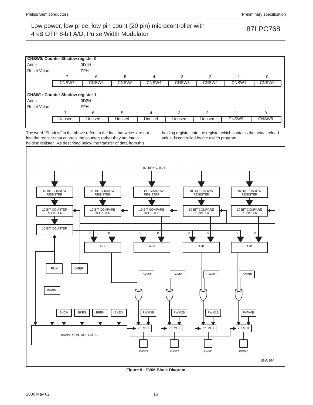

**Figure 8. PWM Block Diagram**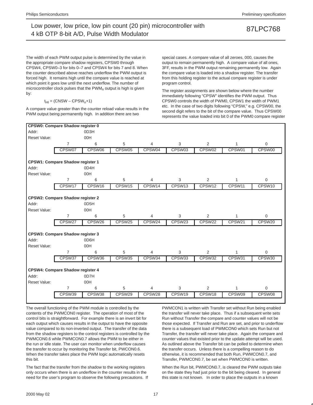The width of each PWM output pulse is determined by the value in the appropriate compare shadow registers, CPSW0 through CPSW4, CPSW0–3 for bits 0–7 and CPSW4 for bits 7 and 8. When the counter described above reaches underflow the PWM output is forced high. It remains high until the compare value is reached at which point it goes low until the next underflow. The number of microcontroller clock pulses that the  $\text{PWM}_n$  output is high is given by:

### $t_{\text{HI}} = \text{(CNSW} - \text{CPSW}_{n}+1)$

A compare value greater than the counter reload value results in the PWM output being permanently high. In addition there are two

special cases. A compare value of all zeroes, 000, causes the output to remain permanently high. A compare value of all ones, 3FF, results in the PWM output remaining permanently low. Again the compare value is loaded into a shadow register. The transfer from this holding register to the actual compare register is under program control.

The register assignments are shown below where the number immediately following "CPSW" identifies the PWM output. Thus CPSW0 controls the width of PWM0, CPSW1 the width of PWM1 etc. In the case of two digits following "CPSW," e.g. CPSW00, the second digit refers to the bit of the compare value. Thus CPSW00 represents the value loaded into bit 0 of the PWM0 compare register



The overall functioning of the PWM module is controlled by the contents of the PWMCON0 register. The operation of most of the control bits is straightforward. For example there is an invert bit for each output which causes results in the output to have the opposite value compared to its non-inverted output. The transfer of the data from the shadow registers to the control registers is controlled by the PWMCON0.6 while PWMCON0.7 allows the PWM to be either in the run or idle state. The user can monitor when underflow causes the transfer to occur by monitoring the Transfer bit, PWCON0.6. When the transfer takes place the PWM logic automatically resets this bit.

The fact that the transfer from the shadow to the working registers only occurs when there is an underflow in the counter results in the need for the user's program to observe the following precautions. If PWMCON1 is written with Transfer set without Run being enabled the transfer will never take place. Thus if a subsequent write sets Run without Transfer the compare and counter values will not be those expected. If Transfer and Run are set, and prior to underflow there is a subsequent load of PWMCON0 which sets Run but not Transfer, the transfer will never take place. Again the compare and counter values that existed prior to the update attempt will be used. As outlined above the Transfer bit can be polled to determine when the transfer occurs. Unless there is a compelling reason to do otherwise, it is recommended that both Run, PWMCON0.7, and Transfer, PWMCON0.7, be set when PWMCON0 is written.

When the Run bit, PWMCON0.7, is cleared the PWM outputs take on the state they had just prior to the bit being cleared. In general this state is not known. In order to place the outputs in a known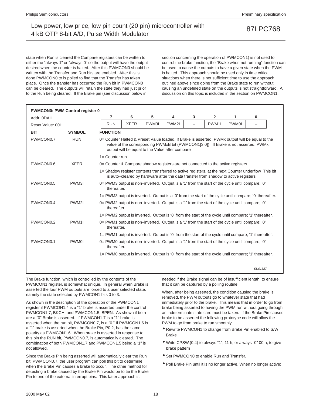state when Run is cleared the Compare registers can be written to either the "always 1" or "always 0" so the output will have the output desired when the counter is halted. After this PWMCON0 should be written with the Transfer and Run bits are enabled. After this is done PWMCON0 to is polled to find that the Transfer has taken place. Once the transfer has occurred the Run bit in PWMCON0 can be cleared. The outputs will retain the state they had just prior to the Run being cleared. If the Brake pin (see discussion below in

section concerning the operation of PWMCON1) is not used to control the brake function, the "Brake when not running" function can be used to cause the outputs to have a given state when the PWM is halted. This approach should be used only in time critical situations when there is not sufficient time to use the approach outlined above since going from the Brake state to run without causing an undefined state on the outputs is not straightforward. A discussion on this topic is included in the section on PWMCON1.

| <b>PWMCON0: PWM Control register 0</b> |                   |                                                                                                                |             |                                                                                     |       |                          |                   |              |                                                                                                                                                                                        |
|----------------------------------------|-------------------|----------------------------------------------------------------------------------------------------------------|-------------|-------------------------------------------------------------------------------------|-------|--------------------------|-------------------|--------------|----------------------------------------------------------------------------------------------------------------------------------------------------------------------------------------|
| Addr: 0DAH                             |                   | 7                                                                                                              | 6           | 5                                                                                   | 4     | 3                        | $\overline{2}$    | 1            | $\bf{0}$                                                                                                                                                                               |
| Reset Value: 00H                       |                   | <b>RUN</b>                                                                                                     | <b>XFER</b> | PWM3I                                                                               | PWM2I | $\overline{\phantom{0}}$ | PWM <sub>11</sub> | <b>PWM0I</b> |                                                                                                                                                                                        |
| <b>BIT</b>                             | <b>SYMBOL</b>     | <b>FUNCTION</b>                                                                                                |             |                                                                                     |       |                          |                   |              |                                                                                                                                                                                        |
| PWMCON <sub>0.7</sub>                  | <b>RUN</b>        |                                                                                                                |             | output will be equal to the Value after compare                                     |       |                          |                   |              | 0= Counter Halted & Preset Value loaded. If Brake is asserted, PWMx output will be equal to the<br>value of the corresponding PWMxB bit (PWMCON1[3:0]). If Brake is not asserted, PWMx |
|                                        |                   | $1 =$ Counter run                                                                                              |             |                                                                                     |       |                          |                   |              |                                                                                                                                                                                        |
| PWMCON0.6                              | <b>XFER</b>       | 0= Counter & Compare shadow registers are not connected to the active registers                                |             |                                                                                     |       |                          |                   |              |                                                                                                                                                                                        |
|                                        |                   |                                                                                                                |             | is auto-cleared by hardware after the data transfer from shadow to active registers |       |                          |                   |              | 1= Shadow register contents transferred to active registers, at the next Counter underflow This bit                                                                                    |
| PWMCON <sub>0.5</sub>                  | PWM3I             | 0 = PWM3 output is non-inverted. Output is a '1' from the start of the cycle until compare; '0'<br>thereafter. |             |                                                                                     |       |                          |                   |              |                                                                                                                                                                                        |
|                                        |                   |                                                                                                                |             |                                                                                     |       |                          |                   |              | 1= PWM3 output is inverted. Output is a '0' from the start of the cycle until compare; '0' thereafter.                                                                                 |
| PWMCON0.4                              | PWM2I             | 0= PWM2 output is non-inverted. Output is a '1' from the start of the cycle until compare; '0'<br>thereafter.  |             |                                                                                     |       |                          |                   |              |                                                                                                                                                                                        |
|                                        |                   |                                                                                                                |             |                                                                                     |       |                          |                   |              | 1= PWM2 output is inverted. Output is '0' from the start of the cycle until compare; '1' thereafter.                                                                                   |
| PWMCON0.2                              | PWM <sub>11</sub> | 0= PWM1 output is non-inverted. Output is a '1' from the start of the cycle until compare; '0'<br>thereafter.  |             |                                                                                     |       |                          |                   |              |                                                                                                                                                                                        |
|                                        |                   |                                                                                                                |             |                                                                                     |       |                          |                   |              | 1= PWM1 output is inverted. Output is '0' from the start of the cycle until compare; '1' thereafter.                                                                                   |
| PWMCON <sub>0.1</sub>                  | <b>PWM0I</b>      | 0 = PWM0 output is non-inverted. Output is a '1' from the start of the cycle until compare; '0'<br>thereafter. |             |                                                                                     |       |                          |                   |              |                                                                                                                                                                                        |
|                                        |                   |                                                                                                                |             |                                                                                     |       |                          |                   |              | 1= PWM0 output is inverted. Output is '0' from the start of the cycle until compare; '1' thereafter.                                                                                   |
|                                        |                   |                                                                                                                |             |                                                                                     |       |                          |                   |              | SU01387                                                                                                                                                                                |

The Brake function, which is controlled by the contents of the PWMCON1 register, is somewhat unique. In general when Brake is asserted the four PWM outputs are forced to a user selected state, namely the state selected by PWMCON1 bits 0 to 3.

As shown in the description of the operation of the PWMCON1 register if PWMCON1.4 is a "1" brake is asserted under the control PWMCON1.7, BKCH, and PWMCON1.5, BPEN. As shown if both are a "0" Brake is asserted. If PWMCON1.7 is a "1" brake is asserted when the run bit, PWMCON0.7, is a "0." If PWMCON1.6 is a "1" brake is asserted when the Brake Pin, P0.2, has the same polarity as PWMCON1.6. When brake is asserted in response to this pin the RUN bit, PWMCON0.7, is automatically cleared. The combination of both PWMCON1.7 and PWMCON1.5 being a "1" is not allowed.

Since the Brake Pin being asserted will automatically clear the Run bit, PWMCON0.7, the user program can poll this bit to determine when the Brake Pin causes a brake to occur. The other method for detecting a brake caused by the Brake Pin would be to tie the Brake Pin to one of the external interrupt pins. This latter approach is

needed if the Brake signal can be of insufficient length to ensure that it can be captured by a polling routine.

When, after being asserted, the condition causing the brake is removed, the PWM outputs go to whatever state that had immediately prior to the brake. This means that in order to go from brake being asserted to having the PWM run without going through an indeterminate state care must be taken. If the Brake Pin causes brake to be asserted the following prototype code will allow the PWM to go from brake to run smoothly.

- Rewrite PWMCON1 to change from Brake Pin enabled to S/W Brake
- Write CPSW.(0:4) to always "1", 11 h, or always "0" 00 h, to give brake pattern
- Set PWMCON0 to enable Run and Transfer.
- Poll Brake Pin until it is no longer active. When no longer active: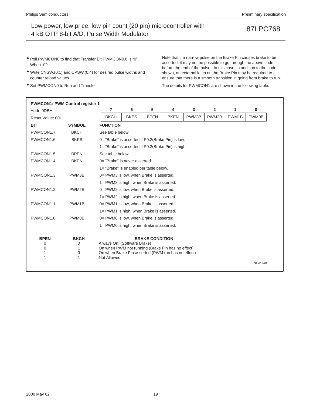- Poll PWMCON0 to find that Transfer Bit PWMCON0.6 is "0". When "0":
- Write CNSW.(0:1) and CPSW.(0:4) for desired pulse widths and counter reload values
- Set PWMCON0 to Run and Transfer

Note that if a narrow pulse on the Brake Pin causes brake to be asserted, it may not be possible to go through the above code before the end of the pulse. In this case, in addition to the code shown, an external latch on the Brake Pin may be required to ensure that there is a smooth transition in going from brake to run.

The details for PWMCON1 are shown in the following table.

| 5<br>7<br>6<br>3<br>2<br>1<br>4<br>Addr: 0DBH<br><b>BKCH</b><br><b>BKPS</b><br><b>BPEN</b><br><b>BKEN</b><br>PWM3B<br>PWM2B<br>PWM1B<br>Reset Value: 00H<br><b>SYMBOL</b><br><b>FUNCTION</b><br><b>BIT</b><br><b>BKCH</b><br>PWMCON1.7<br>See table below<br><b>BKPS</b><br>PWMCON1.6<br>0= "Brake" is asserted if P0.2(Brake Pin) is low.<br>1= "Brake" is asserted if P0.2(Brake Pin) is high.<br>PWMCON1.5<br><b>BPEN</b><br>See table below.<br>PWMCON1.4<br><b>BKEN</b><br>0= "Brake" is never asserted.<br>1= "Brake" is enabled per table below.<br>PWMCON1.3<br>PWM3B<br>0= PWM3 is low, when Brake is asserted.<br>1= PWM3 is high, when Brake is asserted.<br>PWMCON1.2<br>PWM2B<br>0= PWM2 is low, when Brake is asserted.<br>1= PWM2 is high, when Brake is asserted.<br>PWMCON1.1<br>PWM1B<br>0= PWM1 is low, when Brake is asserted.<br>1= PWM1 is high, when Brake is asserted.<br>PWMCON1.0<br><b>PWM0B</b><br>0= PWM0 is low, when Brake is asserted.<br>1= PWM0 is high, when Brake is asserted.<br><b>BKCH</b><br><b>BPEN</b><br><b>BRAKE CONDITION</b><br>0<br>Always On, (Software Brake)<br>0<br>On when PWM not running (Brake Pin has no effect)<br>0<br>1<br>0<br>On when Brake Pin asserted (PWM run has no effect)<br>1<br>1<br>1<br>Not Allowed |              |  |  |  |  | <b>PWMCON1: PWM Control register 1</b> |
|-----------------------------------------------------------------------------------------------------------------------------------------------------------------------------------------------------------------------------------------------------------------------------------------------------------------------------------------------------------------------------------------------------------------------------------------------------------------------------------------------------------------------------------------------------------------------------------------------------------------------------------------------------------------------------------------------------------------------------------------------------------------------------------------------------------------------------------------------------------------------------------------------------------------------------------------------------------------------------------------------------------------------------------------------------------------------------------------------------------------------------------------------------------------------------------------------------------------------------------------------------------------------------|--------------|--|--|--|--|----------------------------------------|
|                                                                                                                                                                                                                                                                                                                                                                                                                                                                                                                                                                                                                                                                                                                                                                                                                                                                                                                                                                                                                                                                                                                                                                                                                                                                             | 0            |  |  |  |  |                                        |
|                                                                                                                                                                                                                                                                                                                                                                                                                                                                                                                                                                                                                                                                                                                                                                                                                                                                                                                                                                                                                                                                                                                                                                                                                                                                             | <b>PWM0B</b> |  |  |  |  |                                        |
|                                                                                                                                                                                                                                                                                                                                                                                                                                                                                                                                                                                                                                                                                                                                                                                                                                                                                                                                                                                                                                                                                                                                                                                                                                                                             |              |  |  |  |  |                                        |
|                                                                                                                                                                                                                                                                                                                                                                                                                                                                                                                                                                                                                                                                                                                                                                                                                                                                                                                                                                                                                                                                                                                                                                                                                                                                             |              |  |  |  |  |                                        |
|                                                                                                                                                                                                                                                                                                                                                                                                                                                                                                                                                                                                                                                                                                                                                                                                                                                                                                                                                                                                                                                                                                                                                                                                                                                                             |              |  |  |  |  |                                        |
|                                                                                                                                                                                                                                                                                                                                                                                                                                                                                                                                                                                                                                                                                                                                                                                                                                                                                                                                                                                                                                                                                                                                                                                                                                                                             |              |  |  |  |  |                                        |
|                                                                                                                                                                                                                                                                                                                                                                                                                                                                                                                                                                                                                                                                                                                                                                                                                                                                                                                                                                                                                                                                                                                                                                                                                                                                             |              |  |  |  |  |                                        |
|                                                                                                                                                                                                                                                                                                                                                                                                                                                                                                                                                                                                                                                                                                                                                                                                                                                                                                                                                                                                                                                                                                                                                                                                                                                                             |              |  |  |  |  |                                        |
|                                                                                                                                                                                                                                                                                                                                                                                                                                                                                                                                                                                                                                                                                                                                                                                                                                                                                                                                                                                                                                                                                                                                                                                                                                                                             |              |  |  |  |  |                                        |
|                                                                                                                                                                                                                                                                                                                                                                                                                                                                                                                                                                                                                                                                                                                                                                                                                                                                                                                                                                                                                                                                                                                                                                                                                                                                             |              |  |  |  |  |                                        |
|                                                                                                                                                                                                                                                                                                                                                                                                                                                                                                                                                                                                                                                                                                                                                                                                                                                                                                                                                                                                                                                                                                                                                                                                                                                                             |              |  |  |  |  |                                        |
|                                                                                                                                                                                                                                                                                                                                                                                                                                                                                                                                                                                                                                                                                                                                                                                                                                                                                                                                                                                                                                                                                                                                                                                                                                                                             |              |  |  |  |  |                                        |
|                                                                                                                                                                                                                                                                                                                                                                                                                                                                                                                                                                                                                                                                                                                                                                                                                                                                                                                                                                                                                                                                                                                                                                                                                                                                             |              |  |  |  |  |                                        |
|                                                                                                                                                                                                                                                                                                                                                                                                                                                                                                                                                                                                                                                                                                                                                                                                                                                                                                                                                                                                                                                                                                                                                                                                                                                                             |              |  |  |  |  |                                        |
|                                                                                                                                                                                                                                                                                                                                                                                                                                                                                                                                                                                                                                                                                                                                                                                                                                                                                                                                                                                                                                                                                                                                                                                                                                                                             |              |  |  |  |  |                                        |
|                                                                                                                                                                                                                                                                                                                                                                                                                                                                                                                                                                                                                                                                                                                                                                                                                                                                                                                                                                                                                                                                                                                                                                                                                                                                             |              |  |  |  |  |                                        |
|                                                                                                                                                                                                                                                                                                                                                                                                                                                                                                                                                                                                                                                                                                                                                                                                                                                                                                                                                                                                                                                                                                                                                                                                                                                                             |              |  |  |  |  |                                        |
|                                                                                                                                                                                                                                                                                                                                                                                                                                                                                                                                                                                                                                                                                                                                                                                                                                                                                                                                                                                                                                                                                                                                                                                                                                                                             |              |  |  |  |  |                                        |
|                                                                                                                                                                                                                                                                                                                                                                                                                                                                                                                                                                                                                                                                                                                                                                                                                                                                                                                                                                                                                                                                                                                                                                                                                                                                             |              |  |  |  |  |                                        |
|                                                                                                                                                                                                                                                                                                                                                                                                                                                                                                                                                                                                                                                                                                                                                                                                                                                                                                                                                                                                                                                                                                                                                                                                                                                                             |              |  |  |  |  |                                        |
|                                                                                                                                                                                                                                                                                                                                                                                                                                                                                                                                                                                                                                                                                                                                                                                                                                                                                                                                                                                                                                                                                                                                                                                                                                                                             |              |  |  |  |  |                                        |
|                                                                                                                                                                                                                                                                                                                                                                                                                                                                                                                                                                                                                                                                                                                                                                                                                                                                                                                                                                                                                                                                                                                                                                                                                                                                             | SU01388      |  |  |  |  |                                        |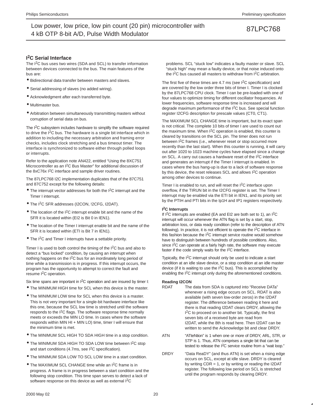**I 2C Serial Interface**

The I<sup>2</sup>C bus uses two wires (SDA and SCL) to transfer information between devices connected to the bus. The main features of the bus are:

- Bidirectional data transfer between masters and slaves.
- Serial addressing of slaves (no added wiring).
- Acknowledgment after each transferred byte.
- Multimaster bus.
- Arbitration between simultaneously transmitting masters without corruption of serial data on bus.

The I<sup>2</sup>C subsystem includes hardware to simplify the software required to drive the I<sup>2</sup>C bus. The hardware is a single bit interface which in addition to including the necessary arbitration and framing error checks, includes clock stretching and a bus timeout timer. The interface is synchronized to software either through polled loops or interrupts.

Refer to the application note AN422, entitled "Using the 8XC751 Microcontroller as an I2C Bus Master" for additional discussion of the 8xC76x I<sup>2</sup>C interface and sample driver routines.

The 87LPC768 I2C implementation duplicates that of the 87C751 and 87C752 except for the following details:

- The interrupt vector addresses for both the I2C interrupt and the Timer I interrupt.
- The I2C SFR addresses (I2CON, !2CFG, I2DAT).
- $\bullet$  The location of the I<sup>2</sup>C interrupt enable bit and the name of the SFR it is located within (EI2 is Bit 0 in IEN1).
- The location of the Timer I interrupt enable bit and the name of the SFR it is located within (ETI is Bit 7 in IEN1).
- The I<sup>2</sup>C and Timer I interrupts have a settable priority.

Timer I is used to both control the timing of the  $1<sup>2</sup>C$  bus and also to detect a "bus locked" condition, by causing an interrupt when nothing happens on the I2C bus for an inordinately long period of time while a transmission is in progress. If this interrupt occurs, the program has the opportunity to attempt to correct the fault and resume I2C operation.

Six time spans are important in I<sup>2</sup>C operation and are insured by timer I:

- The MINIMUM HIGH time for SCL when this device is the master.
- The MINIMUM LOW time for SCL when this device is a master. This is not very important for a single-bit hardware interface like this one, because the SCL low time is stretched until the software responds to the  $1<sup>2</sup>C$  flags. The software response time normally meets or exceeds the MIN LO time. In cases where the software responds within MIN HI + MIN LO) time, timer I will ensure that the minimum time is met.
- The MINIMUM SCL HIGH TO SDA HIGH time in a stop condition.
- The MINIMUM SDA HIGH TO SDA LOW time between I<sup>2</sup>C stop and start conditions (4.7ms, see  $1<sup>2</sup>C$  specification).
- The MINIMUM SDA LOW TO SCL LOW time in a start condition.
- The MAXIMUM SCL CHANGE time while an I2C frame is in progress. A frame is in progress between a start condition and the following stop condition. This time span serves to detect a lack of software response on this device as well as external I<sup>2</sup>C

problems. SCL "stuck low" indicates a faulty master or slave. SCL "stuck high" may mean a faulty device, or that noise induced onto the I2C bus caused all masters to withdraw from I2C arbitration.

The first five of these times are 4.7 ms (see  $1<sup>2</sup>C$  specification) and are covered by the low order three bits of timer I. Timer I is clocked by the 87LPC768 CPU clock. Timer I can be pre-loaded with one of four values to optimize timing for different oscillator frequencies. At lower frequencies, software response time is increased and will degrade maximum performance of the I2C bus. See special function register I2CFG description for prescale values (CT0, CT1).

The MAXIMUM SCL CHANGE time is important, but its exact span is not critical. The complete 10 bits of timer I are used to count out the maximum time. When  $1<sup>2</sup>C$  operation is enabled, this counter is cleared by transitions on the SCL pin. The timer does not run between I2C frames (i.e., whenever reset or stop occurred more recently than the last start). When this counter is running, it will carry out after 1020 to 1023 machine cycles have elapsed since a change on SCL. A carry out causes a hardware reset of the I2C interface and generates an interrupt if the Timer I interrupt is enabled. In cases where the bus hang-up is due to a lack of software response by this device, the reset releases SCL and allows I2C operation among other devices to continue.

Timer I is enabled to run, and will reset the I2C interface upon overflow, if the TIRUN bit in the I2CFG register is set. The Timer I interrupt may be enabled via the ETI bit in IEN1, and its priority set by the PTIH and PTI bits in the Ip1H and IP1 registers respectively.

### **I 2C Interrupts**

If I2C interrupts are enabled (EA and EI2 are both set to 1), an I2C interrupt will occur whenever the ATN flag is set by a start, stop, arbitration loss, or data ready condition (refer to the description of ATN following). In practice, it is not efficient to operate the I2C interface in this fashion because the I2C interrupt service routine would somehow have to distinguish between hundreds of possible conditions. Also, since I<sup>2</sup>C can operate at a fairly high rate, the software may execute faster if the code simply waits for the I2C interface.

Typically, the I2C interrupt should only be used to indicate a start condition at an idle slave device, or a stop condition at an idle master device (if it is waiting to use the  $I<sup>2</sup>C$  bus). This is accomplished by enabling the I2C interrupt only during the aforementioned conditions.

### **Reading I2CON**

- RDAT The data from SDA is captured into "Receive DATa" whenever a rising edge occurs on SCL. RDAT is also available (with seven low-order zeros) in the I2DAT register. The difference between reading it here and there is that reading I2DAT clears DRDY, allowing the I<sup>2</sup>C to proceed on to another bit. Typically, the first seven bits of a received byte are read from I2DAT, while the 8th is read here. Then I2DAT can be written to send the Acknowledge bit and clear DRDY.
- ATN "ATteNtion" is 1 when one or more of DRDY, ARL, STR, or STP is 1. Thus, ATN comprises a single bit that can be tested to release the I2C service routine from a "wait loop."
- DRDY "Data ReaDY" (and thus ATN) is set when a rising edge occurs on SCL, except at idle slave. DRDY is cleared by writing  $CDR = 1$ , or by writing or reading the I2DAT register. The following low period on SCL is stretched until the program responds by clearing DRDY.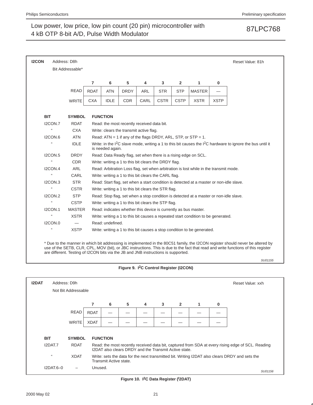| <b>I2CON</b>              | Address: D8h                                                                       |             |                  |             |                                                                 |             |                |                                                                                         |             | Reset Value: 81h                                                                                                                                                                                                                                                   |
|---------------------------|------------------------------------------------------------------------------------|-------------|------------------|-------------|-----------------------------------------------------------------|-------------|----------------|-----------------------------------------------------------------------------------------|-------------|--------------------------------------------------------------------------------------------------------------------------------------------------------------------------------------------------------------------------------------------------------------------|
|                           | Bit Addressable*                                                                   |             |                  |             |                                                                 |             |                |                                                                                         |             |                                                                                                                                                                                                                                                                    |
|                           |                                                                                    | 7           | 6                | 5           | 4                                                               | 3           | $\overline{2}$ | 1                                                                                       | 0           |                                                                                                                                                                                                                                                                    |
|                           | <b>READ</b>                                                                        | <b>RDAT</b> | <b>ATN</b>       | <b>DRDY</b> | <b>ARL</b>                                                      | <b>STR</b>  | <b>STP</b>     | <b>MASTER</b>                                                                           |             |                                                                                                                                                                                                                                                                    |
|                           | <b>WRITE</b>                                                                       | <b>CXA</b>  | <b>IDLE</b>      | <b>CDR</b>  | CARL                                                            | <b>CSTR</b> | <b>CSTP</b>    | <b>XSTR</b>                                                                             | <b>XSTP</b> |                                                                                                                                                                                                                                                                    |
|                           |                                                                                    |             |                  |             |                                                                 |             |                |                                                                                         |             |                                                                                                                                                                                                                                                                    |
| <b>BIT</b>                | <b>SYMBOL</b>                                                                      |             | <b>FUNCTION</b>  |             |                                                                 |             |                |                                                                                         |             |                                                                                                                                                                                                                                                                    |
| I2CON.7<br>$\mathfrak{g}$ | <b>RDAT</b>                                                                        |             |                  |             | Read: the most recently received data bit.                      |             |                |                                                                                         |             |                                                                                                                                                                                                                                                                    |
|                           | <b>CXA</b>                                                                         |             |                  |             | Write: clears the transmit active flag.                         |             |                |                                                                                         |             |                                                                                                                                                                                                                                                                    |
| I2CON.6<br>u              | <b>ATN</b>                                                                         |             |                  |             |                                                                 |             |                | Read: $ATN = 1$ if any of the flags DRDY, ARL, STP, or STP = 1.                         |             |                                                                                                                                                                                                                                                                    |
|                           | <b>IDLE</b>                                                                        |             | is needed again. |             |                                                                 |             |                |                                                                                         |             | Write: in the $1^2C$ slave mode, writing a 1 to this bit causes the $1^2C$ hardware to ignore the bus until it                                                                                                                                                     |
| ICON.5                    | <b>DRDY</b>                                                                        |             |                  |             |                                                                 |             |                | Read: Data Ready flag, set when there is a rising edge on SCL.                          |             |                                                                                                                                                                                                                                                                    |
| a                         | <b>CDR</b>                                                                         |             |                  |             | Write: writing a 1 to this bit clears the DRDY flag.            |             |                |                                                                                         |             |                                                                                                                                                                                                                                                                    |
| IZCON.4                   | <b>ARL</b>                                                                         |             |                  |             |                                                                 |             |                | Read: Arbitration Loss flag, set when arbitration is lost while in the transmit mode.   |             |                                                                                                                                                                                                                                                                    |
| £                         | CARL                                                                               |             |                  |             | Write: writing a 1 to this bit clears the CARL flag.            |             |                |                                                                                         |             |                                                                                                                                                                                                                                                                    |
| IZCON.3                   | <b>STR</b>                                                                         |             |                  |             |                                                                 |             |                | Read: Start flag, set when a start condition is detected at a master or non-idle slave. |             |                                                                                                                                                                                                                                                                    |
| u                         | <b>CSTR</b>                                                                        |             |                  |             | Write: writing a 1 to this bit clears the STR flag.             |             |                |                                                                                         |             |                                                                                                                                                                                                                                                                    |
| <b>I2CON.2</b>            | <b>STP</b>                                                                         |             |                  |             |                                                                 |             |                | Read: Stop flag, set when a stop condition is detected at a master or non-idle slave.   |             |                                                                                                                                                                                                                                                                    |
| $\mathfrak{g}$            | <b>CSTP</b>                                                                        |             |                  |             | Write: writing a 1 to this bit clears the STP flag.             |             |                |                                                                                         |             |                                                                                                                                                                                                                                                                    |
| <b>I2CON.1</b>            | <b>MASTER</b>                                                                      |             |                  |             | Read: indicates whether this device is currently as bus master. |             |                |                                                                                         |             |                                                                                                                                                                                                                                                                    |
| u                         | <b>XSTR</b>                                                                        |             |                  |             |                                                                 |             |                | Write: writing a 1 to this bit causes a repeated start condition to be generated.       |             |                                                                                                                                                                                                                                                                    |
| <b>I2CON.0</b>            |                                                                                    |             | Read: undefined. |             |                                                                 |             |                |                                                                                         |             |                                                                                                                                                                                                                                                                    |
| u                         | <b>XSTP</b>                                                                        |             |                  |             |                                                                 |             |                | Write: writing a 1 to this bit causes a stop condition to be generated.                 |             |                                                                                                                                                                                                                                                                    |
|                           | are different. Testing of I2CON bits via the JB and JNB instructions is supported. |             |                  |             |                                                                 |             |                |                                                                                         |             | * Due to the manner in which bit addressing is implemented in the 80C51 family, the I2CON register should never be altered by<br>use of the SETB, CLR, CPL, MOV (bit), or JBC instructions. This is due to the fact that read and write functions of this register |
|                           |                                                                                    |             |                  |             |                                                                 |             |                |                                                                                         |             | SU01155                                                                                                                                                                                                                                                            |
|                           |                                                                                    |             |                  |             | Figure 9. I <sup>2</sup> C Control Register (I2CON)             |             |                |                                                                                         |             |                                                                                                                                                                                                                                                                    |

| <b>I2DAT</b> | Address: D9h |                     |             |                                                       |   |                |   |                |   |             | Reset Value: xxh                                                                                  |  |
|--------------|--------------|---------------------|-------------|-------------------------------------------------------|---|----------------|---|----------------|---|-------------|---------------------------------------------------------------------------------------------------|--|
|              |              | Not Bit Addressable |             |                                                       |   |                |   |                |   |             |                                                                                                   |  |
|              |              |                     | 7           | 6                                                     | 5 | $\overline{4}$ | 3 | $\overline{2}$ | 1 | $\mathbf 0$ |                                                                                                   |  |
|              |              | <b>READ</b>         | <b>RDAT</b> |                                                       |   |                |   |                |   |             |                                                                                                   |  |
|              |              | <b>WRITE</b>        | <b>XDAT</b> |                                                       |   |                |   |                |   |             |                                                                                                   |  |
|              | <b>BIT</b>   | <b>SYMBOL</b>       |             | <b>FUNCTION</b>                                       |   |                |   |                |   |             |                                                                                                   |  |
|              | I2DAT.7      | <b>RDAT</b>         |             | I2DAT also clears DRDY and the Transmit Active state. |   |                |   |                |   |             | Read: the most recently received data bit, captured from SDA at every rising edge of SCL. Reading |  |
|              | 66           | <b>XDAT</b>         |             | Transmit Active state.                                |   |                |   |                |   |             | Write: sets the data for the next transmitted bit. Writing I2DAT also clears DRDY and sets the    |  |
|              | $I2DAT.6-0$  |                     | Unused.     |                                                       |   |                |   |                |   |             | SU01156                                                                                           |  |

**Figure 10. I2C Data Register (I 2DAT)**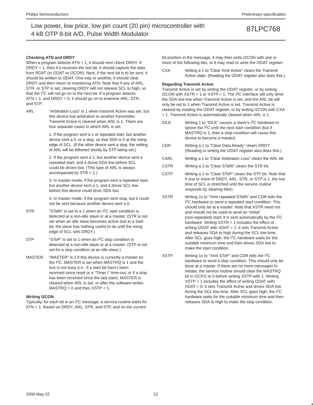### **Checking ATN and DRDY**

When a program detects  $ATN = 1$ , it should next check DRDY. If  $DRDY = 1$ , then if it receives the last bit, it should capture the data from RDAT (in I2DAT or I2CON). Next, if the next bit is to be sent, it should be written to I2DAT. One way or another, it should clear DRDY and then return to monitoring ATN. Note that if any of ARL, STR, or STP is set, clearing DRDY will not release SCL to high, so that the I<sup>2</sup>C will not go on to the next bit. If a program detects  $ATN = 1$ , and  $DRDY = 0$ , it should go on to examine  $ARL$ ,  $STR$ , and STP.

ARL "Arbitration Loss" is 1 when transmit Active was set, but this device lost arbitration to another transmitter. Transmit Active is cleared when ARL is 1. There are four separate cases in which ARL is set.

> 1. If the program sent a 1 or repeated start, but another device sent a 0, or a stop, so that SDA is 0 at the rising edge of SCL. (If the other device sent a stop, the setting of ARL will be followed shortly by STP being set.)

2. If the program sent a 1, but another device sent a repeated start, and it drove SDA low before SCL could be driven low. (This type of ARL is always accompanied by  $STR = 1.$ )

3. In master mode, if the program sent a repeated start, but another device sent a 1, and it drove SCL low before this device could drive SDA low.

4. In master mode, if the program sent stop, but it could not be sent because another device sent a 0.

- STR "STaRt" is set to a 1 when an I2C start condition is detected at a non-idle slave or at a master. (STR is not set when an idle slave becomes active due to a start bit; the slave has nothing useful to do until the rising edge of SCL sets DRDY.)
- STP "SToP" is set to 1 when an I<sup>2</sup>C stop condition is detected at a non-idle slave or at a master. (STP is not set for a stop condition at an idle slave.)
- MASTER "MASTER" is 1 if this device is currently a master on the I2C. MASTER is set when MASTRQ is 1 and the bus is not busy (i.e., if a start bit hasn't been received since reset or a "Timer I" time-out, or if a stop has been received since the last start). MASTER is cleared when ARL is set, or after the software writes  $MASTRQ = 0$  and then  $XSTP = 1$ .

### **Writing I2CON**

Typically, for each bit in an I2C message, a service routine waits for ATN = 1. Based on DRDY, ARL, STR, and STP, and on the current bit position in the message, it may then write I2CON with one or more of the following bits, or it may read or write the I2DAT register.

CXA Writing a 1 to "Clear Xmit Active" clears the Transmit Active state. (Reading the I2DAT register also does this.)

### **Regarding Transmit Active**

Transmit Active is set by writing the I2DAT register, or by writing I2CON with  $XSTR = 1$  or  $XSTP = 1$ . The  $I^2C$  interface will only drive the SDA line low when Transmit Active is set, and the ARL bit will only be set to 1 when Transmit Active is set. Transmit Active is cleared by reading the I2DAT register, or by writing I2CON with CXA = 1. Transmit Active is automatically cleared when ARL is 1.

- IDLE Writing 1 to "IDLE" causes a slave's  $I^2C$  hardware to ignore the  $I<sup>2</sup>C$  until the next start condition (but if MASTRQ is 1, then a stop condition will cause this device to become a master).
- CDR Writing a 1 to "Clear Data Ready" clears DRDY. (Reading or writing the I2DAT register also does this.)
- CARL Writing a 1 to "Clear Arbitration Loss" clears the ARL bit.
- CSTR Writing a 1 to "Clear STaRt" clears the STR bit.
- CSTP Writing a 1 to "Clear SToP" clears the STP bit. Note that if one or more of DRDY, ARL, STR, or STP is 1, the low time of SCL is stretched until the service routine responds by clearing them.
- XSTR Writing 1s to "Xmit repeated STaRt" and CDR tells the I<sup>2</sup>C hardware to send a repeated start condition. This should only be at a master. Note that XSTR need not and should not be used to send an "initial" (non-repeated) start; it is sent automatically by the I2C hardware. Writing XSTR = 1 includes the effect of writing I2DAT with XDAT = 1; it sets Transmit Active and releases SDA to high during the SCL low time. After SCL goes high, the I2C hardware waits for the suitable minimum time and then drives SDA low to make the start condition.
- XSTP Writing 1s to "Xmit SToP" and CDR tells the I2C hardware to send a stop condition. This should only be done at a master. If there are no more messages to initiate, the service routine should clear the MASTRQ bit in I2CFG to 0 before writing XSTP with 1. Writing XSTP = 1 includes the effect of writing I2DAT with XDAT = 0; it sets Transmit Active and drives SDA low during the SCL low time. After SCL goes high, the I<sup>2</sup>C hardware waits for the suitable minimum time and then releases SDA to high to make the stop condition.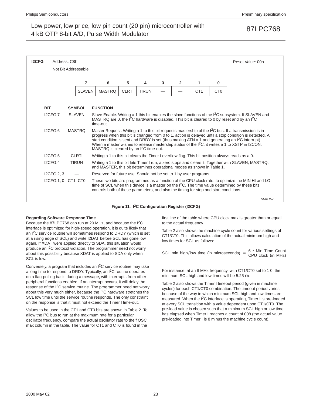| <b>I2CFG</b> | Address: C8h | Not Bit Addressable |                                                                                       |              |              |   |                |                 |                 | Reset Value: 00h                                                                                                                                                                                                                                                                                                                                                                                                                                    |
|--------------|--------------|---------------------|---------------------------------------------------------------------------------------|--------------|--------------|---|----------------|-----------------|-----------------|-----------------------------------------------------------------------------------------------------------------------------------------------------------------------------------------------------------------------------------------------------------------------------------------------------------------------------------------------------------------------------------------------------------------------------------------------------|
|              |              |                     |                                                                                       |              |              |   |                |                 |                 |                                                                                                                                                                                                                                                                                                                                                                                                                                                     |
|              |              | 7                   | 6                                                                                     | 5            | 4            | 3 | $\overline{2}$ | 1.              | 0               |                                                                                                                                                                                                                                                                                                                                                                                                                                                     |
|              |              | <b>SLAVEN</b>       | <b>MASTRO</b>                                                                         | <b>CLRTI</b> | <b>TIRUN</b> |   |                | CT <sub>1</sub> | C <sub>T0</sub> |                                                                                                                                                                                                                                                                                                                                                                                                                                                     |
|              |              |                     |                                                                                       |              |              |   |                |                 |                 |                                                                                                                                                                                                                                                                                                                                                                                                                                                     |
| <b>BIT</b>   |              | <b>SYMBOL</b>       | <b>FUNCTION</b>                                                                       |              |              |   |                |                 |                 |                                                                                                                                                                                                                                                                                                                                                                                                                                                     |
|              | I2CFG.7      | <b>SLAVEN</b>       | time-out.                                                                             |              |              |   |                |                 |                 | Slave Enable. Writing a 1 this bit enables the slave functions of the I <sup>2</sup> C subsystem. If SLAVEN and<br>MASTRQ are 0, the I <sup>2</sup> C hardware is disabled. This bit is cleared to 0 by reset and by an I <sup>2</sup> C                                                                                                                                                                                                            |
|              | I2CFG.6      | <b>MASTRO</b>       | MASTRQ is cleared by an I <sup>2</sup> C time-out.                                    |              |              |   |                |                 |                 | Master Request. Writing a 1 to this bit requests mastership of the I <sup>2</sup> C bus. If a transmission is in<br>progress when this bit is changed from 0 to 1, action is delayed until a stop condition is detected. A<br>start condition is sent and DRDY is set (thus making $ATN = 1$ and generating an ${}^{12}C$ interrupt).<br>When a master wishes to release mastership status of the I <sup>2</sup> C, it writes a 1 to XSTP in I2CON. |
|              | I2CFG.5      | <b>CLRTI</b>        |                                                                                       |              |              |   |                |                 |                 | Writing a 1 to this bit clears the Timer I overflow flag. This bit position always reads as a 0.                                                                                                                                                                                                                                                                                                                                                    |
|              | I2CFG.4      | <b>TIRUN</b>        | and MASTER, this bit determines operational modes as shown in Table 1.                |              |              |   |                |                 |                 | Writing a 1 to this bit lets Timer I run; a zero stops and clears it. Together with SLAVEN, MASTRQ,                                                                                                                                                                                                                                                                                                                                                 |
|              | I2CFG.2.3    |                     | Reserved for future use. Should not be set to 1 by user programs.                     |              |              |   |                |                 |                 |                                                                                                                                                                                                                                                                                                                                                                                                                                                     |
|              |              | I2CFG.1.0 CT1. CT0  | controls both of these parameters, and also the timing for stop and start conditions. |              |              |   |                |                 |                 | These two bits are programmed as a function of the CPU clock rate, to optimize the MIN HI and LO<br>time of SCL when this device is a master on the I <sup>2</sup> C. The time value determined by these bits                                                                                                                                                                                                                                       |
|              |              |                     |                                                                                       |              |              |   |                |                 |                 | SU01157                                                                                                                                                                                                                                                                                                                                                                                                                                             |



### **Regarding Software Response Time**

Because the 87LPC768 can run at 20 MHz, and because the I2C interface is optimized for high-speed operation, it is quite likely that an  $I^2C$  service routine will sometimes respond to DRDY (which is set at a rising edge of SCL) and write I2DAT before SCL has gone low again. If XDAT were applied directly to SDA, this situation would produce an I<sup>2</sup>C protocol violation. The programmer need not worry about this possibility because XDAT is applied to SDA only when SCL is low.

Conversely, a program that includes an I2C service routine may take a long time to respond to DRDY. Typically, an I2C routine operates on a flag-polling basis during a message, with interrupts from other peripheral functions enabled. If an interrupt occurs, it will delay the response of the I2C service routine. The programmer need not worry about this very much either, because the I<sup>2</sup>C hardware stretches the SCL low time until the service routine responds. The only constraint on the response is that it must not exceed the Timer I time-out.

Values to be used in the CT1 and CT0 bits are shown in Table 2. To allow the  $12C$  bus to run at the maximum rate for a particular oscillator frequency, compare the actual oscillator rate to the f OSC max column in the table. The value for CT1 and CT0 is found in the

first line of the table where CPU clock max is greater than or equal to the actual frequency.

Table 2 also shows the machine cycle count for various settings of CT1/CT0. This allows calculation of the actual minimum high and low times for SCL as follows:

SCL min high/low time (in microseconds) =  $\frac{6 \times$  Min Time Count

For instance, at an 8 MHz frequency, with CT1/CT0 set to 1 0, the minimum SCL high and low times will be 5.25  $\mu$ s.

Table 2 also shows the Timer I timeout period (given in machine cycles) for each CT1/CT0 combination. The timeout period varies because of the way in which minimum SCL high and low times are measured. When the I2C interface is operating, Timer I is pre-loaded at every SCL transition with a value dependent upon CT1/CT0. The pre-load value is chosen such that a minimum SCL high or low time has elapsed when Timer I reaches a count of 008 (the actual value pre-loaded into Timer I is 8 minus the machine cycle count).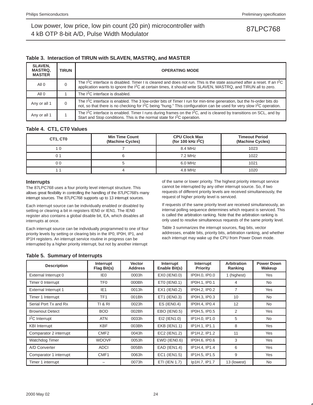### **Table 3. Interaction of TIRUN with SLAVEN, MASTRQ, and MASTER**

| <b>SLAVEN,</b><br><b>MASTRQ.</b><br><b>MASTER</b> | <b>TIRUN</b> | <b>OPERATING MODE</b>                                                                                                                                                                                                                                                             |
|---------------------------------------------------|--------------|-----------------------------------------------------------------------------------------------------------------------------------------------------------------------------------------------------------------------------------------------------------------------------------|
| All 0                                             | 0            | The I <sup>2</sup> C interface is disabled. Timer I is cleared and does not run. This is the state assumed after a reset. If an I <sup>2</sup> C<br>application wants to ignore the <sup>2</sup> C at certain times, it should write SLAVEN, MASTRQ, and TIRUN all to zero.       |
| All <sub>0</sub>                                  |              | The I <sup>2</sup> C interface is disabled.                                                                                                                                                                                                                                       |
| Any or all 1                                      | 0            | The I <sup>2</sup> C interface is enabled. The 3 low-order bits of Timer I run for min-time generation, but the hi-order bits do<br>not, so that there is no checking for I <sup>2</sup> C being "hung." This configuration can be used for very slow I <sup>2</sup> C operation. |
| Any or all 1                                      |              | The I <sup>2</sup> C interface is enabled. Timer I runs during frames on the I <sup>2</sup> C, and is cleared by transitions on SCL, and by<br>Start and Stop conditions. This is the normal state for I <sup>2</sup> C operation.                                                |

### **Table 4. CT1, CT0 Values**

| CT1, CT0 | <b>Min Time Count</b><br>(Machine Cycles) | <b>CPU Clock Max</b><br>(for 100 kHz $1^2C$ ) | <b>Timeout Period</b><br>(Machine Cycles) |
|----------|-------------------------------------------|-----------------------------------------------|-------------------------------------------|
|          |                                           | 8.4 MHz                                       | 1023                                      |
|          |                                           | 7.2 MHz                                       | 1022                                      |
| ი ი      |                                           | 6.0 MHz                                       | 1021                                      |
|          |                                           | 4.8 MHz                                       | 1020                                      |

### **Interrupts**

The 87LPC768 uses a four priority level interrupt structure. This allows great flexibility in controlling the handling of the 87LPC768's many interrupt sources. The 87LPC768 supports up to 13 interrupt sources.

Each interrupt source can be individually enabled or disabled by setting or clearing a bit in registers IEN0 or IEN1. The IEN0 register also contains a global disable bit, EA, which disables all interrupts at once.

Each interrupt source can be individually programmed to one of four priority levels by setting or clearing bits in the IP0, IP0H, IP1, and IP1H registers. An interrupt service routine in progress can be interrupted by a higher priority interrupt, but not by another interrupt

of the same or lower priority. The highest priority interrupt service cannot be interrupted by any other interrupt source. So, if two requests of different priority levels are received simultaneously, the request of higher priority level is serviced.

If requests of the same priority level are received simultaneously, an internal polling sequence determines which request is serviced. This is called the arbitration ranking. Note that the arbitration ranking is only used to resolve simultaneous requests of the same priority level.

Table 3 summarizes the interrupt sources, flag bits, vector addresses, enable bits, priority bits, arbitration ranking, and whether each interrupt may wake up the CPU from Power Down mode.

### **Table 5. Summary of Interrupts**

| <b>Description</b>          | Interrupt<br>Flag Bit(s) | <b>Vector</b><br><b>Address</b> | Interrupt<br>Enable Bit(s) | Interrupt<br><b>Priority</b> | <b>Arbitration</b><br>Ranking | <b>Power Down</b><br>Wakeup |
|-----------------------------|--------------------------|---------------------------------|----------------------------|------------------------------|-------------------------------|-----------------------------|
| External Interrupt 0        | IE <sub>0</sub>          | 0003h                           | EX0 (IEN0.0)               | IP0H.0, IP0.0                | 1 (highest)                   | Yes                         |
| Timer 0 Interrupt           | TF <sub>0</sub>          | 000Bh                           | ETO (IENO.1)               | IP0H.1, IP0.1                | 4                             | <b>No</b>                   |
| <b>External Interrupt 1</b> | IE <sub>1</sub>          | 0013h                           | EX1 (IEN0.2)               | IP0H.2. IP0.2                | 7                             | Yes                         |
| Timer 1 Interrupt           | TF <sub>1</sub>          | 001Bh                           | ET1 (IEN0.3)               | IP0H.3, IP0.3                | 10                            | <b>No</b>                   |
| Serial Port Tx and Rx       | <b>TI &amp; RI</b>       | 0023h                           | $ES$ (IENO.4)              | IP0H.4. IP0.4                | 12                            | <b>No</b>                   |
| <b>Brownout Detect</b>      | <b>BOD</b>               | 002Bh                           | EBO (IEN0.5)               | IP0H.5, IP0.5                | 2                             | Yes                         |
| $I2C$ Interrupt             | <b>ATN</b>               | 0033h                           | EI2 (IEN1.0)               | IP1H.0. IP1.0                | 5                             | <b>No</b>                   |
| <b>KBI</b> Interrupt        | <b>KBF</b>               | 003Bh                           | <b>EKB (IEN1.1)</b>        | IP1H.1, IP1.1                | 8                             | Yes                         |
| Comparator 2 interrupt      | CMF <sub>2</sub>         | 0043h                           | EC2 (IEN1.2)               | IP1H.2, IP1.2                | 11                            | Yes                         |
| Watchdog Timer              | <b>WDOVF</b>             | 0053h                           | EWD (IEN0.6)               | IP0H.6, IP0.6                | 3                             | Yes                         |
| A/D Converter               | <b>ADCI</b>              | 005Bh                           | <b>EAD (IEN1.4)</b>        | IP1H.4. IP1.4                | 6                             | Yes                         |
| Comparator 1 interrupt      | CMF1                     | 0063h                           | EC1 (IEN1.5)               | IP1H.5, IP1.5                | 9                             | Yes                         |
| Timer 1 interrupt           |                          | 0073h                           | ETI (IEN 1.7)              | lp1H.7, IP1.7                | 13 (lowest)                   | <b>No</b>                   |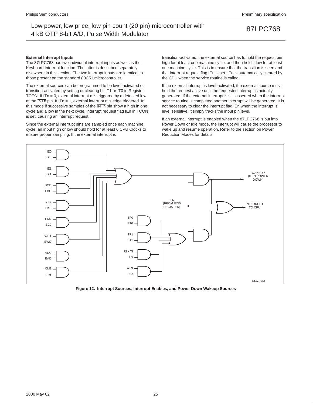### **External Interrupt Inputs**

The 87LPC768 has two individual interrupt inputs as well as the Keyboard Interrupt function. The latter is described separately elsewhere in this section. The two interrupt inputs are identical to those present on the standard 80C51 microcontroller.

The external sources can be programmed to be level-activated or transition-activated by setting or clearing bit IT1 or IT0 in Register TCON. If ITn = 0, external interrupt n is triggered by a detected low at the  $\overline{\text{INTn}}$  pin. If ITn = 1, external interrupt n is edge triggered. In this mode if successive samples of the INTn pin show a high in one cycle and a low in the next cycle, interrupt request flag IEn in TCON is set, causing an interrupt request.

Since the external interrupt pins are sampled once each machine cycle, an input high or low should hold for at least 6 CPU Clocks to ensure proper sampling. If the external interrupt is

transition-activated, the external source has to hold the request pin high for at least one machine cycle, and then hold it low for at least one machine cycle. This is to ensure that the transition is seen and that interrupt request flag IEn is set. IEn is automatically cleared by the CPU when the service routine is called.

If the external interrupt is level-activated, the external source must hold the request active until the requested interrupt is actually generated. If the external interrupt is still asserted when the interrupt service routine is completed another interrupt will be generated. It is not necessary to clear the interrupt flag IEn when the interrupt is level sensitive, it simply tracks the input pin level.

If an external interrupt is enabled when the 87LPC768 is put into Power Down or Idle mode, the interrupt will cause the processor to wake up and resume operation. Refer to the section on Power Reduction Modes for details.



**Figure 12. Interrupt Sources, Interrupt Enables, and Power Down Wakeup Sources**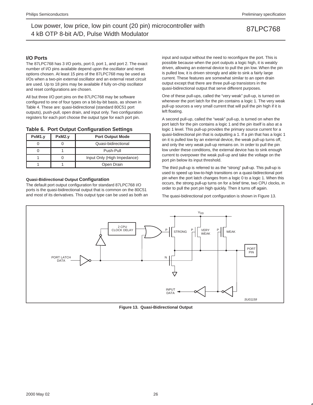### **I/O Ports**

The 87LPC768 has 3 I/O ports, port 0, port 1, and port 2. The exact number of I/O pins available depend upon the oscillator and reset options chosen. At least 15 pins of the 87LPC768 may be used as I/Os when a two-pin external oscillator and an external reset circuit are used. Up to 18 pins may be available if fully on-chip oscillator and reset configurations are chosen.

All but three I/O port pins on the 87LPC768 may be software configured to one of four types on a bit-by-bit basis, as shown in Table 4. These are: quasi-bidirectional (standard 80C51 port outputs), push-pull, open drain, and input only. Two configuration registers for each port choose the output type for each port pin.

### **Table 6. Port Output Configuration Settings**

| PxM1.y | PxM2.v | <b>Port Output Mode</b>     |
|--------|--------|-----------------------------|
|        |        | Quasi-bidirectional         |
|        |        | Push-Pull                   |
|        |        | Input Only (High Impedance) |
|        |        | Open Drain                  |

### **Quasi-Bidirectional Output Configuration**

The default port output configuration for standard 87LPC768 I/O ports is the quasi-bidirectional output that is common on the 80C51 and most of its derivatives. This output type can be used as both an input and output without the need to reconfigure the port. This is possible because when the port outputs a logic high, it is weakly driven, allowing an external device to pull the pin low. When the pin is pulled low, it is driven strongly and able to sink a fairly large current. These features are somewhat similar to an open drain output except that there are three pull-up transistors in the quasi-bidirectional output that serve different purposes.

One of these pull-ups, called the "very weak" pull-up, is turned on whenever the port latch for the pin contains a logic 1. The very weak pull-up sources a very small current that will pull the pin high if it is left floating.

A second pull-up, called the "weak" pull-up, is turned on when the port latch for the pin contains a logic 1 and the pin itself is also at a logic 1 level. This pull-up provides the primary source current for a quasi-bidirectional pin that is outputting a 1. If a pin that has a logic 1 on it is pulled low by an external device, the weak pull-up turns off, and only the very weak pull-up remains on. In order to pull the pin low under these conditions, the external device has to sink enough current to overpower the weak pull-up and take the voltage on the port pin below its input threshold.

The third pull-up is referred to as the "strong" pull-up. This pull-up is used to speed up low-to-high transitions on a quasi-bidirectional port pin when the port latch changes from a logic 0 to a logic 1. When this occurs, the strong pull-up turns on for a brief time, two CPU clocks, in order to pull the port pin high quickly. Then it turns off again.

The quasi-bidirectional port configuration is shown in Figure 13.



**Figure 13. Quasi-Bidirectional Output**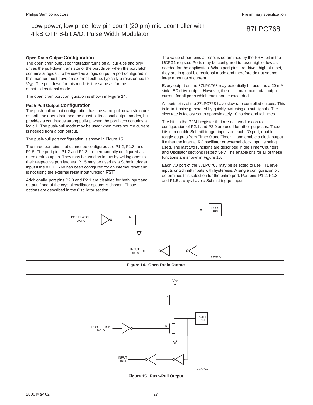### **Open Drain Output Configuration**

The open drain output configuration turns off all pull-ups and only drives the pull-down transistor of the port driver when the port latch contains a logic 0. To be used as a logic output, a port configured in this manner must have an external pull-up, typically a resistor tied to  $V<sub>DD</sub>$ . The pull-down for this mode is the same as for the quasi-bidirectional mode.

The open drain port configuration is shown in Figure 14.

### **Push-Pull Output Configuration**

The push-pull output configuration has the same pull-down structure as both the open drain and the quasi-bidirectional output modes, but provides a continuous strong pull-up when the port latch contains a logic 1. The push-pull mode may be used when more source current is needed from a port output.

The push-pull port configuration is shown in Figure 15.

The three port pins that cannot be configured are P1.2, P1.3, and P1.5. The port pins P1.2 and P1.3 are permanently configured as open drain outputs. They may be used as inputs by writing ones to their respective port latches. P1.5 may be used as a Schmitt trigger input if the 87LPC768 has been configured for an internal reset and is not using the external reset input function RST.

Additionally, port pins P2.0 and P2.1 are disabled for both input and output if one of the crystal oscillator options is chosen. Those options are described in the Oscillator section.

The value of port pins at reset is determined by the PRHI bit in the UCFG1 register. Ports may be configured to reset high or low as needed for the application. When port pins are driven high at reset, they are in quasi-bidirectional mode and therefore do not source large amounts of current.

Every output on the 87LPC768 may potentially be used as a 20 mA sink LED drive output. However, there is a maximum total output current for all ports which must not be exceeded.

All ports pins of the 87LPC768 have slew rate controlled outputs. This is to limit noise generated by quickly switching output signals. The slew rate is factory set to approximately 10 ns rise and fall times.

The bits in the P2M1 register that are not used to control configuration of P2.1 and P2.0 are used for other purposes. These bits can enable Schmitt trigger inputs on each I/O port, enable toggle outputs from Timer 0 and Timer 1, and enable a clock output if either the internal RC oscillator or external clock input is being used. The last two functions are described in the Timer/Counters and Oscillator sections respectively. The enable bits for all of these functions are shown in Figure 16.

Each I/O port of the 87LPC768 may be selected to use TTL level inputs or Schmitt inputs with hysteresis. A single configuration bit determines this selection for the entire port. Port pins P1.2, P1.3, and P1.5 always have a Schmitt trigger input.



**Figure 14. Open Drain Output**



**Figure 15. Push-Pull Output**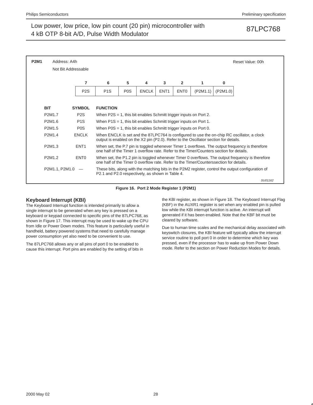| <b>P2M1</b> | Address: A4h        |                  |                                                                                         |                  |              |                  |                  |          |          | Reset Value: 00h                                                                                   |  |
|-------------|---------------------|------------------|-----------------------------------------------------------------------------------------|------------------|--------------|------------------|------------------|----------|----------|----------------------------------------------------------------------------------------------------|--|
|             | Not Bit Addressable |                  |                                                                                         |                  |              |                  |                  |          |          |                                                                                                    |  |
|             |                     | 7                | 6                                                                                       | 5                | 4            | 3                | $\overline{2}$   | 1        | 0        |                                                                                                    |  |
|             |                     | P <sub>2</sub> S | P <sub>1</sub> S                                                                        | P <sub>0</sub> S | <b>ENCLK</b> | ENT <sub>1</sub> | ENT <sub>0</sub> | (P2M1.1) | (P2M1.0) |                                                                                                    |  |
|             |                     |                  |                                                                                         |                  |              |                  |                  |          |          |                                                                                                    |  |
|             | <b>BIT</b>          | <b>SYMBOL</b>    | <b>FUNCTION</b>                                                                         |                  |              |                  |                  |          |          |                                                                                                    |  |
|             | P2M1.7              | P <sub>2</sub> S | When $P2S = 1$ , this bit enables Schmitt trigger inputs on Port 2.                     |                  |              |                  |                  |          |          |                                                                                                    |  |
|             | P2M1.6              | P <sub>1</sub> S | When $P1S = 1$ , this bit enables Schmitt trigger inputs on Port 1.                     |                  |              |                  |                  |          |          |                                                                                                    |  |
|             | P2M1.5              | P <sub>0</sub> S | When $POS = 1$ , this bit enables Schmitt trigger inputs on Port 0.                     |                  |              |                  |                  |          |          |                                                                                                    |  |
|             | P2M1.4              | <b>ENCLK</b>     | output is enabled on the X2 pin (P2.0). Refer to the Oscillator section for details.    |                  |              |                  |                  |          |          | When ENCLK is set and the 87LPC764 is configured to use the on-chip RC oscillator, a clock         |  |
|             | P2M1.3              | ENT <sub>1</sub> | one half of the Timer 1 overflow rate. Refer to the Timer/Counters section for details. |                  |              |                  |                  |          |          | When set, the P.7 pin is toggled whenever Timer 1 overflows. The output frequency is therefore     |  |
|             | P2M1.2              | ENT <sub>0</sub> | one half of the Timer 0 overflow rate. Refer to the Timer/Counterssection for details.  |                  |              |                  |                  |          |          | When set, the P1.2 pin is toggled whenever Timer 0 overflows. The output frequency is therefore    |  |
|             | P2M1.1, P2M1.0      |                  | P2.1 and P2.0 respectively, as shown in Table 4.                                        |                  |              |                  |                  |          |          | These bits, along with the matching bits in the P2M2 register, control the output configuration of |  |
|             |                     |                  |                                                                                         |                  |              |                  |                  |          |          | SU01162                                                                                            |  |

**Figure 16. Port 2 Mode Register 1 (P2M1)**

### **Keyboard Interrupt (KBI)**

The Keyboard Interrupt function is intended primarily to allow a single interrupt to be generated when any key is pressed on a keyboard or keypad connected to specific pins of the 87LPC768, as shown in Figure 17. This interrupt may be used to wake up the CPU from Idle or Power Down modes. This feature is particularly useful in handheld, battery powered systems that need to carefully manage power consumption yet also need to be convenient to use.

The 87LPC768 allows any or all pins of port 0 to be enabled to cause this interrupt. Port pins are enabled by the setting of bits in the KBI register, as shown in Figure 18. The Keyboard Interrupt Flag (KBF) in the AUXR1 register is set when any enabled pin is pulled low while the KBI interrupt function is active. An interrupt will generated if it has been enabled. Note that the KBF bit must be cleared by software.

Due to human time scales and the mechanical delay associated with keyswitch closures, the KBI feature will typically allow the interrupt service routine to poll port 0 in order to determine which key was pressed, even if the processor has to wake up from Power Down mode. Refer to the section on Power Reduction Modes for details.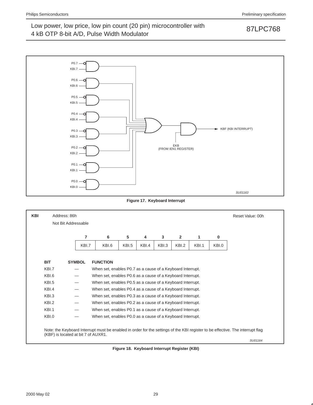

**Figure 17. Keyboard Interrupt**

| <b>KBI</b> |            | Address: 86h                        |       |                                                            |       |       |       |       |       |       | Reset Value: 00h                                                                                                               |
|------------|------------|-------------------------------------|-------|------------------------------------------------------------|-------|-------|-------|-------|-------|-------|--------------------------------------------------------------------------------------------------------------------------------|
|            |            | Not Bit Addressable                 |       |                                                            |       |       |       |       |       |       |                                                                                                                                |
|            |            |                                     | 7     | 6                                                          | 5     | 4     | 3     | 2     | 1     | 0     |                                                                                                                                |
|            |            |                                     | KBI.7 | KBI.6                                                      | KBI.5 | KBI.4 | KBI.3 | KBI.2 | KBI.1 | KBI.0 |                                                                                                                                |
|            |            |                                     |       |                                                            |       |       |       |       |       |       |                                                                                                                                |
|            | <b>BIT</b> | <b>SYMBOL</b>                       |       | <b>FUNCTION</b>                                            |       |       |       |       |       |       |                                                                                                                                |
|            | KBI.7      |                                     |       | When set, enables P0.7 as a cause of a Keyboard Interrupt. |       |       |       |       |       |       |                                                                                                                                |
|            | KBI.6      |                                     |       | When set, enables P0.6 as a cause of a Keyboard Interrupt. |       |       |       |       |       |       |                                                                                                                                |
|            | KBI.5      |                                     |       | When set, enables P0.5 as a cause of a Keyboard Interrupt. |       |       |       |       |       |       |                                                                                                                                |
|            | KBI.4      |                                     |       | When set, enables P0.4 as a cause of a Keyboard Interrupt. |       |       |       |       |       |       |                                                                                                                                |
|            | KBI.3      |                                     |       | When set, enables P0.3 as a cause of a Keyboard Interrupt. |       |       |       |       |       |       |                                                                                                                                |
|            | KBI.2      |                                     |       | When set, enables P0.2 as a cause of a Keyboard Interrupt. |       |       |       |       |       |       |                                                                                                                                |
|            | KBI.1      |                                     |       | When set, enables P0.1 as a cause of a Keyboard Interrupt. |       |       |       |       |       |       |                                                                                                                                |
|            | KBI.0      |                                     |       | When set, enables P0.0 as a cause of a Keyboard Interrupt. |       |       |       |       |       |       |                                                                                                                                |
|            |            | (KBF) is located at bit 7 of AUXR1. |       |                                                            |       |       |       |       |       |       | Note: the Keyboard Interrupt must be enabled in order for the settings of the KBI register to be effective. The interrupt flag |
|            |            |                                     |       |                                                            |       |       |       |       |       |       | SU01164                                                                                                                        |

**Figure 18. Keyboard Interrupt Register (KBI)**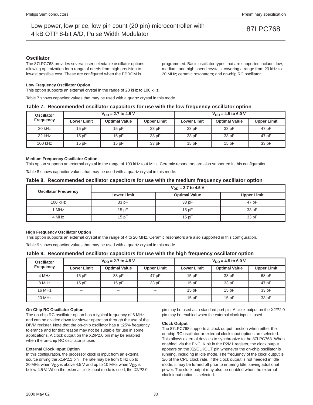### **Oscillator**

The 87LPC768 provides several user selectable oscillator options, allowing optimization for a range of needs from high precision to lowest possible cost. These are configured when the EPROM is

programmed. Basic oscillator types that are supported include: low, medium, and high speed crystals, covering a range from 20 kHz to 20 MHz; ceramic resonators; and on-chip RC oscillator.

### **Low Frequency Oscillator Option**

This option supports an external crystal in the range of 20 kHz to 100 kHz.

Table 7 shows capacitor values that may be used with a quartz crystal in this mode.

### **Table 7. Recommended oscillator capacitors for use with the low frequency oscillator option**

| <b>Oscillator</b> |                    | $V_{DD}$ = 2.7 to 4.5 V |                    | $V_{DD}$ = 4.5 to 6.0 V |                      |                    |  |
|-------------------|--------------------|-------------------------|--------------------|-------------------------|----------------------|--------------------|--|
| <b>Frequency</b>  | <b>Lower Limit</b> | <b>Optimal Value</b>    | <b>Upper Limit</b> | <b>Lower Limit</b>      | <b>Optimal Value</b> | <b>Upper Limit</b> |  |
| 20 kHz            | 15pF               | 15pF                    | 33 pF              | 33 pF                   | 33 pF                | 47 pF              |  |
| 32 kHz            | 15pF               | 15pF                    | 33 pF              | 33 pF                   | 33 pF                | 47 pF              |  |
| 100 kHz           | 15pF               | 15pF                    | 33 pF              | 15pF                    | 15pF                 | 33 pF              |  |

### **Medium Frequency Oscillator Option**

This option supports an external crystal in the range of 100 kHz to 4 MHz. Ceramic resonators are also supported in this configuration.

Table 8 shows capacitor values that may be used with a quartz crystal in this mode.

### **Table 8. Recommended oscillator capacitors for use with the medium frequency oscillator option**

| <b>Oscillator Frequency</b> | $V_{DD}$ = 2.7 to 4.5 V |                      |                    |  |  |  |  |
|-----------------------------|-------------------------|----------------------|--------------------|--|--|--|--|
|                             | <b>Lower Limit</b>      | <b>Optimal Value</b> | <b>Upper Limit</b> |  |  |  |  |
| 100 kHz                     | 33 pF                   | 33 pF                | 47 pF              |  |  |  |  |
| 1 MHz                       | 15pF                    | 15pF                 | 33 pF              |  |  |  |  |
| 4 MHz                       | 15pF                    | 15pF                 | 33 pF              |  |  |  |  |

### **High Frequency Oscillator Option**

This option supports an external crystal in the range of 4 to 20 MHz. Ceramic resonators are also supported in this configuration.

Table 9 shows capacitor values that may be used with a quartz crystal in this mode.

### **Table 9. Recommended oscillator capacitors for use with the high frequency oscillator option**

| <b>Oscillator</b> |                          | $V_{DD}$ = 2.7 to 4.5 V |                          | $V_{DD} = 4.5$ to 6.0 V |                      |                    |  |
|-------------------|--------------------------|-------------------------|--------------------------|-------------------------|----------------------|--------------------|--|
| <b>Frequency</b>  | <b>Lower Limit</b>       | <b>Optimal Value</b>    | <b>Upper Limit</b>       | <b>Lower Limit</b>      | <b>Optimal Value</b> | <b>Upper Limit</b> |  |
| 4 MHz             | 15pF                     | 33 pF                   | 47 pF                    | 15pF                    | 33 pF                | 68 pF              |  |
| 8 MHz             | 15pF                     | 15pF                    | 33 pF                    | 15pF                    | 33 pF                | 47 pF              |  |
| 16 MHz            | $\overline{\phantom{0}}$ | $\qquad \qquad$         | $\overline{\phantom{0}}$ | 15pF                    | 15pF                 | 33 pF              |  |
| 20 MHz            | -                        |                         | -                        | 15pF                    | 15pF                 | 33 pF              |  |

### **On-Chip RC Oscillator Option**

The on-chip RC oscillator option has a typical frequency of 6 MHz and can be divided down for slower operation through the use of the DIVM register. Note that the on-chip oscillator has a  $\pm 25\%$  frequency tolerance and for that reason may not be suitable for use in some applications. A clock output on the X2/P2.0 pin may be enabled when the on-chip RC oscillator is used.

### **External Clock Input Option**

In this configuration, the processor clock is input from an external source driving the X1/P2.1 pin. The rate may be from 0 Hz up to 20 MHz when  $V_{DD}$  is above 4.5 V and up to 10 MHz when  $V_{DD}$  is below 4.5 V. When the external clock input mode is used, the X2/P2.0 pin may be used as a standard port pin. A clock output on the X2/P2.0 pin may be enabled when the external clock input is used.

### **Clock Output**

The 87LPC768 supports a clock output function when either the on-chip RC oscillator or external clock input options are selected. This allows external devices to synchronize to the 87LPC768. When enabled, via the ENCLK bit in the P2M1 register, the clock output appears on the X2/CLKOUT pin whenever the on-chip oscillator is running, including in Idle mode. The frequency of the clock output is 1/6 of the CPU clock rate. If the clock output is not needed in Idle mode, it may be turned off prior to entering Idle, saving additional power. The clock output may also be enabled when the external clock input option is selected.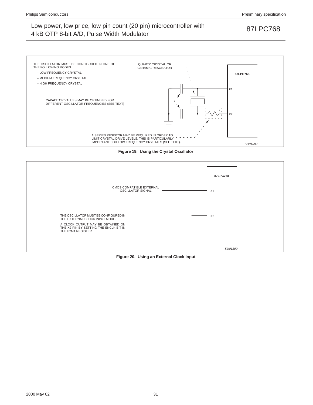

**Figure 19. Using the Crystal Oscillator**



**Figure 20. Using an External Clock Input**

2000 May 02 31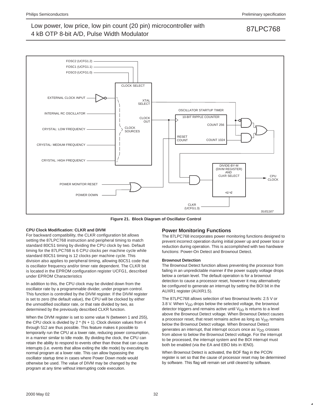

**Figure 21. Block Diagram of Oscillator Control**

### **CPU Clock Modification: CLKR and DIVM**

For backward compatibility, the CLKR configuration bit allows setting the 87LPC768 instruction and peripheral timing to match standard 80C51 timing by dividing the CPU clock by two. Default timing for the 87LPC768 is 6 CPU clocks per machine cycle while standard 80C51 timing is 12 clocks per machine cycle. This division also applies to peripheral timing, allowing 80C51 code that is oscillator frequency and/or timer rate dependent. The CLKR bit is located in the EPROM configuration register UCFG1, described under EPROM Characteristics

In addition to this, the CPU clock may be divided down from the oscillator rate by a programmable divider, under program control. This function is controlled by the DIVM register. If the DIVM register is set to zero (the default value), the CPU will be clocked by either the unmodified oscillator rate, or that rate divided by two, as determined by the previously described CLKR function.

When the DIVM register is set to some value N (between 1 and 255), the CPU clock is divided by  $2 * (N + 1)$ . Clock division values from 4 through 512 are thus possible. This feature makes it possible to temporarily run the CPU at a lower rate, reducing power consumption, in a manner similar to Idle mode. By dividing the clock, the CPU can retain the ability to respond to events other than those that can cause interrupts (i.e. events that allow exiting the Idle mode) by executing its normal program at a lower rate. This can allow bypassing the oscillator startup time in cases where Power Down mode would otherwise be used. The value of DIVM may be changed by the program at any time without interrupting code execution.

### **Power Monitoring Functions**

The 87LPC768 incorporates power monitoring functions designed to prevent incorrect operation during initial power up and power loss or reduction during operation. This is accomplished with two hardware functions: Power-On Detect and Brownout Detect.

### **Brownout Detection**

The Brownout Detect function allows preventing the processor from failing in an unpredictable manner if the power supply voltage drops below a certain level. The default operation is for a brownout detection to cause a processor reset, however it may alternatively be configured to generate an interrupt by setting the BOI bit in the AUXR1 register (AUXR1.5).

The 87LPC768 allows selection of two Brownout levels: 2.5 V or 3.8 V. When  $V_{DD}$  drops below the selected voltage, the brownout detector triggers and remains active until  $V_{DD}$  is returns to a level above the Brownout Detect voltage. When Brownout Detect causes a processor reset, that reset remains active as long as  $V_{DD}$  remains below the Brownout Detect voltage. When Brownout Detect generates an interrupt, that interrupt occurs once as  $V_{DD}$  crosses from above to below the Brownout Detect voltage. For the interrupt to be processed, the interrupt system and the BOI interrupt must both be enabled (via the EA and EBO bits in IEN0).

When Brownout Detect is activated, the BOF flag in the PCON register is set so that the cause of processor reset may be determined by software. This flag will remain set until cleared by software.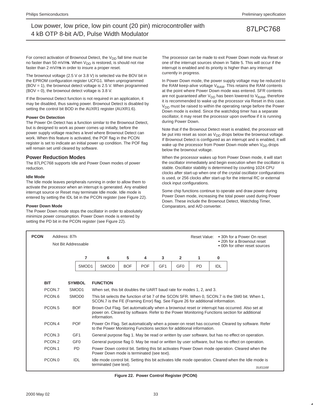For correct activation of Brownout Detect, the  $V_{DD}$  fall time must be no faster than 50 mV/ $\mu$ s. When V<sub>DD</sub> is restored, is should not rise faster than 2 mV/µs in order to insure a proper reset.

The brownout voltage (2.5 V or 3.8 V) is selected via the BOV bit in the EPROM configuration register UCFG1. When unprogrammed (BOV = 1), the brownout detect voltage is 2.5 V. When programmed  $(BOV = 0)$ , the brownout detect voltage is 3.8 V.

If the Brownout Detect function is not required in an application, it may be disabled, thus saving power. Brownout Detect is disabled by setting the control bit BOD in the AUXR1 register (AUXR1.6).

### **Power On Detection**

The Power On Detect has a function similar to the Brownout Detect, but is designed to work as power comes up initially, before the power supply voltage reaches a level where Brownout Detect can work. When this feature is activated, the POF flag in the PCON register is set to indicate an initial power up condition. The POF flag will remain set until cleared by software.

### **Power Reduction Modes**

The 87LPC768 supports Idle and Power Down modes of power reduction.

### **Idle Mode**

The Idle mode leaves peripherals running in order to allow them to activate the processor when an interrupt is generated. Any enabled interrupt source or Reset may terminate Idle mode. Idle mode is entered by setting the IDL bit in the PCON register (see Figure 22).

### **Power Down Mode**

The Power Down mode stops the oscillator in order to absolutely minimize power consumption. Power Down mode is entered by setting the PD bit in the PCON register (see Figure 22).

The processor can be made to exit Power Down mode via Reset or one of the interrupt sources shown in Table 5. This will occur if the interrupt is enabled and its priority is higher than any interrupt currently in progress.

In Power Down mode, the power supply voltage may be reduced to the RAM keep-alive voltage  $V_{RAM}$ . This retains the RAM contents at the point where Power Down mode was entered. SFR contents are not guaranteed after  $V_{DD}$  has been lowered to  $V_{RAM}$ , therefore it is recommended to wake up the processor via Reset in this case. V<sub>DD</sub> must be raised to within the operating range before the Power Down mode is exited. Since the watchdog timer has a separate oscillator, it may reset the processor upon overflow if it is running during Power Down.

Note that if the Brownout Detect reset is enabled, the processor will be put into reset as soon as  $V_{DD}$  drops below the brownout voltage. If Brownout Detect is configured as an interrupt and is enabled, it will wake up the processor from Power Down mode when  $V_{DD}$  drops below the brownout voltage.

When the processor wakes up from Power Down mode, it will start the oscillator immediately and begin execution when the oscillator is stable. Oscillator stability is determined by counting 1024 CPU clocks after start-up when one of the crystal oscillator configurations is used, or 256 clocks after start-up for the internal RC or external clock input configurations.

Some chip functions continue to operate and draw power during Power Down mode, increasing the total power used during Power Down. These include the Brownout Detect, Watchdog Timer, Comparators, and A/D converter.

| <b>PCON</b> | Address: 87h       | Not Bit Addressable |                   |                                                                                                                                                                                    |            |            |                 |                 | Reset Value:                                                          |     | • 30h for a Power On reset<br>• 20h for a Brownout reset<br>• 00h for other reset sources                                                                                                       |
|-------------|--------------------|---------------------|-------------------|------------------------------------------------------------------------------------------------------------------------------------------------------------------------------------|------------|------------|-----------------|-----------------|-----------------------------------------------------------------------|-----|-------------------------------------------------------------------------------------------------------------------------------------------------------------------------------------------------|
|             |                    |                     | 7                 | 6                                                                                                                                                                                  | 5          | 4          | 3               | $\overline{2}$  | 1                                                                     | 0   |                                                                                                                                                                                                 |
|             |                    |                     | SMOD <sub>1</sub> | SMOD <sub>0</sub>                                                                                                                                                                  | <b>BOF</b> | <b>POF</b> | GF <sub>1</sub> | GF <sub>0</sub> | <b>PD</b>                                                             | IDL |                                                                                                                                                                                                 |
| <b>BIT</b>  |                    | <b>SYMBOL</b>       |                   | <b>FUNCTION</b>                                                                                                                                                                    |            |            |                 |                 |                                                                       |     |                                                                                                                                                                                                 |
|             | PCON.7             | SMOD <sub>1</sub>   |                   |                                                                                                                                                                                    |            |            |                 |                 | When set, this bit doubles the UART baud rate for modes 1, 2, and 3.  |     |                                                                                                                                                                                                 |
|             | PCON.6             | SMOD <sub>0</sub>   |                   | This bit selects the function of bit 7 of the SCON SFR. When 0, SCON.7 is the SM0 bit. When 1,<br>SCON.7 is the FE (Framing Error) flag. See Figure 26 for additional information. |            |            |                 |                 |                                                                       |     |                                                                                                                                                                                                 |
|             | PCON.5             | <b>BOF</b>          |                   | information.                                                                                                                                                                       |            |            |                 |                 |                                                                       |     | Brown Out Flag. Set automatically when a brownout reset or interrupt has occurred. Also set at<br>power on. Cleared by software. Refer to the Power Monitoring Functions section for additional |
|             | PCON.4             | <b>POF</b>          |                   |                                                                                                                                                                                    |            |            |                 |                 | to the Power Monitoring Functions section for additional information. |     | Power On Flag. Set automatically when a power-on reset has occurred. Cleared by software. Refer                                                                                                 |
|             | PCON <sub>.3</sub> | GF <sub>1</sub>     |                   |                                                                                                                                                                                    |            |            |                 |                 |                                                                       |     | General purpose flag 1. May be read or written by user software, but has no effect on operation.                                                                                                |
|             | PCON.2             | GF <sub>0</sub>     |                   |                                                                                                                                                                                    |            |            |                 |                 |                                                                       |     | General purpose flag 0. May be read or written by user software, but has no effect on operation.                                                                                                |
|             | PCON.1             | <b>PD</b>           |                   | Power Down control bit. Setting this bit activates Power Down mode operation. Cleared when the<br>Power Down mode is terminated (see text).                                        |            |            |                 |                 |                                                                       |     |                                                                                                                                                                                                 |
|             | PCON.0             | <b>IDL</b>          |                   | Idle mode control bit. Setting this bit activates Idle mode operation. Cleared when the Idle mode is<br>terminated (see text).                                                     |            |            |                 |                 | SU01168                                                               |     |                                                                                                                                                                                                 |

**Figure 22. Power Control Register (PCON)**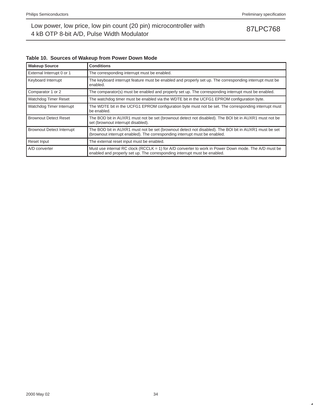| <b>Wakeup Source</b>             | <b>Conditions</b>                                                                                                                                                                     |
|----------------------------------|---------------------------------------------------------------------------------------------------------------------------------------------------------------------------------------|
| External Interrupt 0 or 1        | The corresponding interrupt must be enabled.                                                                                                                                          |
| Keyboard Interrupt               | The keyboard interrupt feature must be enabled and properly set up. The corresponding interrupt must be<br>enabled.                                                                   |
| Comparator 1 or 2                | The comparator(s) must be enabled and properly set up. The corresponding interrupt must be enabled.                                                                                   |
| Watchdog Timer Reset             | The watchdog timer must be enabled via the WDTE bit in the UCFG1 EPROM configuration byte.                                                                                            |
| Watchdog Timer Interrupt         | The WDTE bit in the UCFG1 EPROM configuration byte must not be set. The corresponding interrupt must<br>be enabled.                                                                   |
| <b>Brownout Detect Reset</b>     | The BOD bit in AUXR1 must not be set (brownout detect not disabled). The BOI bit in AUXR1 must not be<br>set (brownout interrupt disabled).                                           |
| <b>Brownout Detect Interrupt</b> | The BOD bit in AUXR1 must not be set (brownout detect not disabled). The BOI bit in AUXR1 must be set<br>(brownout interrupt enabled). The corresponding interrupt must be enabled.   |
| Reset Input                      | The external reset input must be enabled.                                                                                                                                             |
| A/D converter                    | Must use internal RC clock (RCCLK = 1) for $A/D$ converter to work in Power Down mode. The $A/D$ must be<br>enabled and properly set up. The corresponding interrupt must be enabled. |

## **Table 10. Sources of Wakeup from Power Down Mode**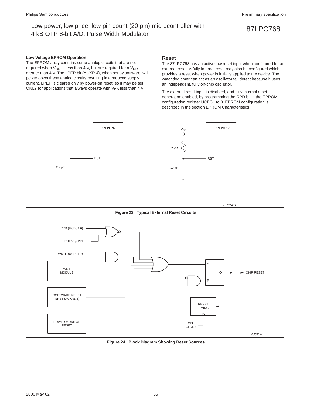### **Low Voltage EPROM Operation**

The EPROM array contains some analog circuits that are not required when  $V_{DD}$  is less than 4 V, but are required for a  $V_{DD}$ greater than 4 V. The LPEP bit (AUXR.4), when set by software, will power down these analog circuits resulting in a reduced supply current. LPEP is cleared only by power-on reset, so it may be set ONLY for applications that always operate with  $V_{DD}$  less than 4 V.

### **Reset**

The 87LPC768 has an active low reset input when configured for an external reset. A fully internal reset may also be configured which provides a reset when power is initially applied to the device. The watchdog timer can act as an oscillator fail detect because it uses an independent, fully on-chip oscillator.

The external reset input is disabled, and fully internal reset generation enabled, by programming the RPD bit in the EPROM configuration register UCFG1 to 0. EPROM configuration is described in the section EPROM Characteristics



**Figure 23. Typical External Reset Circuits**



**Figure 24. Block Diagram Showing Reset Sources**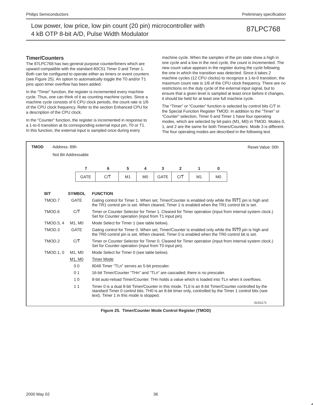### **Timer/Counters**

The 87LPC768 has two general purpose counter/timers which are upward compatible with the standard 80C51 Timer 0 and Timer 1. Both can be configured to operate either as timers or event counters (see Figure 25). An option to automatically toggle the T0 and/or T1 pins upon timer overflow has been added.

In the "Timer" function, the register is incremented every machine cycle. Thus, one can think of it as counting machine cycles. Since a machine cycle consists of 6 CPU clock periods, the count rate is 1/6 of the CPU clock frequency. Refer to the section Enhanced CPU for a description of the CPU clock.

In the "Counter" function, the register is incremented in response to a 1-to-0 transition at its corresponding external input pin, T0 or T1. In this function, the external input is sampled once during every

machine cycle. When the samples of the pin state show a high in one cycle and a low in the next cycle, the count is incremented. The new count value appears in the register during the cycle following the one in which the transition was detected. Since it takes 2 machine cycles (12 CPU clocks) to recognize a 1-to-0 transition, the maximum count rate is 1/6 of the CPU clock frequency. There are no restrictions on the duty cycle of the external input signal, but to ensure that a given level is sampled at least once before it changes, it should be held for at least one full machine cycle.

The "Timer" or "Counter" function is selected by control bits C/T in the Special Function Register TMOD. In addition to the "Timer" or "Counter" selection, Timer 0 and Timer 1 have four operating modes, which are selected by bit-pairs (M1, M0) in TMOD. Modes 0, 1, and 2 are the same for both Timers/Counters. Mode 3 is different. The four operating modes are described in the following text.

| <b>TMOD</b> | Address: 89h     |                     |                                                                                                |                                                                                                                                                                                                                                                          |                |             |              |    |                | Reset Value: 00h                                                                                                                                                                                    |
|-------------|------------------|---------------------|------------------------------------------------------------------------------------------------|----------------------------------------------------------------------------------------------------------------------------------------------------------------------------------------------------------------------------------------------------------|----------------|-------------|--------------|----|----------------|-----------------------------------------------------------------------------------------------------------------------------------------------------------------------------------------------------|
|             |                  | Not Bit Addressable |                                                                                                |                                                                                                                                                                                                                                                          |                |             |              |    |                |                                                                                                                                                                                                     |
|             |                  | $\overline{7}$      | 6                                                                                              | 5                                                                                                                                                                                                                                                        | 4              | 3           | $\mathbf{2}$ | 1  | $\bf{0}$       |                                                                                                                                                                                                     |
|             |                  | <b>GATE</b>         | CП                                                                                             | M1                                                                                                                                                                                                                                                       | M <sub>0</sub> | <b>GATE</b> | СĀ           | M1 | M <sub>0</sub> |                                                                                                                                                                                                     |
|             |                  |                     |                                                                                                |                                                                                                                                                                                                                                                          |                |             |              |    |                |                                                                                                                                                                                                     |
| <b>BIT</b>  |                  | <b>SYMBOL</b>       | <b>FUNCTION</b>                                                                                |                                                                                                                                                                                                                                                          |                |             |              |    |                |                                                                                                                                                                                                     |
|             | TMOD.7           | <b>GATE</b>         |                                                                                                |                                                                                                                                                                                                                                                          |                |             |              |    |                | Gating control for Timer 1. When set, Timer/Counter is enabled only while the INT1 pin is high and<br>the TR1 control pin is set. When cleared, Timer 1 is enabled when the TR1 control bit is set. |
|             | TMOD.6           | C/T                 |                                                                                                | Timer or Counter Selector for Timer 1. Cleared for Timer operation (input from internal system clock.)<br>Set for Counter operation (input from T1 input pin).                                                                                           |                |             |              |    |                |                                                                                                                                                                                                     |
|             | <b>TMOD.5, 4</b> | M1. M0              |                                                                                                | Mode Select for Timer 1 (see table below).                                                                                                                                                                                                               |                |             |              |    |                |                                                                                                                                                                                                     |
|             | TMOD.3           | <b>GATE</b>         |                                                                                                |                                                                                                                                                                                                                                                          |                |             |              |    |                | Gating control for Timer 0. When set, Timer/Counter is enabled only while the INTO pin is high and<br>the TR0 control pin is set. When cleared, Timer 0 is enabled when the TR0 control bit is set. |
|             | TMOD.2           | C/T                 | Set for Counter operation (input from T0 input pin).                                           |                                                                                                                                                                                                                                                          |                |             |              |    |                | Timer or Counter Selector for Timer 0. Cleared for Timer operation (input from internal system clock.)                                                                                              |
|             | <b>TMOD.1.0</b>  | M1. M0              | Mode Select for Timer 0 (see table below).                                                     |                                                                                                                                                                                                                                                          |                |             |              |    |                |                                                                                                                                                                                                     |
|             |                  | M1, M0              | <b>Timer Mode</b>                                                                              |                                                                                                                                                                                                                                                          |                |             |              |    |                |                                                                                                                                                                                                     |
|             |                  | 0 <sub>0</sub>      | 8048 Timer "TLn" serves as 5-bit prescaler.                                                    |                                                                                                                                                                                                                                                          |                |             |              |    |                |                                                                                                                                                                                                     |
|             |                  | 0 <sub>1</sub>      | 16-bit Timer/Counter "THn" and "TLn" are cascaded; there is no prescaler.                      |                                                                                                                                                                                                                                                          |                |             |              |    |                |                                                                                                                                                                                                     |
|             |                  | 10                  | 8-bit auto-reload Timer/Counter. THn holds a value which is loaded into TLn when it overflows. |                                                                                                                                                                                                                                                          |                |             |              |    |                |                                                                                                                                                                                                     |
|             |                  | 11                  |                                                                                                | Timer 0 is a dual 8-bit Timer/Counter in this mode. TL0 is an 8-bit Timer/Counter controlled by the<br>standard Timer 0 control bits. THO is an 8-bit timer only, controlled by the Timer 1 control bits (see<br>text). Timer 1 in this mode is stopped. |                |             |              |    |                |                                                                                                                                                                                                     |
|             |                  |                     |                                                                                                |                                                                                                                                                                                                                                                          |                |             |              |    |                | SLI01171                                                                                                                                                                                            |

**Figure 25. Timer/Counter Mode Control Register (TMOD)**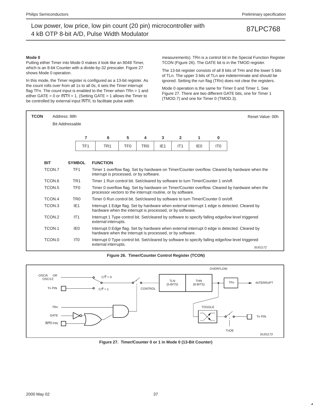### **Mode 0**

Putting either Timer into Mode 0 makes it look like an 8048 Timer, which is an 8-bit Counter with a divide-by-32 prescaler. Figure 27 shows Mode 0 operation.

In this mode, the Timer register is configured as a 13-bit register. As the count rolls over from all 1s to all 0s, it sets the Timer interrupt flag TFn. The count input is enabled to the Timer when TRn = 1 and either GATE = 0 or  $\overline{\text{INTn}}$  = 1. (Setting GATE = 1 allows the Timer to be controlled by external input  $\overline{\text{INTn}}$ , to facilitate pulse width

measurements). TRn is a control bit in the Special Function Register TCON (Figure 26). The GATE bit is in the TMOD register.

The 13-bit register consists of all 8 bits of THn and the lower 5 bits of TLn. The upper 3 bits of TLn are indeterminate and should be ignored. Setting the run flag (TRn) does not clear the registers.

Mode 0 operation is the same for Timer 0 and Timer 1. See Figure 27. There are two different GATE bits, one for Timer 1 (TMOD.7) and one for Timer 0 (TMOD.3).

| <b>TCON</b> | Address: 88h<br>Reset Value: 00h |                 |                                                                                                   |                                                                                                                                                            |                 |                 |                |     |                 |                                                                                                   |
|-------------|----------------------------------|-----------------|---------------------------------------------------------------------------------------------------|------------------------------------------------------------------------------------------------------------------------------------------------------------|-----------------|-----------------|----------------|-----|-----------------|---------------------------------------------------------------------------------------------------|
|             | <b>Bit Addressable</b>           |                 |                                                                                                   |                                                                                                                                                            |                 |                 |                |     |                 |                                                                                                   |
|             |                                  | 7               | 6                                                                                                 | 5                                                                                                                                                          | 4               | 3               | $\overline{2}$ | 1   | 0               |                                                                                                   |
|             |                                  | TF <sub>1</sub> | TR <sub>1</sub>                                                                                   | TF <sub>0</sub>                                                                                                                                            | TR <sub>0</sub> | IE <sub>1</sub> | IT1            | IE0 | IT <sub>0</sub> |                                                                                                   |
|             |                                  |                 |                                                                                                   |                                                                                                                                                            |                 |                 |                |     |                 |                                                                                                   |
| <b>BIT</b>  |                                  | <b>SYMBOL</b>   | <b>FUNCTION</b>                                                                                   |                                                                                                                                                            |                 |                 |                |     |                 |                                                                                                   |
|             | TCON.7                           | TF <sub>1</sub> |                                                                                                   | Timer 1 overflow flag. Set by hardware on Timer/Counter overflow. Cleared by hardware when the<br>interrupt is processed, or by software.                  |                 |                 |                |     |                 |                                                                                                   |
|             | TCON.6                           | TR <sub>1</sub> |                                                                                                   | Timer 1 Run control bit. Set/cleared by software to turn Timer/Counter 1 on/off.                                                                           |                 |                 |                |     |                 |                                                                                                   |
|             | TCON <sub>.5</sub>               | TF <sub>0</sub> | processor vectors to the interrupt routine, or by software.                                       |                                                                                                                                                            |                 |                 |                |     |                 | Timer 0 overflow flag. Set by hardware on Timer/Counter overflow. Cleared by hardware when the    |
|             | TCON.4                           | TR <sub>0</sub> | Timer 0 Run control bit. Set/cleared by software to turn Timer/Counter 0 on/off.                  |                                                                                                                                                            |                 |                 |                |     |                 |                                                                                                   |
|             | TCON.3                           | IE <sub>1</sub> | hardware when the interrupt is processed, or by software.                                         |                                                                                                                                                            |                 |                 |                |     |                 | Interrupt 1 Edge flag. Set by hardware when external interrupt 1 edge is detected. Cleared by     |
|             | TCON.2                           | IT1             | external interrupts.                                                                              |                                                                                                                                                            |                 |                 |                |     |                 | Interrupt 1 Type control bit. Set/cleared by software to specify falling edge/low level triggered |
|             | TCON.1                           | IE <sub>0</sub> |                                                                                                   | Interrupt 0 Edge flag. Set by hardware when external interrupt 0 edge is detected. Cleared by<br>hardware when the interrupt is processed, or by software. |                 |                 |                |     |                 |                                                                                                   |
|             | TCON.0                           | IT <sub>0</sub> | Interrupt 0 Type control bit. Set/cleared by software to specify falling edge/low level triggered |                                                                                                                                                            |                 |                 |                |     |                 |                                                                                                   |
|             |                                  |                 | external interrupts.                                                                              |                                                                                                                                                            |                 |                 |                |     |                 | SU01172                                                                                           |

**Figure 26. Timer/Counter Control Register (TCON)**



**Figure 27. Timer/Counter 0 or 1 in Mode 0 (13-Bit Counter)**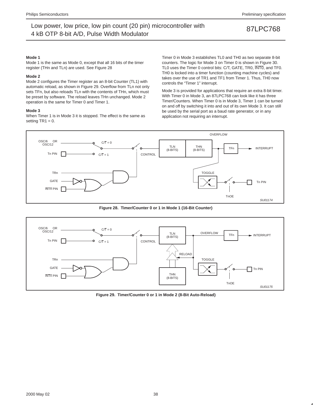### **Mode 1**

Mode 1 is the same as Mode 0, except that all 16 bits of the timer register (THn and TLn) are used. See Figure 28

### **Mode 2**

Mode 2 configures the Timer register as an 8-bit Counter (TL1) with automatic reload, as shown in Figure 29. Overflow from TLn not only sets TFn, but also reloads TLn with the contents of THn, which must be preset by software. The reload leaves THn unchanged. Mode 2 operation is the same for Timer 0 and Timer 1.

### **Mode 3**

When Timer 1 is in Mode 3 it is stopped. The effect is the same as setting  $TR1 = 0$ .

Timer 0 in Mode 3 establishes TL0 and TH0 as two separate 8-bit counters. The logic for Mode 3 on Timer 0 is shown in Figure 30. TL0 uses the Timer 0 control bits: C/T, GATE, TR0, INT0, and TF0. TH0 is locked into a timer function (counting machine cycles) and takes over the use of TR1 and TF1 from Timer 1. Thus, TH0 now controls the "Timer 1" interrupt.

Mode 3 is provided for applications that require an extra 8-bit timer. With Timer 0 in Mode 3, an 87LPC768 can look like it has three Timer/Counters. When Timer 0 is in Mode 3, Timer 1 can be turned on and off by switching it into and out of its own Mode 3. It can still be used by the serial port as a baud rate generator, or in any application not requiring an interrupt.



**Figure 28. Timer/Counter 0 or 1 in Mode 1 (16-Bit Counter)**



**Figure 29. Timer/Counter 0 or 1 in Mode 2 (8-Bit Auto-Reload)**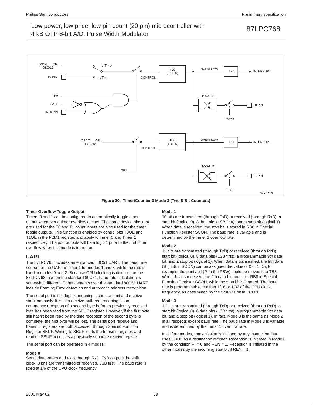

**Figure 30. Timer/Counter 0 Mode 3 (Two 8-Bit Counters)**

### **Timer Overflow Toggle Output**

Timers 0 and 1 can be configured to automatically toggle a port output whenever a timer overflow occurs. The same device pins that are used for the T0 and T1 count inputs are also used for the timer toggle outputs. This function is enabled by control bits T0OE and T1OE in the P2M1 register, and apply to Timer 0 and Timer 1 respectively. The port outputs will be a logic 1 prior to the first timer overflow when this mode is turned on.

### **UART**

The 87LPC768 includes an enhanced 80C51 UART. The baud rate source for the UART is timer 1 for modes 1 and 3, while the rate is fixed in modes 0 and 2. Because CPU clocking is different on the 87LPC768 than on the standard 80C51, baud rate calculation is somewhat different. Enhancements over the standard 80C51 UART include Framing Error detection and automatic address recognition.

The serial port is full duplex, meaning it can transmit and receive simultaneously. It is also receive-buffered, meaning it can commence reception of a second byte before a previously received byte has been read from the SBUF register. However, if the first byte still hasn't been read by the time reception of the second byte is complete, the first byte will be lost. The serial port receive and transmit registers are both accessed through Special Function Register SBUF. Writing to SBUF loads the transmit register, and reading SBUF accesses a physically separate receive register.

The serial port can be operated in 4 modes:

### **Mode 0**

Serial data enters and exits through RxD. TxD outputs the shift clock. 8 bits are transmitted or received, LSB first. The baud rate is fixed at 1/6 of the CPU clock frequency.

### **Mode 1**

10 bits are transmitted (through TxD) or received (through RxD): a start bit (logical 0), 8 data bits (LSB first), and a stop bit (logical 1). When data is received, the stop bit is stored in RB8 in Special Function Register SCON. The baud rate is variable and is determined by the Timer 1 overflow rate.

### **Mode 2**

11 bits are transmitted (through TxD) or received (through RxD): start bit (logical 0), 8 data bits (LSB first), a programmable 9th data bit, and a stop bit (logical 1). When data is transmitted, the 9th data bit (TB8 in SCON) can be assigned the value of 0 or 1. Or, for example, the parity bit (P, in the PSW) could be moved into TB8. When data is received, the 9th data bit goes into RB8 in Special Function Register SCON, while the stop bit is ignored. The baud rate is programmable to either 1/16 or 1/32 of the CPU clock frequency, as determined by the SMOD1 bit in PCON.

### **Mode 3**

11 bits are transmitted (through TxD) or received (through RxD): a start bit (logical 0), 8 data bits (LSB first), a programmable 9th data bit, and a stop bit (logical 1). In fact, Mode 3 is the same as Mode 2 in all respects except baud rate. The baud rate in Mode 3 is variable and is determined by the Timer 1 overflow rate.

In all four modes, transmission is initiated by any instruction that uses SBUF as a destination register. Reception is initiated in Mode 0 by the condition  $RI = 0$  and  $REN = 1$ . Reception is initiated in the other modes by the incoming start bit if  $REN = 1$ .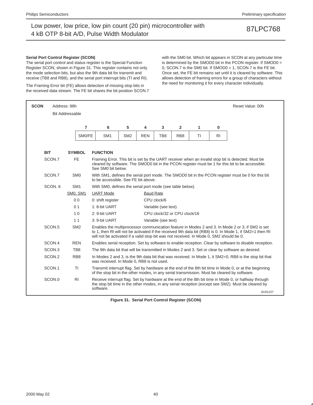### **Serial Port Control Register (SCON)**

The serial port control and status register is the Special Function Register SCON, shown in Figure 31. This register contains not only the mode selection bits, but also the 9th data bit for transmit and receive (TB8 and RB8), and the serial port interrupt bits (TI and RI).

The Framing Error bit (FE) allows detection of missing stop bits in the received data stream. The FE bit shares the bit position SCON.7 with the SM0 bit. Which bit appears in SCON at any particular time is determined by the SMOD0 bit in the PCON register. If SMOD0 = 0, SCON.7 is the SM0 bit. If SMOD0 = 1, SCON.7 is the FE bit. Once set, the FE bit remains set until it is cleared by software. This allows detection of framing errors for a group of characters without the need for monitoring it for every character individually.

| <b>SCON</b>       | Address: 98h           |                                                                                                                                                                                                                         |                                                                                                                                                                                                                             |            |                     |                              |    |                | Reset Value: 00h                                                                                                                                                                                             |
|-------------------|------------------------|-------------------------------------------------------------------------------------------------------------------------------------------------------------------------------------------------------------------------|-----------------------------------------------------------------------------------------------------------------------------------------------------------------------------------------------------------------------------|------------|---------------------|------------------------------|----|----------------|--------------------------------------------------------------------------------------------------------------------------------------------------------------------------------------------------------------|
|                   | <b>Bit Addressable</b> |                                                                                                                                                                                                                         |                                                                                                                                                                                                                             |            |                     |                              |    |                |                                                                                                                                                                                                              |
|                   | $\overline{7}$         | 6                                                                                                                                                                                                                       | 5                                                                                                                                                                                                                           | 4          | 3                   | $\overline{2}$               | 1  | $\bf{0}$       |                                                                                                                                                                                                              |
|                   |                        |                                                                                                                                                                                                                         |                                                                                                                                                                                                                             |            |                     |                              |    |                |                                                                                                                                                                                                              |
|                   | SMO/FE                 | SM <sub>1</sub>                                                                                                                                                                                                         | SM <sub>2</sub>                                                                                                                                                                                                             | <b>REN</b> | TB8                 | RB <sub>8</sub>              | TI | R <sub>l</sub> |                                                                                                                                                                                                              |
| <b>BIT</b>        | <b>SYMBOL</b>          | <b>FUNCTION</b>                                                                                                                                                                                                         |                                                                                                                                                                                                                             |            |                     |                              |    |                |                                                                                                                                                                                                              |
| SCON.7            | FE.                    |                                                                                                                                                                                                                         | Framing Error. This bit is set by the UART receiver when an invalid stop bit is detected. Must be<br>cleared by software. The SMOD0 bit in the PCON register must be 1 for this bit to be accessible.<br>See SM0 bit below. |            |                     |                              |    |                |                                                                                                                                                                                                              |
| SCON.7            | SM <sub>0</sub>        |                                                                                                                                                                                                                         | With SM1, defines the serial port mode. The SMOD0 bit in the PCON register must be 0 for this bit<br>to be accessible. See FE bit above.                                                                                    |            |                     |                              |    |                |                                                                                                                                                                                                              |
| SCON. 6           | SM <sub>1</sub>        |                                                                                                                                                                                                                         | With SM0, defines the serial port mode (see table below).                                                                                                                                                                   |            |                     |                              |    |                |                                                                                                                                                                                                              |
|                   | SM0, SM1               | <b>UART</b> Mode<br><b>Baud Rate</b>                                                                                                                                                                                    |                                                                                                                                                                                                                             |            |                     |                              |    |                |                                                                                                                                                                                                              |
|                   | 0 <sub>0</sub>         | 0: shift register                                                                                                                                                                                                       |                                                                                                                                                                                                                             |            | CPU clock/6         |                              |    |                |                                                                                                                                                                                                              |
|                   | 0 <sub>1</sub>         | 1: 8-bit UART                                                                                                                                                                                                           |                                                                                                                                                                                                                             |            | Variable (see text) |                              |    |                |                                                                                                                                                                                                              |
|                   | 10                     | 2: 9-bit UART                                                                                                                                                                                                           |                                                                                                                                                                                                                             |            |                     | CPU clock/32 or CPU clock/16 |    |                |                                                                                                                                                                                                              |
|                   | 11                     | 3: 9-bit UART                                                                                                                                                                                                           |                                                                                                                                                                                                                             |            | Variable (see text) |                              |    |                |                                                                                                                                                                                                              |
| SCON.5            | SM <sub>2</sub>        | will not be activated if a valid stop bit was not received. In Mode 0, SM2 should be 0.                                                                                                                                 |                                                                                                                                                                                                                             |            |                     |                              |    |                | Enables the multiprocessor communication feature in Modes 2 and 3. In Mode 2 or 3, if SM2 is set<br>to 1, then RI will not be activated if the received 9th data bit (RB8) is 0. In Mode 1, if SM2=1 then RI |
| SCON.4            | <b>REN</b>             |                                                                                                                                                                                                                         |                                                                                                                                                                                                                             |            |                     |                              |    |                | Enables serial reception. Set by software to enable reception. Clear by software to disable reception.                                                                                                       |
| SCON <sub>3</sub> | TB8                    |                                                                                                                                                                                                                         |                                                                                                                                                                                                                             |            |                     |                              |    |                | The 9th data bit that will be transmitted in Modes 2 and 3. Set or clear by software as desired.                                                                                                             |
| SCON.2            | RB <sub>8</sub>        |                                                                                                                                                                                                                         | In Modes 2 and 3, is the 9th data bit that was received. In Mode 1, it SM2=0, RB8 is the stop bit that<br>was received. In Mode 0, RB8 is not used.                                                                         |            |                     |                              |    |                |                                                                                                                                                                                                              |
| SCON.1            | <b>TI</b>              |                                                                                                                                                                                                                         |                                                                                                                                                                                                                             |            |                     |                              |    |                | Transmit interrupt flag. Set by hardware at the end of the 8th bit time in Mode 0, or at the beginning<br>of the stop bit in the other modes, in any serial transmission. Must be cleared by software.       |
| SCON.0            | R <sub>1</sub>         | Receive interrupt flag. Set by hardware at the end of the 8th bit time in Mode 0, or halfway through<br>the stop bit time in the other modes, in any serial reception (except see SM2). Must be cleared by<br>software. |                                                                                                                                                                                                                             |            |                     |                              |    |                |                                                                                                                                                                                                              |
|                   |                        |                                                                                                                                                                                                                         |                                                                                                                                                                                                                             |            |                     |                              |    |                | SU01157                                                                                                                                                                                                      |

**Figure 31. Serial Port Control Register (SCON)**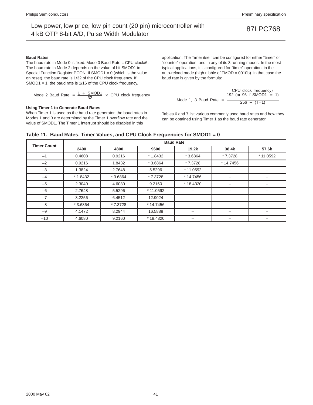### **Baud Rates**

The baud rate in Mode 0 is fixed: Mode 0 Baud Rate = CPU clock/6. The baud rate in Mode 2 depends on the value of bit SMOD1 in Special Function Register PCON. If SMOD1 = 0 (which is the value on reset), the baud rate is 1/32 of the CPU clock frequency. If SMOD1 = 1, the baud rate is 1/16 of the CPU clock frequency.

Mode 2 Baud Rate = 
$$
\frac{1 + \text{SMOD1}}{32} \times \text{CPU clock frequency}
$$

### **Using Timer 1 to Generate Baud Rates**

When Timer 1 is used as the baud rate generator, the baud rates in Modes 1 and 3 are determined by the Timer 1 overflow rate and the value of SMOD1. The Timer 1 interrupt should be disabled in this

application. The Timer itself can be configured for either "timer" or "counter" operation, and in any of its 3 running modes. In the most typical applications, it is configured for "timer" operation, in the auto-reload mode (high nibble of TMOD = 0010b). In that case the baud rate is given by the formula:

$$
CPU clock frequency/ \n192 (or 96 if SMOD1 = 1)
$$
\nMode 1, 3 Baud Rate = 
$$
\frac{192 (or 96 if SMOD1 = 1)}{256 - (TH1)}
$$

Tables 6 and 7 list various commonly used baud rates and how they can be obtained using Timer 1 as the baud rate generator.

### **Table 11. Baud Rates, Timer Values, and CPU Clock Frequencies for SMOD1 = 0**

| <b>Timer Count</b> | <b>Baud Rate</b> |           |           |            |                          |           |  |  |  |
|--------------------|------------------|-----------|-----------|------------|--------------------------|-----------|--|--|--|
|                    | 2400             | 4800      | 9600      | 19.2k      | 38.4k                    | 57.6k     |  |  |  |
| $-1$               | 0.4608           | 0.9216    | $*1.8432$ | $*3.6864$  | * 7.3728                 | * 11.0592 |  |  |  |
| $-2$               | 0.9216           | 1.8432    | $*3.6864$ | * 7.3728   | $*14.7456$               |           |  |  |  |
| $-3$               | 1.3824           | 2.7648    | 5.5296    | * 11.0592  | $\overline{\phantom{0}}$ | -         |  |  |  |
| $-4$               | $*1.8432$        | $*3.6864$ | * 7.3728  | $*14.7456$ |                          |           |  |  |  |
| $-5$               | 2.3040           | 4.6080    | 9.2160    | *18.4320   | $\overline{\phantom{0}}$ |           |  |  |  |
| $-6$               | 2.7648           | 5.5296    | * 11.0592 |            | $\overline{\phantom{0}}$ |           |  |  |  |
| $-7$               | 3.2256           | 6.4512    | 12.9024   |            |                          |           |  |  |  |
| $-8$               | * 3.6864         | * 7.3728  | * 14.7456 |            | -                        | -         |  |  |  |
| $-9$               | 4.1472           | 8.2944    | 16.5888   |            |                          |           |  |  |  |
| $-10$              | 4.6080           | 9.2160    | * 18.4320 |            | $\overline{\phantom{0}}$ | -         |  |  |  |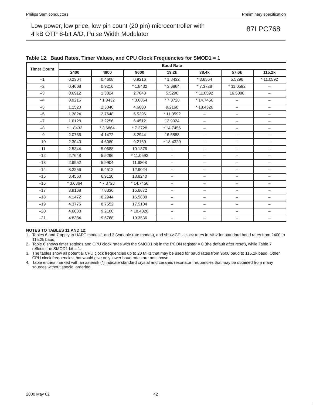| <b>Timer Count</b> |           |           |            | <b>Baud Rate</b>         |                          |                          |                          |
|--------------------|-----------|-----------|------------|--------------------------|--------------------------|--------------------------|--------------------------|
|                    | 2400      | 4800      | 9600       | 19.2k                    | 38.4k                    | 57.6k                    | 115.2k                   |
| $-1$               | 0.2304    | 0.4608    | 0.9216     | $*1.8432$                | $*3.6864$                | 5.5296                   | * 11.0592                |
| $-2$               | 0.4608    | 0.9216    | $*1.8432$  | $*3.6864$                | * 7.3728                 | * 11.0592                | $\overline{\phantom{0}}$ |
| $-3$               | 0.6912    | 1.3824    | 2.7648     | 5.5296                   | $*11.0592$               | 16.5888                  | $\overline{\phantom{0}}$ |
| $-4$               | 0.9216    | $*1.8432$ | $*3.6864$  | * 7.3728                 | * 14.7456                | $\qquad \qquad -$        | $\qquad \qquad -$        |
| $-5$               | 1.1520    | 2.3040    | 4.6080     | 9.2160                   | $*18.4320$               | -                        | $\qquad \qquad -$        |
| $-6$               | 1.3824    | 2.7648    | 5.5296     | * 11.0592                | $\overline{\phantom{0}}$ | $\qquad \qquad -$        | $\qquad \qquad -$        |
| $-7$               | 1.6128    | 3.2256    | 6.4512     | 12.9024                  | $\qquad \qquad -$        | $\overline{\phantom{m}}$ | $\qquad \qquad -$        |
| $-8$               | $*1.8432$ | $*3.6864$ | * 7.3728   | * 14.7456                | $\overline{\phantom{0}}$ | $\overline{\phantom{0}}$ | -                        |
| $-9$               | 2.0736    | 4.1472    | 8.2944     | 16.5888                  | -                        | $\qquad \qquad -$        |                          |
| $-10$              | 2.3040    | 4.6080    | 9.2160     | $*18.4320$               | -                        | $\overline{\phantom{0}}$ | $\overline{\phantom{0}}$ |
| $-11$              | 2.5344    | 5.0688    | 10.1376    | $\overline{\phantom{0}}$ | $\overline{\phantom{0}}$ | $\overline{\phantom{0}}$ | $\overline{\phantom{0}}$ |
| $-12$              | 2.7648    | 5.5296    | * 11.0592  | $\qquad \qquad -$        | $\overline{\phantom{0}}$ | $\qquad \qquad -$        | $\overline{\phantom{0}}$ |
| $-13$              | 2.9952    | 5.9904    | 11.9808    | $\qquad \qquad -$        | $\overline{\phantom{0}}$ | $\qquad \qquad -$        | $\qquad \qquad -$        |
| $-14$              | 3.2256    | 6.4512    | 12.9024    | -                        | -                        | $\qquad \qquad -$        | $\qquad \qquad -$        |
| $-15$              | 3.4560    | 6.9120    | 13.8240    | $\overline{\phantom{0}}$ | $\overline{\phantom{0}}$ | $\overline{\phantom{0}}$ | $\overline{\phantom{0}}$ |
| $-16$              | $*3.6864$ | * 7.3728  | $*14.7456$ | $\qquad \qquad -$        | $\qquad \qquad -$        | $\qquad \qquad -$        | $\qquad \qquad -$        |
| $-17$              | 3.9168    | 7.8336    | 15.6672    | $\qquad \qquad -$        | -                        | $\qquad \qquad -$        | $\qquad \qquad -$        |
| $-18$              | 4.1472    | 8.2944    | 16.5888    | $\qquad \qquad -$        | -                        | $\qquad \qquad -$        | $\qquad \qquad -$        |
| $-19$              | 4.3776    | 8.7552    | 17.5104    | $\qquad \qquad -$        | $\qquad \qquad -$        | $\overline{\phantom{0}}$ | $\qquad \qquad -$        |
| $-20$              | 4.6080    | 9.2160    | *18.4320   | $\overline{\phantom{m}}$ | $\overline{\phantom{0}}$ | $\overline{\phantom{m}}$ | $\qquad \qquad -$        |
| $-21$              | 4.8384    | 9.6768    | 19.3536    | $\qquad \qquad -$        | -                        | $\overline{\phantom{0}}$ |                          |

### **Table 12. Baud Rates, Timer Values, and CPU Clock Frequencies for SMOD1 = 1**

### **NOTES TO TABLES 11 AND 12:**

1. Tables 6 and 7 apply to UART modes 1 and 3 (variable rate modes), and show CPU clock rates in MHz for standard baud rates from 2400 to 115.2k baud.

2. Table 6 shows timer settings and CPU clock rates with the SMOD1 bit in the PCON register = 0 (the default after reset), while Table 7 reflects the SMOD1 bit =  $1$ .

3. The tables show all potential CPU clock frequencies up to 20 MHz that may be used for baud rates from 9600 baud to 115.2k baud. Other CPU clock frequencies that would give only lower baud rates are not shown.

4. Table entries marked with an asterisk (\*) indicate standard crystal and ceramic resonator frequencies that may be obtained from many sources without special ordering.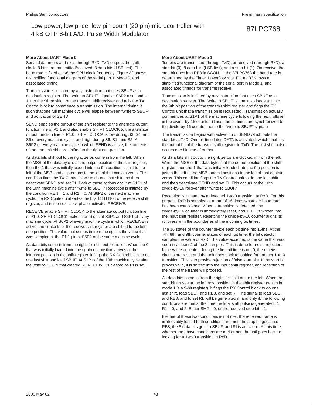### **More About UART Mode 0**

Serial data enters and exits through RxD. TxD outputs the shift clock. 8 bits are transmitted/received: 8 data bits (LSB first). The baud rate is fixed at 1/6 the CPU clock frequency. Figure 32 shows a simplified functional diagram of the serial port in Mode 0, and associated timing.

Transmission is initiated by any instruction that uses SBUF as a destination register. The "write to SBUF" signal at S6P2 also loads a 1 into the 9th position of the transmit shift register and tells the TX Control block to commence a transmission. The internal timing is such that one full machine cycle will elapse between "write to SBUF" and activation of SEND.

SEND enables the output of the shift register to the alternate output function line of P1.1 and also enable SHIFT CLOCK to the alternate output function line of P1.0. SHIFT CLOCK is low during S3, S4, and S5 of every machine cycle, and high during S6, S1, and S2. At S6P2 of every machine cycle in which SEND is active, the contents of the transmit shift are shifted to the right one position.

As data bits shift out to the right, zeros come in from the left. When the MSB of the data byte is at the output position of the shift register, then the 1 that was initially loaded into the 9th position, is just to the left of the MSB, and all positions to the left of that contain zeros. This condition flags the TX Control block to do one last shift and then deactivate SEND and set T1. Both of these actions occur at S1P1 of the 10th machine cycle after "write to SBUF." Reception is initiated by the condition  $REN = 1$  and  $R1 = 0$ . At S6P2 of the next machine cycle, the RX Control unit writes the bits 11111110 t o the receive shift register, and in the next clock phase activates RECEIVE.

RECEIVE enable SHIFT CLOCK to the alternate output function line of P1.0. SHIFT CLOCK makes transitions at S3P1 and S6P1 of every machine cycle. At S6P2 of every machine cycle in which RECEIVE is active, the contents of the receive shift register are shifted to the left one position. The value that comes in from the right is the value that was sampled at the P1.1 pin at S5P2 of the same machine cycle.

As data bits come in from the right, 1s shift out to the left. When the 0 that was initially loaded into the rightmost position arrives at the leftmost position in the shift register, it flags the RX Control block to do one last shift and load SBUF. At S1P1 of the 10th machine cycle after the write to SCON that cleared RI, RECEIVE is cleared as RI is set.

### **More About UART Mode 1**

Ten bits are transmitted (through TxD), or received (through RxD): a start bit (0), 8 data bits (LSB first), and a stop bit (1). On receive, the stop bit goes into RB8 in SCON. In the 87LPC768 the baud rate is determined by the Timer 1 overflow rate. Figure 33 shows a simplified functional diagram of the serial port in Mode 1, and associated timings for transmit receive.

Transmission is initiated by any instruction that uses SBUF as a destination register. The "write to SBUF" signal also loads a 1 into the 9th bit position of the transmit shift register and flags the TX Control unit that a transmission is requested. Transmission actually commences at S1P1 of the machine cycle following the next rollover in the divide-by-16 counter. (Thus, the bit times are synchronized to the divide-by-16 counter, not to the "write to SBUF" signal.)

The transmission begins with activation of SEND which puts the start bit at TxD. One bit time later, DATA is activated, which enables the output bit of the transmit shift register to TxD. The first shift pulse occurs one bit time after that.

As data bits shift out to the right, zeros are clocked in from the left. When the MSB of the data byte is at the output position of the shift register, then the 1 that was initially loaded into the 9th position is just to the left of the MSB, and all positions to the left of that contain zeros. This condition flags the TX Control unit to do one last shift and then deactivate SEND and set TI. This occurs at the 10th divide-by-16 rollover after "write to SBUF."

Reception is initiated by a detected 1-to-0 transition at RxD. For this purpose RxD is sampled at a rate of 16 times whatever baud rate has been established. When a transition is detected, the divide-by-16 counter is immediately reset, and 1FFH is written into the input shift register. Resetting the divide-by-16 counter aligns its rollovers with the boundaries of the incoming bit times.

The 16 states of the counter divide each bit time into 16ths. At the 7th, 8th, and 9th counter states of each bit time, the bit detector samples the value of RxD. The value accepted is the value that was seen in at least 2 of the 3 samples. This is done for noise rejection. If the value accepted during the first bit time is not 0, the receive circuits are reset and the unit goes back to looking for another 1-to-0 transition. This is to provide rejection of false start bits. If the start bit proves valid, it is shifted into the input shift register, and reception of the rest of the frame will proceed.

As data bits come in from the right, 1s shift out to the left. When the start bit arrives at the leftmost position in the shift register (which in mode 1 is a 9-bit register), it flags the RX Control block to do one last shift, load SBUF and RB8, and set RI. The signal to load SBUF and RB8, and to set RI, will be generated if, and only if, the following conditions are met at the time the final shift pulse is generated.: 1.  $R1 = 0$ , and 2. Either SM2 = 0, or the received stop bit = 1.

If either of these two conditions is not met, the received frame is irretrievably lost. If both conditions are met, the stop bit goes into RB8, the 8 data bits go into SBUF, and RI is activated. At this time, whether the above conditions are met or not, the unit goes back to looking for a 1-to-0 transition in RxD.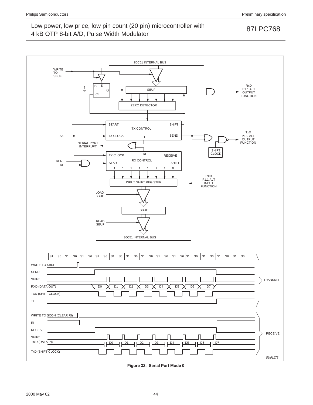## Low power, low price, low pin count (20 pin) microcontroller with 87LPC768

## 4 kB OTP 8-bit A/D, Pulse Width Modulator



**Figure 32. Serial Port Mode 0**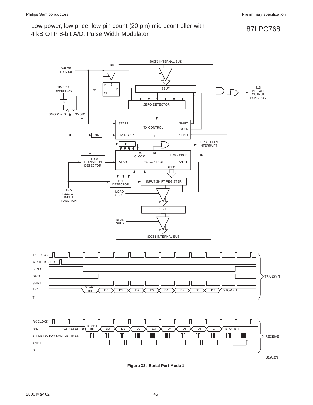

**Figure 33. Serial Port Mode 1**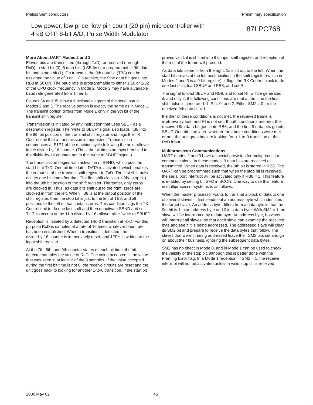### **More About UART Modes 2 and 3**

Eleven bits are transmitted (through TxD), or received (through RxD): a start bit (0), 8 data bits (LSB first), a programmable 9th data bit, and a stop bit (1). On transmit, the 9th data bit (TB8) can be assigned the value of 0 or 1. On receive, the 9the data bit goes into RB8 in SCON. The baud rate is programmable to either 1/16 or 1/32 of the CPU clock frequency in Mode 2. Mode 3 may have a variable baud rate generated from Timer 1.

Figures 34 and 35 show a functional diagram of the serial port in Modes 2 and 3. The receive portion is exactly the same as in Mode 1. The transmit portion differs from Mode 1 only in the 9th bit of the transmit shift register.

Transmission is initiated by any instruction that uses SBUF as a destination register. The "write to SBUF" signal also loads TB8 into the 9th bit position of the transmit shift register and flags the TX Control unit that a transmission is requested. Transmission commences at S1P1 of the machine cycle following the next rollover in the divide-by-16 counter. (Thus, the bit times are synchronized to the divide-by-16 counter, not to the "write to SBUF" signal.)

The transmission begins with activation of SEND, which puts the start bit at TxD. One bit time later, DATA is activated, which enables the output bit of the transmit shift register to TxD. The first shift pulse occurs one bit time after that. The first shift clocks a 1 (the stop bit) into the 9th bit position of the shift register. Thereafter, only zeros are clocked in. Thus, as data bits shift out to the right, zeros are clocked in from the left. When TB8 is at the output position of the shift register, then the stop bit is just to the left of TB8, and all positions to the left of that contain zeros. This condition flags the TX Control unit to do one last shift and then deactivate SEND and set TI. This occurs at the 11th divide-by-16 rollover after "write to SBUF."

Reception is initiated by a detected 1-to-0 transition at RxD. For this purpose RxD is sampled at a rate of 16 times whatever baud rate has been established. When a transition is detected, the divide-by-16 counter is immediately reset, and 1FFH is written to the input shift register.

At the 7th, 8th, and 9th counter states of each bit time, the bit detector samples the value of R–D. The value accepted is the value that was seen in at least 2 of the 3 samples. If the value accepted during the first bit time is not 0, the receive circuits are reset and the unit goes back to looking for another 1-to-0 transition. If the start bit

proves valid, it is shifted into the input shift register, and reception of the rest of the frame will proceed.

As data bits come in from the right, 1s shift out to the left. When the start bit arrives at the leftmost position in the shift register (which in Modes 2 and 3 is a 9-bit register), it flags the RX Control block to do one last shift, load SBUF and RB8, and set RI.

The signal to load SBUF and RB8, and to set RI, will be generated if, and only if, the following conditions are met at the time the final shift pulse is generated. 1.  $RI = 0$ , and 2. Either SM2 = 0, or the received 9th data bit  $= 1$ .

If either of these conditions is not met, the received frame is irretrievably lost, and RI is not set. If both conditions are met, the received 9th data bit goes into RB8, and the first 8 data bits go into SBUF. One bit time later, whether the above conditions were met or not, the unit goes back to looking for a 1-to-0 transition at the RxD input.

### **Multiprocessor Communications**

UART modes 2 and 3 have a special provision for multiprocessor communications. In these modes, 9 data bits are received or transmitted. When data is received, the 9th bit is stored in RB8. The UART can be programmed such that when the stop bit is received, the serial port interrupt will be activated only if RB8 = 1. This feature is enabled by setting bit SM2 in SCON. One way to use this feature in multiprocessor systems is as follows:

When the master processor wants to transmit a block of data to one of several slaves, it first sends out an address byte which identifies the target slave. An address byte differs from a data byte in that the 9th bit is 1 in an address byte and 0 in a data byte. With SM2 = 1, no slave will be interrupted by a data byte. An address byte, however, will interrupt all slaves, so that each slave can examine the received byte and see if it is being addressed. The addressed slave will clear its SM2 bit and prepare to receive the data bytes that follow. The slaves that weren't being addressed leave their SM2 bits set and go on about their business, ignoring the subsequent data bytes.

SM2 has no effect in Mode 0, and in Mode 1 can be used to check the validity of the stop bit, although this is better done with the Framing Error flag. In a Mode 1 reception, if SM2 = 1, the receive interrupt will not be activated unless a valid stop bit is received.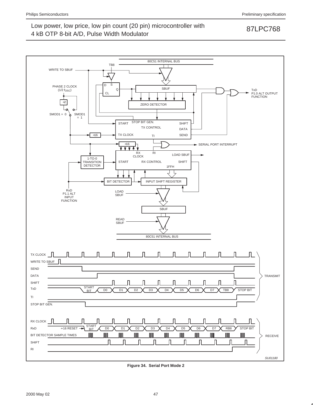

**Figure 34. Serial Port Mode 2**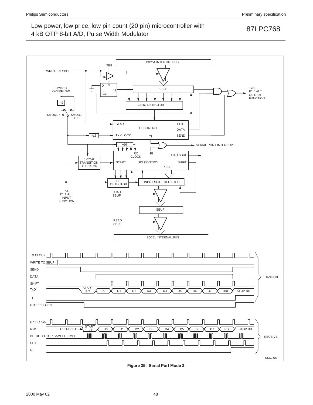

**Figure 35. Serial Port Mode 3**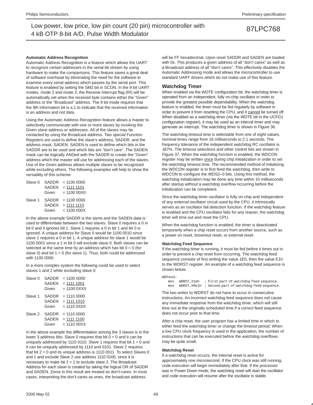### **Automatic Address Recognition**

Automatic Address Recognition is a feature which allows the UART to recognize certain addresses in the serial bit stream by using hardware to make the comparisons. This feature saves a great deal of software overhead by eliminating the need for the software to examine every serial address which passes by the serial port. This feature is enabled by setting the SM2 bit in SCON. In the 9 bit UART modes, mode 2 and mode 3, the Receive Interrupt flag (RI) will be automatically set when the received byte contains either the "Given" address or the "Broadcast" address. The 9 bit mode requires that the 9th information bit is a 1 to indicate that the received information is an address and not data.

Using the Automatic Address Recognition feature allows a master to selectively communicate with one or more slaves by invoking the Given slave address or addresses. All of the slaves may be contacted by using the Broadcast address. Two special Function Registers are used to define the slave's address, SADDR, and the address mask, SADEN. SADEN is used to define which bits in the SADDR are to be used and which bits are "don't care". The SADEN mask can be logically ANDed with the SADDR to create the "Given" address which the master will use for addressing each of the slaves. Use of the Given address allows multiple slaves to be recognized while excluding others. The following examples will help to show the versatility of this scheme:

| Slave 0 | SADDR        | $= 11000000$  |
|---------|--------------|---------------|
|         | <b>SADEN</b> | $= 1111 1101$ |
|         | Given        | $= 110000000$ |
| Slave 1 | <b>SADDR</b> | $= 11000000$  |
|         | <b>SADEN</b> | $= 1111 1110$ |
|         | Given        | $= 11000000X$ |

In the above example SADDR is the same and the SADEN data is used to differentiate between the two slaves. Slave 0 requires a 0 in bit 0 and it ignores bit 1. Slave 1 requires a 0 in bit 1 and bit 0 is ignored. A unique address for Slave 0 would be 1100 0010 since slave 1 requires a 0 in bit 1. A unique address for slave 1 would be 1100 0001 since a 1 in bit 0 will exclude slave 0. Both slaves can be selected at the same time by an address which has bit  $0 = 0$  (for slave 0) and bit  $1 = 0$  (for slave 1). Thus, both could be addressed with 1100 0000.

In a more complex system the following could be used to select slaves 1 and 2 while excluding slave 0:

| Slave 0 | <b>SADDR</b><br><b>SADEN</b><br>Given | $= 11000000$<br>$= 1111 1001$<br>$= 110000$    |
|---------|---------------------------------------|------------------------------------------------|
| Slave 1 | SADDR<br><b>SADEN</b><br>Given        | $= 11100000$<br>$= 1111 1010$<br>$= 111000X0X$ |
| Slave 2 | SADDR<br><b>SADEN</b><br>Given        | $= 11100000$<br>$= 1111 1100$<br>$= 1110000XX$ |

In the above example the differentiation among the 3 slaves is in the lower 3 address bits. Slave 0 requires that bit  $0 = 0$  and it can be uniquely addressed by 1110 0110. Slave 1 requires that bit  $1 = 0$  and it can be uniquely addressed by 1110 and 0101. Slave 2 requires that bit  $2 = 0$  and its unique address is 1110 0011. To select Slaves 0 and 1 and exclude Slave 2 use address 1110 0100, since it is necessary to make bit  $2 = 1$  to exclude slave 2. The Broadcast Address for each slave is created by taking the logical OR of SADDR and SADEN. Zeros in this result are treated as don't-cares. In most cases, interpreting the don't-cares as ones, the broadcast address

will be FF hexadecimal. Upon reset SADDR and SADEN are loaded with 0s. This produces a given address of all "don't cares" as well as a Broadcast address of all "don't cares". This effectively disables the Automatic Addressing mode and allows the microcontroller to use standard UART drivers which do not make use of this feature.

### **Watchdog Timer**

When enabled via the WDTE configuration bit, the watchdog timer is operated from an independent, fully on-chip oscillator in order to provide the greatest possible dependability. When the watchdog feature is enabled, the timer must be fed regularly by software in order to prevent it from resetting the CPU, and it cannot be turned off. When disabled as a watchdog timer (via the WDTE bit in the UCFG1 configuration register), it may be used as an interval timer and may generate an interrupt. The watchdog timer is shown in Figure 36.

The watchdog timeout time is selectable from one of eight values, nominal times range from 16 milliseconds to 2.1 seconds. The frequency tolerance of the independent watchdog RC oscillator is ±37%. The timeout selections and other control bits are shown in Figure 37. When the watchdog function is enabled, the WDCON register may be written once during chip initialization in order to set the watchdog timeout time. The recommended method of initializing the WDCON register is to first feed the watchdog, then write to WDCON to configure the WDS2–0 bits. Using this method, the watchdog initialization may be done any time within 10 milliseconds after startup without a watchdog overflow occurring before the initialization can be completed.

Since the watchdog timer oscillator is fully on-chip and independent of any external oscillator circuit used by the CPU, it intrinsically serves as an oscillator fail detection function. If the watchdog feature is enabled and the CPU oscillator fails for any reason, the watchdog timer will time out and reset the CPU.

When the watchdog function is enabled, the timer is deactivated temporarily when a chip reset occurs from another source, such as a power on reset, brownout reset, or external reset.

### **Watchdog Feed Sequence**

If the watchdog timer is running, it must be fed before it times out in order to prevent a chip reset from occurring. The watchdog feed sequence consists of first writing the value 1Eh, then the value E1h to the WDRST register. An example of a watchdog feed sequence is shown below.

```
WDFeed:
mov WDRST,#1eh ; First part of watchdog feed sequence.
 mov WDRST,#0e1h ; Second part of watchdog feed sequence.
```
The two writes to WDRST do not have to occur in consecutive instructions. An incorrect watchdog feed sequence does not cause any immediate response from the watchdog timer, which will still time out at the originally scheduled time if a correct feed sequence does not occur prior to that time.

After a chip reset, the user program has a limited time in which to either feed the watchdog timer or change the timeout period. When a low CPU clock frequency is used in the application, the number of instructions that can be executed before the watchdog overflows may be quite small.

### **Watchdog Reset**

If a watchdog reset occurs, the internal reset is active for approximately one microsecond. If the CPU clock was still running, code execution will begin immediately after that. If the processor was in Power Down mode, the watchdog reset will start the oscillator and code execution will resume after the oscillator is stable.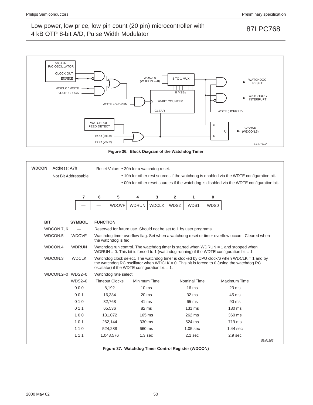

**Figure 36. Block Diagram of the Watchdog Timer**

| <b>WDCON</b><br>Address: A7h |               |                                                                                         |                                                                                           |                                                                   |              |      |                     |      | Reset Value: • 30h for a watchdog reset.                                                                                                                                                  |         |  |  |  |  |  |  |
|------------------------------|---------------|-----------------------------------------------------------------------------------------|-------------------------------------------------------------------------------------------|-------------------------------------------------------------------|--------------|------|---------------------|------|-------------------------------------------------------------------------------------------------------------------------------------------------------------------------------------------|---------|--|--|--|--|--|--|
| Not Bit Addressable          |               | • 10h for other rest sources if the watchdog is enabled via the WDTE configuration bit. |                                                                                           |                                                                   |              |      |                     |      |                                                                                                                                                                                           |         |  |  |  |  |  |  |
|                              |               |                                                                                         | . 00h for other reset sources if the watchdog is disabled via the WDTE configuration bit. |                                                                   |              |      |                     |      |                                                                                                                                                                                           |         |  |  |  |  |  |  |
|                              |               |                                                                                         |                                                                                           |                                                                   |              |      |                     |      |                                                                                                                                                                                           |         |  |  |  |  |  |  |
|                              | 7             | 6                                                                                       | 5<br>4<br>3<br>$\overline{2}$<br>1<br>$\bf{0}$                                            |                                                                   |              |      |                     |      |                                                                                                                                                                                           |         |  |  |  |  |  |  |
|                              |               |                                                                                         | <b>WDOVF</b>                                                                              | <b>WDRUN</b>                                                      | <b>WDCLK</b> | WDS2 | WDS1                | WDS0 |                                                                                                                                                                                           |         |  |  |  |  |  |  |
|                              |               |                                                                                         |                                                                                           |                                                                   |              |      |                     |      |                                                                                                                                                                                           |         |  |  |  |  |  |  |
| <b>BIT</b>                   | <b>SYMBOL</b> | <b>FUNCTION</b>                                                                         |                                                                                           |                                                                   |              |      |                     |      |                                                                                                                                                                                           |         |  |  |  |  |  |  |
| WDCON.7, 6                   |               |                                                                                         |                                                                                           | Reserved for future use. Should not be set to 1 by user programs. |              |      |                     |      |                                                                                                                                                                                           |         |  |  |  |  |  |  |
| WDCON.5                      | <b>WDOVF</b>  |                                                                                         | the watchdog is fed.                                                                      |                                                                   |              |      |                     |      | Watchdog timer overflow flag. Set when a watchdog reset or timer overflow occurs. Cleared when                                                                                            |         |  |  |  |  |  |  |
| WDCON.4                      | <b>WDRUN</b>  |                                                                                         |                                                                                           |                                                                   |              |      |                     |      | Watchdog run control. The watchdog timer is started when WDRUN $=$ 1 and stopped when<br>WDRUN = 0. This bit is forced to 1 (watchdog running) if the WDTE configuration bit = 1.         |         |  |  |  |  |  |  |
| WDCON.3                      | <b>WDCLK</b>  |                                                                                         |                                                                                           | oscillator) if the WDTE configuration bit = $1$ .                 |              |      |                     |      | Watchdog clock select. The watchdog timer is clocked by CPU clock/6 when WDCLK = 1 and by<br>the watchdog RC oscillator when WDCLK = $0$ . This bit is forced to 0 (using the watchdog RC |         |  |  |  |  |  |  |
| WDCON.2-0 WDS2-0             |               |                                                                                         | Watchdog rate select.                                                                     |                                                                   |              |      |                     |      |                                                                                                                                                                                           |         |  |  |  |  |  |  |
|                              | $WDS2-0$      |                                                                                         | <b>Timeout Clocks</b>                                                                     | Minimum Time                                                      |              |      | <b>Nominal Time</b> |      | Maximum Time                                                                                                                                                                              |         |  |  |  |  |  |  |
|                              | 000           |                                                                                         | 8,192                                                                                     | $10 \text{ ms}$                                                   |              |      | 16 <sub>ms</sub>    |      | $23 \text{ ms}$                                                                                                                                                                           |         |  |  |  |  |  |  |
|                              | 001           |                                                                                         | 16,384                                                                                    | $20$ ms                                                           |              |      | $32 \text{ ms}$     |      | 45 ms                                                                                                                                                                                     |         |  |  |  |  |  |  |
|                              | 010           |                                                                                         | 32,768                                                                                    | 41 ms                                                             |              |      | 65 ms               |      | $90 \text{ ms}$                                                                                                                                                                           |         |  |  |  |  |  |  |
|                              | 011           |                                                                                         | 65,536                                                                                    | 82 ms                                                             |              |      | $131 \text{ ms}$    |      | $180 \text{ ms}$                                                                                                                                                                          |         |  |  |  |  |  |  |
|                              | 100           |                                                                                         | 131,072                                                                                   | $165 \text{ ms}$                                                  |              |      | 262 ms              |      | 360 ms                                                                                                                                                                                    |         |  |  |  |  |  |  |
|                              | 101           |                                                                                         | 262,144                                                                                   | 330 ms                                                            |              |      | 524 ms              |      | 719 ms                                                                                                                                                                                    |         |  |  |  |  |  |  |
|                              | 110           |                                                                                         | 524,288                                                                                   | 660 ms                                                            |              |      | $1.05$ sec          |      | $1.44$ sec                                                                                                                                                                                |         |  |  |  |  |  |  |
|                              | 111           |                                                                                         | 1,048,576                                                                                 | 1.3 <sub>sec</sub>                                                |              |      | $2.1$ sec           |      | 2.9 <sub>sec</sub>                                                                                                                                                                        |         |  |  |  |  |  |  |
|                              |               |                                                                                         |                                                                                           |                                                                   |              |      |                     |      |                                                                                                                                                                                           | SU01183 |  |  |  |  |  |  |

**Figure 37. Watchdog Timer Control Register (WDCON)**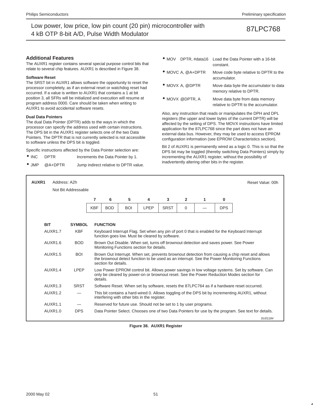### **Additional Features**

The AUXR1 register contains several special purpose control bits that relate to several chip features. AUXR1 is described in Figure 38.

### **Software Reset**

The SRST bit in AUXR1 allows software the opportunity to reset the processor completely, as if an external reset or watchdog reset had occurred. If a value is written to AUXR1 that contains a 1 at bit position 3, all SFRs will be initialized and execution will resume at program address 0000. Care should be taken when writing to AUXR1 to avoid accidental software resets.

### **Dual Data Pointers**

The dual Data Pointer (DPTR) adds to the ways in which the processor can specify the address used with certain instructions. The DPS bit in the AUXR1 register selects one of the two Data Pointers. The DPTR that is not currently selected is not accessible to software unless the DPS bit is toggled.

Specific instructions affected by the Data Pointer selection are:

- INC DPTR Increments the Data Pointer by 1.
- JMP @A+DPTR Jump indirect relative to DPTR value.
- MOV DPTR, #data16 Load the Data Pointer with a 16-bit constant.
- MOVC A, @A+DPTR Move code byte relative to DPTR to the accumulator.
- MOVX A, @DPTR Move data byte the accumulator to data memory relative to DPTR.
- MOVX @DPTR, A Move data byte from data memory relative to DPTR to the accumulator.

Also, any instruction that reads or manipulates the DPH and DPL registers (the upper and lower bytes of the current DPTR) will be affected by the setting of DPS. The MOVX instructions have limited application for the 87LPC768 since the part does not have an external data bus. However, they may be used to access EPROM configuration information (see EPROM Characteristics section).

Bit 2 of AUXR1 is permanently wired as a logic 0. This is so that the DPS bit may be toggled (thereby switching Data Pointers) simply by incrementing the AUXR1 register, without the possibility of inadvertently altering other bits in the register.

| AUXR1      | Address: A2h        |                     |            |                      |            |                                                                   |             |                |   |            | Reset Value: 00h                                                                                                                                                                               |
|------------|---------------------|---------------------|------------|----------------------|------------|-------------------------------------------------------------------|-------------|----------------|---|------------|------------------------------------------------------------------------------------------------------------------------------------------------------------------------------------------------|
|            |                     | Not Bit Addressable |            |                      |            |                                                                   |             |                |   |            |                                                                                                                                                                                                |
|            |                     |                     | 7          | 6                    | 5          | 4                                                                 | 3           | $\overline{2}$ | 1 | $\bf{0}$   |                                                                                                                                                                                                |
|            |                     |                     | <b>KBF</b> | <b>BOD</b>           | <b>BOI</b> | LPEP                                                              | <b>SRST</b> | 0              |   | <b>DPS</b> |                                                                                                                                                                                                |
|            |                     |                     |            |                      |            |                                                                   |             |                |   |            |                                                                                                                                                                                                |
| <b>BIT</b> |                     | <b>SYMBOL</b>       |            | <b>FUNCTION</b>      |            |                                                                   |             |                |   |            |                                                                                                                                                                                                |
|            | AUXR1.7             | <b>KBF</b>          |            |                      |            | function goes low. Must be cleared by software.                   |             |                |   |            | Keyboard Interrupt Flag. Set when any pin of port 0 that is enabled for the Keyboard Interrupt                                                                                                 |
|            | AUXR1.6             | <b>BOD</b>          |            |                      |            | Monitoring Functions section for details.                         |             |                |   |            | Brown Out Disable. When set, turns off brownout detection and saves power. See Power                                                                                                           |
|            | AUXR1.5             | <b>BOI</b>          |            | section for details. |            |                                                                   |             |                |   |            | Brown Out Interrupt. When set, prevents brownout detection from causing a chip reset and allows<br>the brownout detect function to be used as an interrupt. See the Power Monitoring Functions |
|            | AUXR1.4             | LPEP                | details.   |                      |            |                                                                   |             |                |   |            | Low Power EPROM control bit. Allows power savings in low voltage systems. Set by software. Can<br>only be cleared by power-on or brownout reset. See the Power Reduction Modes section for     |
|            | AUXR <sub>1.3</sub> | <b>SRST</b>         |            |                      |            |                                                                   |             |                |   |            | Software Reset. When set by software, resets the 87LPC764 as if a hardware reset occurred.                                                                                                     |
|            | AUXR1.2             |                     |            |                      |            | interfering with other bits in the register.                      |             |                |   |            | This bit contains a hard-wired 0. Allows toggling of the DPS bit by incrementing AUXR1, without                                                                                                |
|            | AUXR1.1             |                     |            |                      |            | Reserved for future use. Should not be set to 1 by user programs. |             |                |   |            |                                                                                                                                                                                                |
|            | AUXR1.0             | <b>DPS</b>          |            |                      |            |                                                                   |             |                |   |            | Data Pointer Select. Chooses one of two Data Pointers for use by the program. See text for details.                                                                                            |
|            |                     |                     |            |                      |            |                                                                   |             |                |   |            | SU01184                                                                                                                                                                                        |

**Figure 38. AUXR1 Register**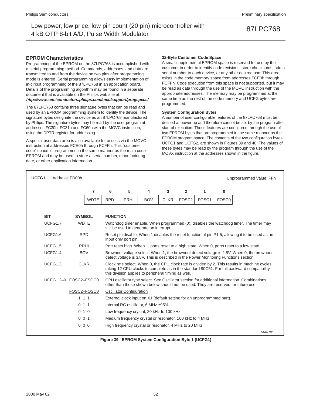### **EPROM Characteristics**

Programming of the EPROM on the 87LPC768 is accomplished with a serial programming method. Commands, addresses, and data are transmitted to and from the device on two pins after programming mode is entered. Serial programming allows easy implementation of in-circuit programming of the 87LPC768 in an application board. Details of the programming algorithm may be found in a separate document that is available on the Philips web site at: **http://www.semiconductors.philips.com/mcu/support/progspecs/**

The 87LPC768 contains three signature bytes that can be read and used by an EPROM programming system to identify the device. The signature bytes designate the device as an 87LPC768 manufactured by Philips. The signature bytes may be read by the user program at addresses FC30h, FC31h and FC60h with the MOVC instruction, using the DPTR register for addressing.

A special user data area is also available for access via the MOVC instruction at addresses FCE0h through FCFFh. This "customer code" space is programmed in the same manner as the main code EPROM and may be used to store a serial number, manufacturing date, or other application information.

### **32-Byte Customer Code Space**

A small supplemental EPROM space is reserved for use by the customer in order to identify code revisions, store checksums, add a serial number to each device, or any other desired use. This area exists in the code memory space from addresses FCE0h through FCFFh. Code execution from this space is not supported, but it may be read as data through the use of the MOVC instruction with the appropriate addresses. The memory may be programmed at the same time as the rest of the code memory and UCFG bytes are programmed.

### **System Configuration Bytes**

A number of user configurable features of the 87LPC768 must be defined at power up and therefore cannot be set by the program after start of execution. Those features are configured through the use of two EPROM bytes that are programmed in the same manner as the EPROM program space. The contents of the two configuration bytes, UCFG1 and UCFG2, are shown in Figures 39 and 40. The values of these bytes may be read by the program through the use of the MOVX instruction at the addresses shown in the figure.

| UCFG1                 | Address: FD00h |                |                 |                                 |                                                                        |             |                   |       |                   | Unprogrammed Value: FFh                                                                                                                                                                      |
|-----------------------|----------------|----------------|-----------------|---------------------------------|------------------------------------------------------------------------|-------------|-------------------|-------|-------------------|----------------------------------------------------------------------------------------------------------------------------------------------------------------------------------------------|
|                       |                | $\overline{7}$ | 6               | 5                               | 4                                                                      | 3           | $\overline{2}$    | 1     | 0                 |                                                                                                                                                                                              |
|                       |                | <b>WDTE</b>    | <b>RPD</b>      | PRHI                            | <b>BOV</b>                                                             | <b>CLKR</b> | FOSC <sub>2</sub> | FOSC1 | FOSC <sub>0</sub> |                                                                                                                                                                                              |
|                       |                |                |                 |                                 |                                                                        |             |                   |       |                   |                                                                                                                                                                                              |
| <b>BIT</b>            | <b>SYMBOL</b>  |                | <b>FUNCTION</b> |                                 |                                                                        |             |                   |       |                   |                                                                                                                                                                                              |
| UCFG1.7               | <b>WDTE</b>    |                |                 |                                 | still be used to generate an interrupt.                                |             |                   |       |                   | Watchdog timer enable. When programmed (0), disables the watchdog timer. The timer may                                                                                                       |
| UCFG1.6               | <b>RPD</b>     |                |                 | input only port pin.            |                                                                        |             |                   |       |                   | Reset pin disable. When 1 disables the reset function of pin P1.5, allowing it to be used as an                                                                                              |
| UCFG1.5               |                | PRHI           |                 |                                 |                                                                        |             |                   |       |                   | Port reset high. When 1, ports reset to a high state. When 0, ports reset to a low state.                                                                                                    |
| UCFG1.4               | <b>BOV</b>     |                |                 |                                 |                                                                        |             |                   |       |                   | Brownout voltage select. When 1, the brownout detect voltage is 2.5V. When 0, the brownout<br>detect voltage is 3.8V. This is described in the Power Monitoring Functions section.           |
| UCFG1.3               |                | <b>CLKR</b>    |                 |                                 | this division applies to peripheral timing as well.                    |             |                   |       |                   | Clock rate select. When 0, the CPU clock rate is divided by 2. This results in machine cycles<br>taking 12 CPU clocks to complete as in the standard 80C51. For full backward compatibility, |
| UCFG1.2-0 FOSC2-FSOC0 |                |                |                 |                                 |                                                                        |             |                   |       |                   | CPU oscillator type select. See Oscillator section for additional information. Combinations<br>other than those shown below should not be used. They are reserved for future use.            |
|                       |                | FOSC2-FOSC0    |                 | <b>Oscillator Configuration</b> |                                                                        |             |                   |       |                   |                                                                                                                                                                                              |
|                       | 111            |                |                 |                                 | External clock input on X1 (default setting for an unprogrammed part). |             |                   |       |                   |                                                                                                                                                                                              |
|                       | 0, 1, 1        |                |                 |                                 | Internal RC oscillator, 6 MHz ±25%.                                    |             |                   |       |                   |                                                                                                                                                                                              |
|                       | 010            |                |                 |                                 | Low frequency crystal, 20 kHz to 100 kHz.                              |             |                   |       |                   |                                                                                                                                                                                              |
|                       | 001            |                |                 |                                 | Medium frequency crystal or resonator, 100 kHz to 4 MHz.               |             |                   |       |                   |                                                                                                                                                                                              |
|                       | 000            |                |                 |                                 | High frequency crystal or resonator, 4 MHz to 20 MHz.                  |             |                   |       |                   |                                                                                                                                                                                              |
|                       |                |                |                 |                                 |                                                                        |             |                   |       |                   | SU01185                                                                                                                                                                                      |

**Figure 39. EPROM System Configuration Byte 1 (UCFG1)**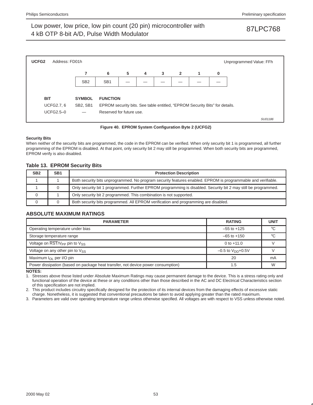

**Figure 40. EPROM System Configuration Byte 2 (UCFG2)**

### **Security Bits**

When neither of the security bits are programmed, the code in the EPROM can be verified. When only security bit 1 is programmed, all further programming of the EPROM is disabled. At that point, only security bit 2 may still be programmed. When both security bits are programmed, EPROM verify is also disabled.

### **Table 13. EPROM Security Bits**

| SB <sub>2</sub> | SB <sub>1</sub> | <b>Protection Description</b>                                                                                  |
|-----------------|-----------------|----------------------------------------------------------------------------------------------------------------|
|                 |                 | Both security bits unprogrammed. No program security features enabled. EPROM is programmable and verifiable.   |
|                 |                 | Only security bit 1 programmed. Further EPROM programming is disabled. Security bit 2 may still be programmed. |
|                 |                 | Only security bit 2 programmed. This combination is not supported.                                             |
|                 |                 | Both security bits programmed. All EPROM verification and programming are disabled.                            |

### **ABSOLUTE MAXIMUM RATINGS**

| <b>PARAMETER</b>                                                                 | <b>RATING</b>            | <b>UNIT</b> |
|----------------------------------------------------------------------------------|--------------------------|-------------|
| Operating temperature under bias                                                 | $-55$ to $+125$          | ി           |
| Storage temperature range                                                        | $-65$ to $+150$          | $\circ$     |
| Voltage on $\overline{\text{RST}}/V_{\text{PP}}$ pin to $V_{\text{SS}}$          | 0 to $+11.0$             |             |
| Voltage on any other pin to $V_{SS}$                                             | $-0.5$ to $V_{DD}$ +0.5V |             |
| Maximum I <sub>OL</sub> per I/O pin                                              | 20                       | mA          |
| Power dissipation (based on package heat transfer, not device power consumption) | 1.5                      | W           |

**NOTES:**

1. Stresses above those listed under Absolute Maximum Ratings may cause permanent damage to the device. This is a stress rating only and functional operation of the device at these or any conditions other than those described in the AC and DC Electrical Characteristics section of this specification are not implied.

2. This product includes circuitry specifically designed for the protection of its internal devices from the damaging effects of excessive static charge. Nonetheless, it is suggested that conventional precautions be taken to avoid applying greater than the rated maximum.

3. Parameters are valid over operating temperature range unless otherwise specified. All voltages are with respect to VSS unless otherwise noted.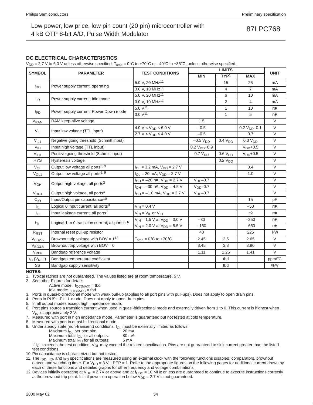### **DC ELECTRICAL CHARACTERISTICS**

 $V_{DD}$  = 2.7 V to 6.0 V unless otherwise specified;  $T_{amb}$  = 0°C to +70°C or –40°C to +85°C, unless otherwise specified.

|                        |                                                              |                                         |                     | <b>LIMITS</b>       |                     |                |
|------------------------|--------------------------------------------------------------|-----------------------------------------|---------------------|---------------------|---------------------|----------------|
| <b>SYMBOL</b>          | <b>PARAMETER</b>                                             | <b>TEST CONDITIONS</b>                  | <b>MIN</b>          | TYP <sup>1</sup>    | <b>MAX</b>          | <b>UNIT</b>    |
|                        |                                                              | 5.0 V, 20 MHz <sup>11</sup>             |                     | 15                  | 25                  | mA             |
| $I_{DD}$               | Power supply current, operating                              | 3.0 V, 10 MHz <sup>11</sup>             |                     | 4                   | $\overline{7}$      | mA             |
|                        |                                                              | 5.0 V, 20 MHz <sup>11</sup>             |                     | 6                   | 10                  | mA             |
| $I_{ID}$               | Power supply current, Idle mode                              | 3.0 V, 10 MHz <sup>11</sup>             |                     | 2                   | $\overline{4}$      | mA             |
|                        |                                                              | $5.0 V^{11}$                            |                     | $\mathbf{1}$        | 10                  | μA             |
| $I_{PD}$               | Power supply current, Power Down mode                        | 3.0 V <sup>11</sup>                     |                     | $\mathbf{1}$        | 5                   | μA             |
| V <sub>RAM</sub>       | RAM keep-alive voltage                                       |                                         | 1.5                 |                     |                     | $\vee$         |
|                        |                                                              | $4.0 V < V_{DD} < 6.0 V$                | $-0.5$              |                     | $0.2 VDD - 0.1$     | $\vee$         |
| $V_{IL}$               | Input low voltage (TTL input)                                | 2.7 V < V <sub>DD</sub> < 4.0 V         | $-0.5$              |                     | 0.7                 | $\overline{V}$ |
| V <sub>IL1</sub>       | Negative going threshold (Schmitt input)                     |                                         | $-0.5 V_{DD}$       | 0.4 V <sub>DD</sub> | 0.3 V <sub>DD</sub> | $\vee$         |
| V <sub>IH</sub>        | Input high voltage (TTL input)                               |                                         | $0.2 VDD+0.9$       |                     | $VDD+0.5$           | $\vee$         |
| V <sub>IH1</sub>       | Positive going threshold (Schmitt input)                     |                                         | 0.7 V <sub>DD</sub> | 0.6 V <sub>DD</sub> | $VDD+0.5$           | $\vee$         |
| <b>HYS</b>             | Hysteresis voltage                                           |                                         |                     | 0.2 V <sub>DD</sub> |                     | $\vee$         |
| <b>V<sub>OL</sub></b>  | Output low voltage all ports <sup>5, 9</sup>                 | $I_{OL}$ = 3.2 mA, $V_{DD}$ = 2.7 V     |                     |                     | 0.4                 | $\vee$         |
| $V_{OL1}$              | Output low voltage all ports <sup>5, 9</sup>                 | $I_{OL}$ = 20 mA, $V_{DD}$ = 2.7 V      |                     |                     | 1.0                 | $\vee$         |
|                        |                                                              | $I_{OH} = -20 \mu A$ , $V_{DD} = 2.7 V$ | $VDD - 0.7$         |                     |                     | $\vee$         |
| <b>V<sub>OH</sub></b>  | Output high voltage, all ports <sup>3</sup>                  | $I_{OH} = -30 \mu A$ , $V_{DD} = 4.5 V$ | $VDD - 0.7$         |                     |                     | $\vee$         |
| V <sub>OH1</sub>       | Output high voltage, all ports <sup>4</sup>                  | $I_{OH} = -1.0$ mA, $V_{DD} = 2.7$ V    | $VDD - 0.7$         |                     |                     | $\vee$         |
| C <sub>IO</sub>        | Input/Output pin capacitance <sup>10</sup>                   |                                         |                     |                     | 15                  | pF             |
| I <sub>IL</sub>        | Logical 0 input current, all ports <sup>8</sup>              | $V_{IN} = 0.4 V$                        |                     |                     | $-50$               | μA             |
| Ιų                     | Input leakage current, all ports <sup>7</sup>                | $V_{IN} = V_{IL}$ or $V_{IH}$           |                     |                     | ±2                  | μA             |
|                        |                                                              | $V_{IN}$ = 1.5 V at $V_{DD}$ = 3.0 V    | $-30$               |                     | $-250$              | μA             |
| I <sub>TL</sub>        | Logical 1 to 0 transition current, all ports <sup>3, 6</sup> | $V_{IN}$ = 2.0 V at $V_{DD}$ = 5.5 V    | $-150$              |                     | $-650$              | μA             |
| $R_{\tiny\mbox{RST}}$  | Internal reset pull-up resistor                              |                                         | 40                  |                     | 225                 | $k\Omega$      |
| V <sub>BO2.5</sub>     | Brownout trip voltage with BOV = $1^{12}$                    | $T_{amb} = 0$ °C to +70°C               | 2.45                | 2.5                 | 2.65                | $\vee$         |
| V <sub>BO3.8</sub>     | Brownout trip voltage with $BOV = 0$                         |                                         | 3.45                | 3.8                 | 3.90                | $\vee$         |
| <b>V<sub>REF</sub></b> | Bandgap reference voltage                                    |                                         | 1.11                | 1.26                | 1.41                | $\vee$         |
| $t_C$ ( $V_{REF}$ )    | Bandgap temperature coefficient                              |                                         |                     | tbd                 |                     | ppm/°C         |
| SS                     | Bandgap supply sensitivity                                   |                                         |                     | tbd                 |                     | $\%$ /V        |

**NOTES:**

1. Typical ratings are not guaranteed. The values listed are at room temperature, 5 V.

2. See other Figures for details.

Active mode:  $I_{CC(MAX)} =$  tbd

Idle mode:  $I_{CC(MAX)} =$  tbd

3. Ports in quasi-bidirectional mode with weak pull-up (applies to all port pins with pull-ups). Does not apply to open drain pins.

4. Ports in PUSH-PULL mode. Does not apply to open drain pins.

5. In all output modes except high impedance mode.

6. Port pins source a transition current when used in quasi-bidirectional mode and externally driven from 1 to 0. This current is highest when  $V_{IN}$  is approximately 2 V.

7. Measured with port in high impedance mode. Parameter is guaranteed but not tested at cold temperature.

8. Measured with port in quasi-bidirectional mode.

9. Under steady state (non-transient) conditions,  $I_{OL}$  must be externally limited as follows:<br>Maximum  $I_{OL}$  per port pin:  $20 \text{ mA}$ 

Maximum  $I_{OL}$  per port pin: 20 mA<br>Maximum total  $I_{OL}$  for all outputs: 20 mA

Maximum total  $I_{OL}$  for all outputs: 80 m/<br>Maximum total  $I_{OH}$  for all outputs: 5 mA

Maximum total  $I_{OH}$  for all outputs:

If  $I_{OL}$  exceeds the test condition,  $V_{OL}$  may exceed the related specification. Pins are not guaranteed to sink current greater than the listed test conditions.

10. Pin capacitance is characterized but not tested.

11. The  $I_{DD}$ ,  $I_{ID}$ , and  $I_{PD}$  specifications are measured using an external clock with the following functions disabled: comparators, brownout

detect, and watchdog timer. For  $V_{DD} = 3$  V, LPEP = 1. Refer to the appropriate figures on the following pages for additional current drawn by each of these functions and detailed graphs for other frequency and voltage combinations.

12. Devices initially operating at  $V_{DD} = 2.7V$  or above and at  $f_{OSC} = 10$  MHz or less are guaranteed to continue to execute instructions correctly at the brownout trip point. Initial power-on operation below  $\widetilde{V}_{DD} = 2.7$  V is not guaranteed.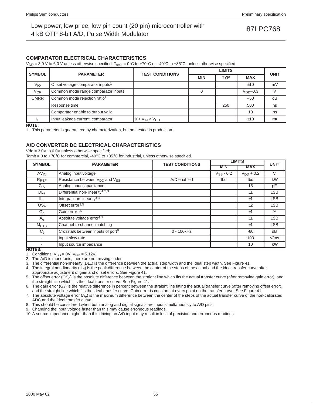### **COMPARATOR ELECTRICAL CHARACTERISTICS**

 $V_{DD}$  = 3.0 V to 6.0 V unless otherwise specified;  $T_{amb}$  = 0°C to +70°C or –40°C to +85°C, unless otherwise specified

| <b>SYMBOL</b> | <b>PARAMETER</b>                              | <b>TEST CONDITIONS</b> |                          | <b>UNIT</b> |            |    |  |
|---------------|-----------------------------------------------|------------------------|--------------------------|-------------|------------|----|--|
|               |                                               |                        | <b>TYP</b><br><b>MIN</b> |             | <b>MAX</b> |    |  |
| $V_{IO}$      | Offset voltage comparator inputs <sup>1</sup> |                        |                          |             | ±10        | mV |  |
| $V_{CR}$      | Common mode range comparator inputs           |                        |                          |             | $VDD-0.3$  |    |  |
| <b>CMRR</b>   | Common mode rejection ratio <sup>1</sup>      |                        |                          |             | $-50$      | dB |  |
|               | Response time                                 |                        |                          | 250         | 500        | ns |  |
|               | Comparator enable to output valid             |                        |                          |             | 10         | μs |  |
| Ш             | Input leakage current, comparator             | $0 < V_{IN} < V_{DD}$  |                          |             | ±10        | μA |  |

**NOTE:**

1. This parameter is guaranteed by characterization, but not tested in production.

## **A/D CONVERTER DC ELECTRICAL CHARACTERISTICS**

Vdd = 3.0V to 6.0V unless otherwise specified;

Tamb = 0 to +70 $\degree$ C for commercial, -40 $\degree$ C to +85 $\degree$ C for industrial, unless otherwise specified.

| <b>SYMBOL</b>    | <b>PARAMETER</b>                                       | <b>TEST CONDITIONS</b> |                | <b>LIMITS</b>  | <b>UNIT</b> |
|------------------|--------------------------------------------------------|------------------------|----------------|----------------|-------------|
|                  |                                                        |                        | <b>MIN</b>     | <b>MAX</b>     |             |
| $AV_{IN}$        | Analog input voltage                                   |                        | $V_{SS} - 0.2$ | $V_{DD}$ + 0.2 | $\vee$      |
| $R_{REF}$        | Resistance between V <sub>DD</sub> and V <sub>SS</sub> | A/D enabled            | tbd            | tbd            | $k\Omega$   |
| $C_{IA}$         | Analog input capacitance                               |                        |                | 15             | pF          |
| $DL_{e}$         | Differential non-linearity <sup>1,2,3</sup>            |                        |                | ±1             | <b>LSB</b>  |
| $IL_{e}$         | Integral non-linearity <sup>1,4</sup>                  |                        |                | ±1             | <b>LSB</b>  |
| OS <sub>e</sub>  | Offset error <sup>1,5</sup>                            |                        |                | $+2$           | <b>LSB</b>  |
| $G_e$            | Gain error <sup>1,6</sup>                              |                        |                | ±1             | $\%$        |
| $A_{e}$          | Absolute voltage error <sup>1,7</sup>                  |                        |                | ±1             | <b>LSB</b>  |
| M <sub>CTC</sub> | Channel-to-channel matching                            |                        |                | ±1             | <b>LSB</b>  |
| $C_{t}$          | Crosstalk between inputs of port <sup>8</sup>          | 0 - 100kHz             |                | $-60$          | dB          |
| $\blacksquare$   | Input slew rate                                        |                        |                | 100            | V/ms        |
| _____            | Input source impedance                                 |                        |                | 10             | $k\Omega$   |

**NOTES:**

1. Conditions: V<sub>SS</sub> = 0V; V<sub>DD</sub> = 5.12V.<br>2. The A/D is monotonic, there are no missing codes

3. The differential non-linearity  $(DL_e)$  is the difference between the actual step width and the ideal step width. See Figure 41.

4. The integral non-linearity  $(I_L)$  is the peak difference between the center of the steps of the actual and the ideal transfer curve after appropriate adjustment of gain and offset errors. See Figure 41.

5. The offset error (OS<sub>e</sub>) is the absolute difference between the straight line which fits the actual transfer curve (after removing gain error), and the straight line which fits the ideal transfer curve. See Figure 41.

6. The gain error  $(G_e)$  is the relative difference in percent between the straight line fitting the actual transfer curve (after removing offset error), and the straight line which fits the ideal transfer curve. Gain error is constant at every point on the transfer curve. See Figure 41.

7. The absolute voltage error (A<sub>e</sub>) is the maximum difference between the center of the steps of the actual transfer curve of the non-calibrated ADC and the ideal transfer curve.

8. This should be considered when both analog and digital signals are input simultaneously to A/D pins.

9. Changing the input voltage faster than this may cause erroneous readings.

10. A source impedance higher than this driving an A/D input may result in loss of precision and erroneous readings.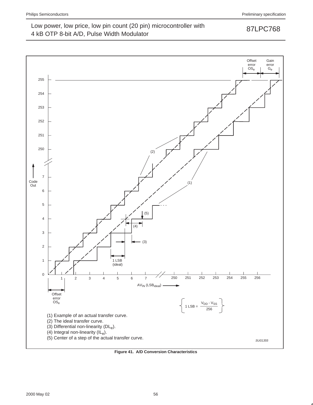

**Figure 41. A/D Conversion Characteristics**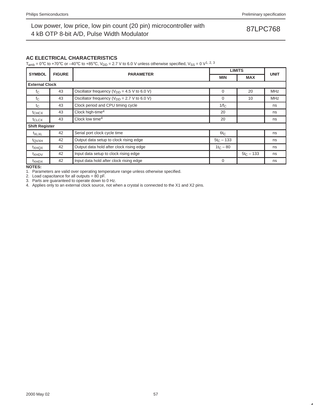### **AC ELECTRICAL CHARACTERISTICS**

T<sub>amb</sub> = 0°C to +70°C or -40°C to +85°C,  $V_{DD}$  = 2.7 V to 6.0 V unless otherwise specified,  $V_{SS}$  = 0 V<sup>1, 2, 3</sup>

| <b>SYMBOL</b>         | <b>FIGURE</b> | <b>PARAMETER</b>                                  | <b>LIMITS</b> |              | <b>UNIT</b> |
|-----------------------|---------------|---------------------------------------------------|---------------|--------------|-------------|
|                       |               |                                                   | <b>MIN</b>    | <b>MAX</b>   |             |
| <b>External Clock</b> |               |                                                   |               |              |             |
| $f_{\rm C}$           | 43            | Oscillator frequency ( $V_{DD}$ = 4.5 V to 6.0 V) | 0             | 20           | <b>MHz</b>  |
| $f_{\rm C}$           | 43            | Oscillator frequency ( $V_{DD}$ = 2.7 V to 6.0 V) | $\Omega$      | 10           | <b>MHz</b>  |
| $t_{\rm C}$           | 43            | Clock period and CPU timing cycle                 | $1/f_C$       |              | ns          |
| $t$ CHCX              | 43            | Clock high-time <sup>4</sup>                      | 20            |              | ns          |
| t <sub>CLCX</sub>     | 43            | Clock low time <sup>4</sup>                       | 20            |              | ns          |
| <b>Shift Register</b> |               |                                                   |               |              |             |
| t <sub>XLXL</sub>     | 42            | Serial port clock cycle time                      | $6t_C$        |              | ns          |
| $t_{\text{QVXH}}$     | 42            | Output data setup to clock rising edge            | $5t_C - 133$  |              | ns          |
| $t_{XHQX}$            | 42            | Output data hold after clock rising edge          | $1t_C - 80$   |              | ns          |
| <sup>t</sup> XHDV     | 42            | Input data setup to clock rising edge             |               | $5t_C - 133$ | ns          |
| $t_{XHDX}$            | 42            | Input data hold after clock rising edge           | $\Omega$      |              | ns          |

**NOTES:**

1. Parameters are valid over operating temperature range unless otherwise specified.

2. Load capacitance for all outputs =  $80$  pF.

3. Parts are guaranteed to operate down to 0 Hz.

4. Applies only to an external clock source, not when a crystal is connected to the X1 and X2 pins.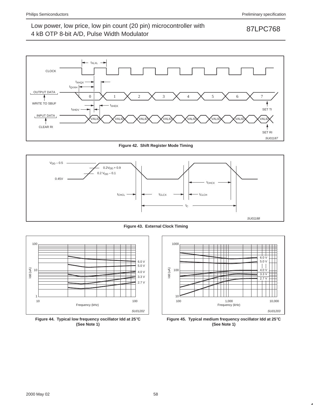

**Figure 42. Shift Register Mode Timing**



**Figure 43. External Clock Timing**



**Figure 44. Typical low frequency oscillator Idd at 25**°**C (See Note 1)**



**Figure 45. Typical medium frequency oscillator Idd at 25**°**C (See Note 1)**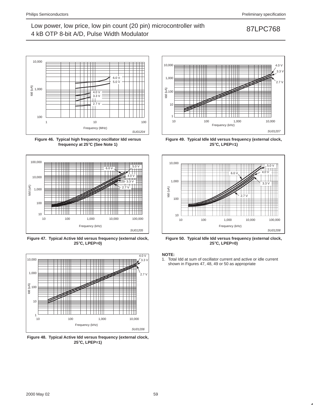

**Figure 46. Typical high frequency oscillator Idd versus frequency at 25**°**C (See Note 1)**



**Figure 47. Typical Active Idd versus frequency (external clock, 25**°**C, LPEP=0)**



**Figure 48. Typical Active Idd versus frequency (external clock, 25**°**C, LPEP=1)**



**Figure 49. Typical Idle Idd versus frequency (external clock, 25**°**C, LPEP=1)**



**Figure 50. Typical Idle Idd versus frequency (external clock, 25**°**C, LPEP=0)**

### **NOTE:**

1. Total Idd at sum of oscillator current and active or idle current shown in Figures 47, 48, 49 or 50 as appropriate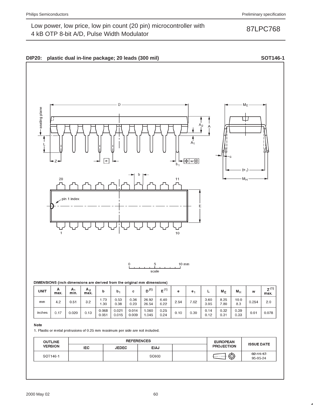

### DIMENSIONS (inch dimensions are derived from the original mm dimensions)

| <b>UNIT</b> | А<br>max. | A <sub>1</sub><br>min. | A <sub>2</sub><br>max. | b              | b,             | с              | (1)<br>יי ה    | E(1)         | е    | е.   |              | $M_E$        | $M_H$        | w     | $Z^{(1)}$<br>max. |
|-------------|-----------|------------------------|------------------------|----------------|----------------|----------------|----------------|--------------|------|------|--------------|--------------|--------------|-------|-------------------|
| mm          | 4.2       | 0.51                   | 3.2                    | 1.73<br>.30    | 0.53<br>0.38   | 0.36<br>0.23   | 26.92<br>26.54 | 6.40<br>6.22 | 2.54 | 7.62 | 3.60<br>3.05 | 8.25<br>7.80 | 10.0<br>8.3  | 0.254 | 2.0               |
| inches      | 0.17      | 0.020                  | 0.13                   | 0.068<br>0.051 | 0.021<br>0.015 | 0.014<br>0.009 | .060<br>.045   | 0.25<br>0.24 | 0.10 | 0.30 | 0.14<br>0.12 | 0.32<br>0.31 | 0.39<br>0.33 | 0.01  | 0.078             |

### Note

1. Plastic or metal protrusions of 0.25 mm maximum per side are not included.

| <b>OUTLINE</b> |            | <b>REFERENCES</b> | <b>EUROPEAN</b> | <b>ISSUE DATE</b> |                   |                             |
|----------------|------------|-------------------|-----------------|-------------------|-------------------|-----------------------------|
| <b>VERSION</b> | <b>IEC</b> | <b>JEDEC</b>      | <b>EIAJ</b>     |                   | <b>PROJECTION</b> |                             |
| SOT146-1       |            |                   | SC603           |                   | $\bigcirc$        | $-92 - 11 - 17$<br>95-05-24 |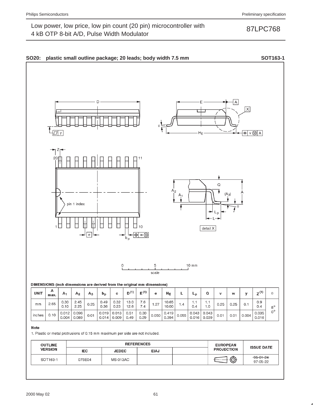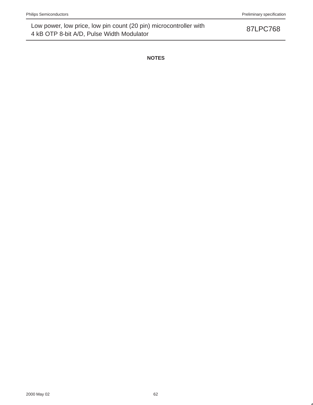**NOTES**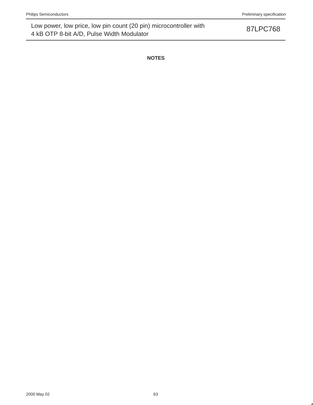**NOTES**